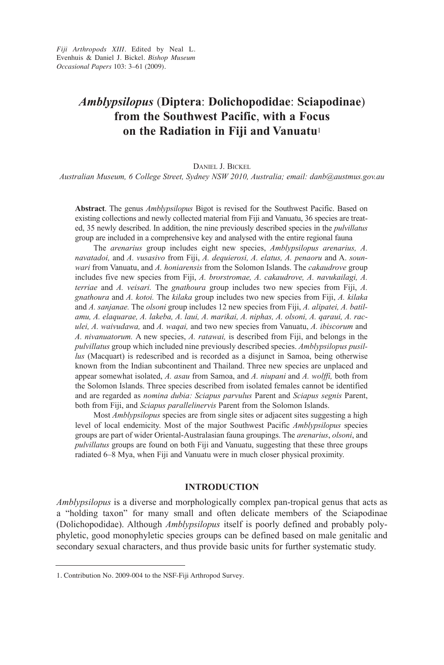*Fiji Arthropods XIII.* Edited by Neal L. Evenhuis & Daniel J. Bickel. *Bishop Museum Occa sional Papers* 103: 3–61 (2009).

# *Amblypsilopus* (**Diptera**: **Dolichopodidae**: **Sciapodinae**) **from the Southwest Pacific**, **with a Focus on the Radiation in Fiji and Vanuatu**<sup>1</sup>

Daniel J. Bickel

*Australian Museum, 6 College Street, Sydney NSW 2010, Australia; email: danb@austmus.gov.au*

**Abstract**. The genus *Amblypsilopus* Bigot is revised for the Southwest Pacific. Based on existing collections and newly collected material from Fiji and Vanuatu, 36 species are treated, 35 newly described. in addition, the nine previously described species in the *pulvillatus* group are included in a comprehensive key and analysed with the entire regional fauna

The *arenarius* group includes eight new species, *Amblypsilopus arenarius, A. navatadoi, and A. vusasivo* from Fiji, *A. dequierosi, A. elatus, A. penaoru and A. sounwari* from Vanuatu, and *A. honiarensis* from the Solomon islands. The *cakaudrove* group includes five new species from Fiji, *A. brorstromae, A. cakaudrove, A. navukailagi, A. terriae* and *A. veisari.* The *gnathoura* group includes two new species from Fiji, *A. gnathoura* and *A. kotoi.* The *kilaka* group includes two new species from Fiji, *A. kilaka* and *A. sanjanae.* The *olsoni* group includes 12 new species from Fiji, *A. alipatei, A. batilamu, A. elaquarae, A. lakeba, A. laui, A. marikai, A. niphas, A. olsoni, A. qaraui, A. raculei, A. waivudawa,* and *A. waqai,* and two new species from Vanuatu, *A. ibiscorum* and *A. nivanuatorum.* a new species, *A. ratawai,* is described from Fiji, and belongs in the *pulvillatus* group which included nine previously described species. *Amblypsilopus pusillus* (Macquart) is redescribed and is recorded as a disjunct in Samoa, being otherwise known from the indian subcontinent and Thailand. Three new species are unplaced and appear somewhat isolated, *A. asau* from Samoa, and *A. niupani* and *A. wolffi,* both from the Solomon islands. Three species described from isolated females cannot be identified and are regarded as *nomina dubia: Sciapus parvulus* Parent and *Sciapus segnis* Parent, both from Fiji, and *Sciapus parallelinervis* Parent from the Solomon islands.

Most *Amblypsilopus* species are from single sites or adjacent sites suggesting a high level of local endemicity. Most of the major Southwest Pacific *Amblypsilopus* species groups are part of wider Oriental-australasian fauna groupings. The *arenarius*, *olsoni*, and *pulvillatus* groups are found on both Fiji and Vanuatu, suggesting that these three groups radiated 6–8 Mya, when Fiji and Vanuatu were in much closer physical proximity.

# **INTRODUCTION**

*Amblypsilopus* is a diverse and morphologically complex pan-tropical genus that acts as a "holding taxon" for many small and often delicate members of the Sciapodinae (Dolichopodidae). although *Amblypsilopus* itself is poorly defined and probably polyphyletic, good monophyletic species groups can be defined based on male genitalic and secondary sexual characters, and thus provide basic units for further systematic study.

<sup>1.</sup> Contribution No. 2009-004 to the NSF-Fiji Arthropod Survey.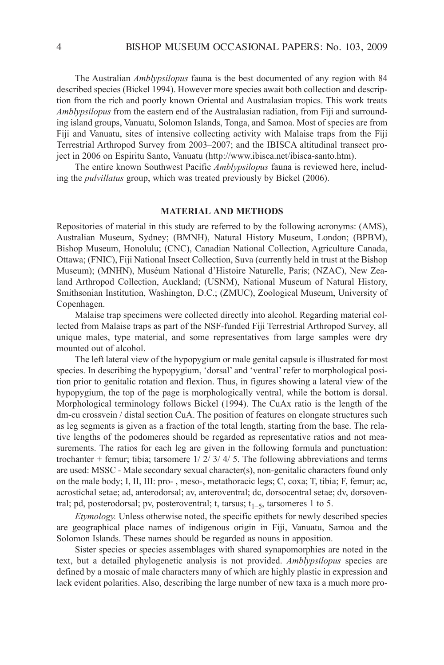The Australian *Amblypsilopus* fauna is the best documented of any region with 84 described species (Bickel 1994). However more species await both collection and description from the rich and poorly known Oriental and australasian tropics. This work treats *Amblypsilopus* from the eastern end of the Australasian radiation, from Fiji and surrounding island groups, Vanuatu, Solomon islands, Tonga, and Samoa. Most of species are from Fiji and Vanuatu, sites of intensive collecting activity with Malaise traps from the Fiji Terrestrial arthropod Survey from 2003–2007; and the iBiSca altitudinal transect project in 2006 on Espiritu Santo, Vanuatu (http://www.ibisca.net/ibisca-santo.htm).

The entire known Southwest Pacific *Amblypsilopus* fauna is reviewed here, including the *pulvillatus* group, which was treated previously by Bickel (2006).

#### **MATERIAL AND METHODS**

Repositories of material in this study are referred to by the following acronyms: (AMS), australian Museum, Sydney; (BMnH), natural History Museum, london; (BPBM), Bishop Museum, Honolulu; (CNC), Canadian National Collection, Agriculture Canada, Ottawa; (Fnic), Fiji national insect collection, Suva (currently held in trust at the Bishop Museum); (MnHn), Muséum national d'Histoire naturelle, Paris; (nZac), new Zea land arthropod collection, auckland; (USnM), national Museum of natural History, Smithsonian institution, Washington, D.c.; (ZMUc), Zoological Museum, University of copenhagen.

Malaise trap specimens were collected directly into alcohol. Regarding material collected from Malaise traps as part of the nSF-funded Fiji Terrestrial arthropod Survey, all unique males, type material, and some representatives from large samples were dry mounted out of alcohol.

The left lateral view of the hypopygium or male genital capsule is illustrated for most species. in describing the hypopygium, 'dorsal' and 'ventral' refer to morphological position prior to genitalic rotation and flexion. Thus, in figures showing a lateral view of the hypopygium, the top of the page is morphologically ventral, while the bottom is dorsal. Morphological terminology follows Bickel (1994). The cuax ratio is the length of the dm-cu crossvein / distal section CuA. The position of features on elongate structures such as leg segments is given as a fraction of the total length, starting from the base. The relative lengths of the podomeres should be regarded as representative ratios and not measurements. The ratios for each leg are given in the following formula and punctuation: trochanter + femur; tibia; tarsomere  $1/ 2/ 3/ 4/ 5$ . The following abbreviations and terms are used: MSSc - Male secondary sexual character(s), non-genitalic characters found only on the male body; I, II, III: pro-, meso-, metathoracic legs; C, coxa; T, tibia; F, femur; ac, acrostichal setae; ad, anterodorsal; av, anteroventral; dc, dorsocentral setae; dv, dorsoventral; pd, posterodorsal; pv, posteroventral; t, tarsus;  $t_{1-5}$ , tarsomeres 1 to 5.

*Etymology.* Unless otherwise noted, the specific epithets for newly described species are geographical place names of indigenous origin in Fiji, Vanuatu, Samoa and the Solomon islands. These names should be regarded as nouns in apposition.

Sister species or species assemblages with shared synapomorphies are noted in the text, but a detailed phylogenetic analysis is not provided. *Amblypsilopus* species are defined by a mosaic of male characters many of which are highly plastic in expression and lack evident polarities. also, describing the large number of new taxa is a much more pro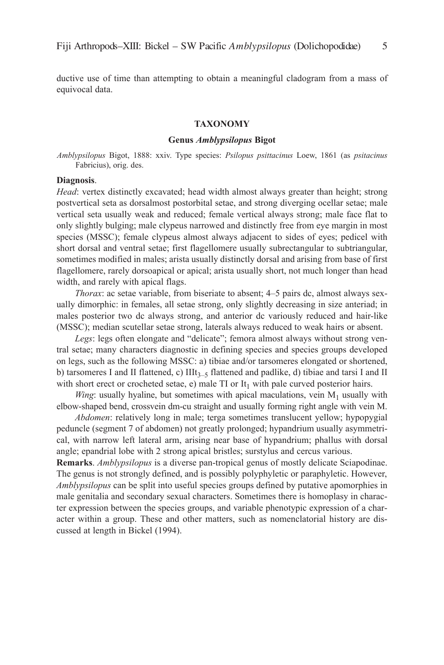ductive use of time than attempting to obtain a meaningful cladogram from a mass of equivocal data.

#### **TAXONOMY**

#### **Genus** *Amblypsilopus* **Bigot**

*Amblypsilopus* Bigot, 1888: xxiv. Type species: *Psilopus psittacinus* loew, 1861 (as *psitacinus* Fabricius), orig. des.

#### **Diagnosis**.

*Head*: vertex distinctly excavated; head width almost always greater than height; strong postvertical seta as dorsalmost postorbital setae, and strong diverging ocellar setae; male vertical seta usually weak and reduced; female vertical always strong; male face flat to only slightly bulging; male clypeus narrowed and distinctly free from eye margin in most species (MSSc); female clypeus almost always adjacent to sides of eyes; pedicel with short dorsal and ventral setae; first flagellomere usually subrectangular to subtriangular, sometimes modified in males; arista usually distinctly dorsal and arising from base of first flagellomere, rarely dorsoapical or apical; arista usually short, not much longer than head width, and rarely with apical flags.

*Thorax*: ac setae variable, from biseriate to absent; 4–5 pairs dc, almost always sexually dimorphic: in females, all setae strong, only slightly decreasing in size anteriad; in males posterior two dc always strong, and anterior dc variously reduced and hair-like (MSSc); median scutellar setae strong, laterals always reduced to weak hairs or absent.

*Legs*: legs often elongate and "delicate"; femora almost always without strong ventral setae; many characters diagnostic in defining species and species groups developed on legs, such as the following MSSc: a) tibiae and/or tarsomeres elongated or shortened, b) tarsomeres I and II flattened, c)  $IIIt_{3-5}$  flattened and padlike, d) tibiae and tarsi I and II with short erect or crocheted setae, e) male  $TI$  or  $It<sub>1</sub>$  with pale curved posterior hairs.

*Wing*: usually hyaline, but sometimes with apical maculations, vein  $M_1$  usually with elbow-shaped bend, crossvein dm-cu straight and usually forming right angle with vein M.

*Abdomen*: relatively long in male; terga sometimes translucent yellow; hypopygial peduncle (segment 7 of abdomen) not greatly prolonged; hypandrium usually asymmetrical, with narrow left lateral arm, arising near base of hypandrium; phallus with dorsal angle; epandrial lobe with 2 strong apical bristles; surstylus and cercus various.

**Remarks**. *Amblypsilopus* is a diverse pan-tropical genus of mostly delicate Sciapodinae. The genus is not strongly defined, and is possibly polyphyletic or paraphyletic. However, *Amblypsilopus* can be split into useful species groups defined by putative apomorphies in male genitalia and secondary sexual characters. Sometimes there is homoplasy in character expression between the species groups, and variable phenotypic expression of a character within a group. These and other matters, such as nomenclatorial history are discussed at length in Bickel (1994).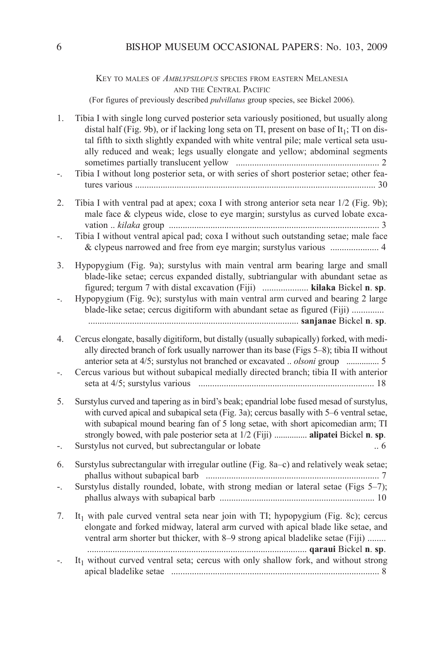key TO MaleS OF *AMbLyPSiLoPuS* SPecieS FROM eaSTeRn MelaneSia and the CENTRAL PACIFIC (For figures of previously described *pulvillatus* group species, see Bickel 2006).

| 1. | Tibia I with single long curved posterior seta variously positioned, but usually along<br>distal half (Fig. 9b), or if lacking long seta on TI, present on base of $It1$ ; TI on dis-<br>tal fifth to sixth slightly expanded with white ventral pile; male vertical seta usu-<br>ally reduced and weak; legs usually elongate and yellow; abdominal segments<br>Tibia I without long posterior seta, or with series of short posterior setae; other fea- |
|----|-----------------------------------------------------------------------------------------------------------------------------------------------------------------------------------------------------------------------------------------------------------------------------------------------------------------------------------------------------------------------------------------------------------------------------------------------------------|
|    |                                                                                                                                                                                                                                                                                                                                                                                                                                                           |
| 2. | Tibia I with ventral pad at apex; coxa I with strong anterior seta near 1/2 (Fig. 9b);<br>male face & clypeus wide, close to eye margin; surstylus as curved lobate exca-                                                                                                                                                                                                                                                                                 |
|    | Tibia I without ventral apical pad; coxa I without such outstanding setae; male face                                                                                                                                                                                                                                                                                                                                                                      |
| 3. | Hypopygium (Fig. 9a); surstylus with main ventral arm bearing large and small<br>blade-like setae; cercus expanded distally, subtriangular with abundant setae as<br>figured; tergum 7 with distal excavation (Fiji)  kilaka Bickel n. sp.                                                                                                                                                                                                                |
|    | Hypopygium (Fig. 9c); surstylus with main ventral arm curved and bearing 2 large<br>blade-like setae; cercus digitiform with abundant setae as figured (Fiji)                                                                                                                                                                                                                                                                                             |
| 4. | Cercus elongate, basally digitiform, but distally (usually subapically) forked, with medi-<br>ally directed branch of fork usually narrower than its base (Figs 5–8); tibia II without                                                                                                                                                                                                                                                                    |
|    | Cercus various but without subapical medially directed branch; tibia II with anterior                                                                                                                                                                                                                                                                                                                                                                     |
| 5. | Surstylus curved and tapering as in bird's beak; epandrial lobe fused mesad of surstylus,<br>with curved apical and subapical seta (Fig. 3a); cercus basally with 5-6 ventral setae,<br>with subapical mound bearing fan of 5 long setae, with short apicomedian arm; TI<br>strongly bowed, with pale posterior seta at 1/2 (Fiji)  alipatei Bickel n. sp.                                                                                                |
|    | Surstylus not curved, but subrectangular or lobate<br>.6                                                                                                                                                                                                                                                                                                                                                                                                  |
| 6. | Surstylus subrectangular with irregular outline (Fig. 8a-c) and relatively weak setae;                                                                                                                                                                                                                                                                                                                                                                    |
| ۳. | Surstylus distally rounded, lobate, with strong median or lateral setae (Figs 5-7);                                                                                                                                                                                                                                                                                                                                                                       |
| 7. | It <sub>1</sub> with pale curved ventral seta near join with TI; hypopygium (Fig. 8c); cercus<br>elongate and forked midway, lateral arm curved with apical blade like setae, and<br>ventral arm shorter but thicker, with 8–9 strong apical bladelike setae (Fiji)                                                                                                                                                                                       |
|    | It <sub>1</sub> without curved ventral seta; cercus with only shallow fork, and without strong                                                                                                                                                                                                                                                                                                                                                            |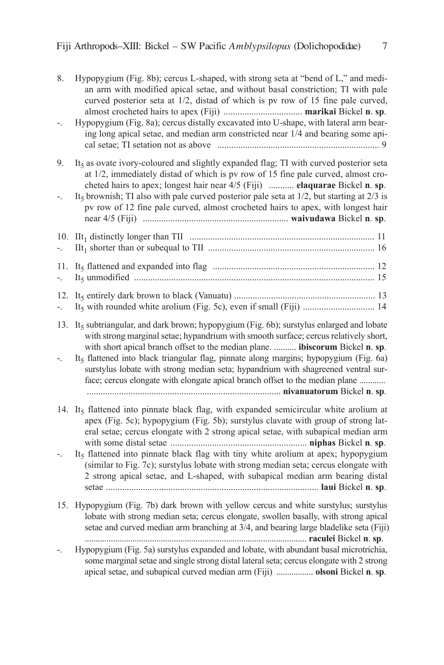| 8.        | Hypopygium (Fig. 8b); cercus L-shaped, with strong seta at "bend of L," and medi-<br>an arm with modified apical setae, and without basal constriction; TI with pale<br>curved posterior seta at 1/2, distad of which is pv row of 15 fine pale curved,<br>Hypopygium (Fig. 8a); cercus distally excavated into U-shape, with lateral arm bear-<br>ing long apical setae, and median arm constricted near 1/4 and bearing some api-                                                                                                                   |
|-----------|-------------------------------------------------------------------------------------------------------------------------------------------------------------------------------------------------------------------------------------------------------------------------------------------------------------------------------------------------------------------------------------------------------------------------------------------------------------------------------------------------------------------------------------------------------|
|           |                                                                                                                                                                                                                                                                                                                                                                                                                                                                                                                                                       |
| 9.        | It <sub>5</sub> as ovate ivory-coloured and slightly expanded flag; TI with curved posterior seta<br>at 1/2, immediately distad of which is pv row of 15 fine pale curved, almost cro-<br>cheted hairs to apex; longest hair near 4/5 (Fiji)  elaquarae Bickel n. sp.<br>It <sub>5</sub> brownish; TI also with pale curved posterior pale seta at $1/2$ , but starting at $2/3$ is<br>pv row of 12 fine pale curved, almost crocheted hairs to apex, with longest hair                                                                               |
|           |                                                                                                                                                                                                                                                                                                                                                                                                                                                                                                                                                       |
| 10.       |                                                                                                                                                                                                                                                                                                                                                                                                                                                                                                                                                       |
| 11.       |                                                                                                                                                                                                                                                                                                                                                                                                                                                                                                                                                       |
| 12.<br>Ξ. |                                                                                                                                                                                                                                                                                                                                                                                                                                                                                                                                                       |
| 13.       | It <sub>5</sub> subtriangular, and dark brown; hypopygium (Fig. 6b); surstylus enlarged and lobate<br>with strong marginal setae; hypandrium with smooth surface; cercus relatively short,<br>with short apical branch offset to the median plane.  ibiscorum Bickel n. sp.<br>It <sub>5</sub> flattened into black triangular flag, pinnate along margins; hypopygium (Fig. 6a)<br>surstylus lobate with strong median seta; hypandrium with shagreened ventral sur-<br>face; cercus elongate with elongate apical branch offset to the median plane |
|           | 14. It <sub>5</sub> flattened into pinnate black flag, with expanded semicircular white arolium at<br>apex (Fig. 5c); hypopygium (Fig. 5b); surstylus clavate with group of strong lat-<br>eral setae; cercus elongate with 2 strong apical setae, with subapical median arm                                                                                                                                                                                                                                                                          |
|           | It <sub>5</sub> flattened into pinnate black flag with tiny white arolium at apex; hypopygium<br>(similar to Fig. 7c); surstylus lobate with strong median seta; cercus elongate with<br>2 strong apical setae, and L-shaped, with subapical median arm bearing distal                                                                                                                                                                                                                                                                                |
| 15.       | Hypopygium (Fig. 7b) dark brown with yellow cercus and white surstylus; surstylus<br>lobate with strong median seta; cercus elongate, swollen basally, with strong apical<br>setae and curved median arm branching at 3/4, and bearing large bladelike seta (Fiji)                                                                                                                                                                                                                                                                                    |
|           | Hypopygium (Fig. 5a) surstylus expanded and lobate, with abundant basal microtrichia,<br>some marginal setae and single strong distal lateral seta; cercus elongate with 2 strong<br>apical setae, and subapical curved median arm (Fiji)  olsoni Bickel n. sp.                                                                                                                                                                                                                                                                                       |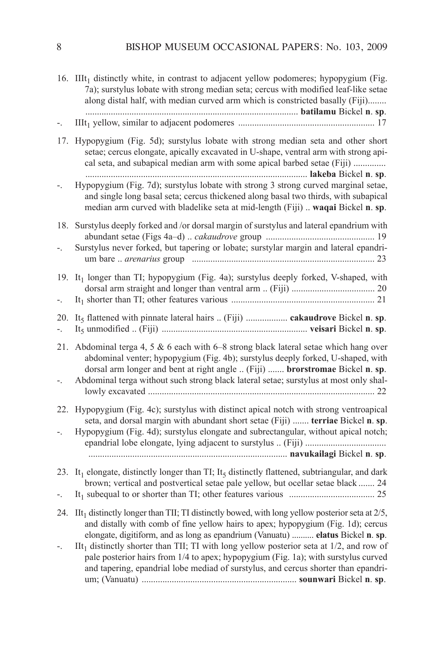|             | 16. IIIt <sub>1</sub> distinctly white, in contrast to adjacent yellow podomeres; hypopygium (Fig.<br>7a); surstylus lobate with strong median seta; cercus with modified leaf-like setae<br>along distal half, with median curved arm which is constricted basally (Fiji)                                                                                                                                                                                                                                                                                           |
|-------------|----------------------------------------------------------------------------------------------------------------------------------------------------------------------------------------------------------------------------------------------------------------------------------------------------------------------------------------------------------------------------------------------------------------------------------------------------------------------------------------------------------------------------------------------------------------------|
|             |                                                                                                                                                                                                                                                                                                                                                                                                                                                                                                                                                                      |
| 17.         | Hypopygium (Fig. 5d); surstylus lobate with strong median seta and other short<br>setae; cercus elongate, apically excavated in U-shape, ventral arm with strong api-<br>cal seta, and subapical median arm with some apical barbed setae (Fiji)                                                                                                                                                                                                                                                                                                                     |
|             | Hypopygium (Fig. 7d); surstylus lobate with strong 3 strong curved marginal setae,<br>and single long basal seta; cercus thickened along basal two thirds, with subapical<br>median arm curved with bladelike seta at mid-length (Fiji)  waqai Bickel n. sp.                                                                                                                                                                                                                                                                                                         |
| 18.         | Surstylus deeply forked and /or dorsal margin of surstylus and lateral epandrium with<br>Surstylus never forked, but tapering or lobate; surstylar margin and lateral epandri-                                                                                                                                                                                                                                                                                                                                                                                       |
|             |                                                                                                                                                                                                                                                                                                                                                                                                                                                                                                                                                                      |
| 19.<br>۳.   | It <sub>1</sub> longer than TI; hypopygium (Fig. 4a); surstylus deeply forked, V-shaped, with                                                                                                                                                                                                                                                                                                                                                                                                                                                                        |
| 20.<br>$-1$ | It <sub>5</sub> flattened with pinnate lateral hairs  (Fiji)  cakaudrove Bickel n. sp.                                                                                                                                                                                                                                                                                                                                                                                                                                                                               |
| 21.         | Abdominal terga 4, 5 & 6 each with 6-8 strong black lateral setae which hang over<br>abdominal venter; hypopygium (Fig. 4b); surstylus deeply forked, U-shaped, with<br>dorsal arm longer and bent at right angle  (Fiji)  brorstromae Bickel n. sp.<br>Abdominal terga without such strong black lateral setae; surstylus at most only shal-                                                                                                                                                                                                                        |
| 22.<br>Ξ.   | Hypopygium (Fig. 4c); surstylus with distinct apical notch with strong ventroapical<br>seta, and dorsal margin with abundant short setae (Fiji)  terriae Bickel n. sp.<br>Hypopygium (Fig. 4d); surstylus elongate and subrectangular, without apical notch;                                                                                                                                                                                                                                                                                                         |
|             |                                                                                                                                                                                                                                                                                                                                                                                                                                                                                                                                                                      |
| 23.         | It <sub>1</sub> elongate, distinctly longer than TI; It <sub>5</sub> distinctly flattened, subtriangular, and dark<br>brown; vertical and postvertical setae pale yellow, but ocellar setae black  24                                                                                                                                                                                                                                                                                                                                                                |
|             |                                                                                                                                                                                                                                                                                                                                                                                                                                                                                                                                                                      |
| 24.         | IIt <sub>1</sub> distinctly longer than TII; TI distinctly bowed, with long yellow posterior seta at $2/5$ ,<br>and distally with comb of fine yellow hairs to apex; hypopygium (Fig. 1d); cercus<br>elongate, digitiform, and as long as epandrium (Vanuatu)  elatus Bickel n. sp.<br>$\text{III}_1$ distinctly shorter than TII; TI with long yellow posterior seta at 1/2, and row of<br>pale posterior hairs from 1/4 to apex; hypopygium (Fig. 1a); with surstylus curved<br>and tapering, epandrial lobe mediad of surstylus, and cercus shorter than epandri- |
|             |                                                                                                                                                                                                                                                                                                                                                                                                                                                                                                                                                                      |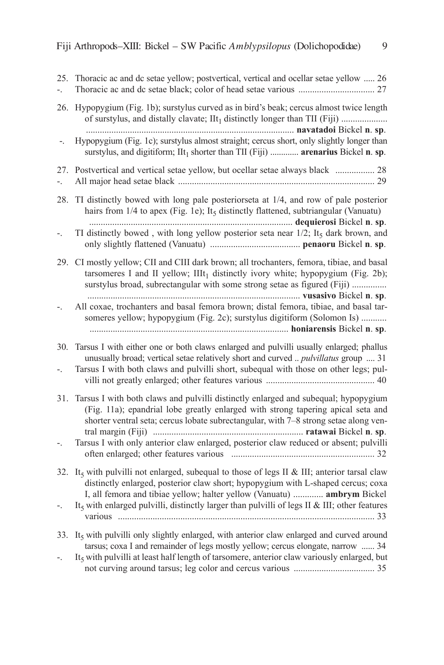| ÷.                         | 25. Thoracic ac and dc setae yellow; postvertical, vertical and ocellar setae yellow  26                                                                                                                                                                                                         |
|----------------------------|--------------------------------------------------------------------------------------------------------------------------------------------------------------------------------------------------------------------------------------------------------------------------------------------------|
| 26.                        | Hypopygium (Fig. 1b); surstylus curved as in bird's beak; cercus almost twice length<br>of surstylus, and distally clavate; IIt <sub>1</sub> distinctly longer than TII (Fiji)                                                                                                                   |
| $\overline{\phantom{a}}$ . | Hypopygium (Fig. 1c); surstylus almost straight; cercus short, only slightly longer than<br>surstylus, and digitiform; $\text{III}_1$ shorter than TII (Fiji)  arenarius Bickel n. sp.                                                                                                           |
| 27.<br>÷.                  | Postvertical and vertical setae yellow, but ocellar setae always black  28                                                                                                                                                                                                                       |
| 28.                        | TI distinctly bowed with long pale posteriorseta at 1/4, and row of pale posterior<br>hairs from $1/4$ to apex (Fig. 1e); It <sub>5</sub> distinctly flattened, subtriangular (Vanuatu)                                                                                                          |
| $\overline{a}$             | TI distinctly bowed, with long yellow posterior seta near 1/2; It5 dark brown, and                                                                                                                                                                                                               |
|                            | 29. CI mostly yellow; CII and CIII dark brown; all trochanters, femora, tibiae, and basal<br>tarsomeres I and II yellow; $IIIt1$ distinctly ivory white; hypopygium (Fig. 2b);<br>surstylus broad, subrectangular with some strong setae as figured (Fiji)                                       |
| Ξ.                         | All coxae, trochanters and basal femora brown; distal femora, tibiae, and basal tar-<br>someres yellow; hypopygium (Fig. 2c); surstylus digitiform (Solomon Is)                                                                                                                                  |
| 30.<br>Ξ.                  | Tarsus I with either one or both claws enlarged and pulvilli usually enlarged; phallus<br>unusually broad; vertical setae relatively short and curved  pulvillatus group  31<br>Tarsus I with both claws and pulvilli short, subequal with those on other legs; pul-                             |
| 31.                        | Tarsus I with both claws and pulvilli distinctly enlarged and subequal; hypopygium<br>(Fig. 11a); epandrial lobe greatly enlarged with strong tapering apical seta and<br>shorter ventral seta; cercus lobate subrectangular, with 7-8 strong setae along ven-                                   |
| ۳.                         | Tarsus I with only anterior claw enlarged, posterior claw reduced or absent; pulvilli                                                                                                                                                                                                            |
|                            | 32. It <sub>5</sub> with pulvilli not enlarged, subequal to those of legs II & III; anterior tarsal claw<br>distinctly enlarged, posterior claw short; hypopygium with L-shaped cercus; coxa<br>I, all femora and tibiae yellow; halter yellow (Vanuatu)  ambrym Bickel                          |
| ۳.                         | It <sub>s</sub> with enlarged pulvilli, distinctly larger than pulvilli of legs II & III; other features                                                                                                                                                                                         |
| 33.<br>Ξ.                  | It <sub>s</sub> with pulvilli only slightly enlarged, with anterior claw enlarged and curved around<br>tarsus; coxa I and remainder of legs mostly yellow; cercus elongate, narrow  34<br>It <sub>5</sub> with pulvilli at least half length of tarsomere, anterior claw variously enlarged, but |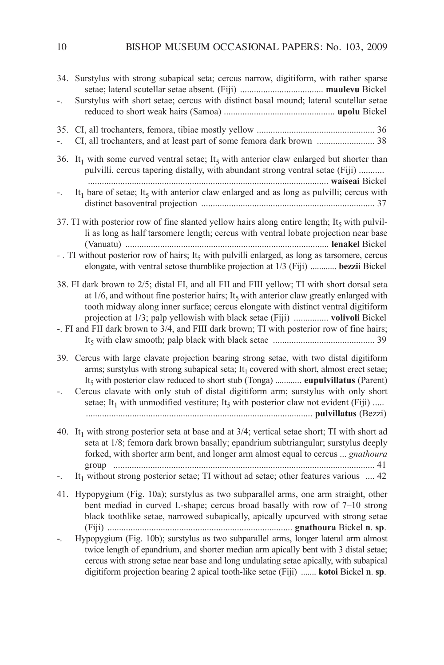| 34. Surstylus with strong subapical seta; cercus narrow, digitiform, with rather sparse<br>Surstylus with short setae; cercus with distinct basal mound; lateral scutellar setae                                                                                                                                                                                                                                                                                                               |
|------------------------------------------------------------------------------------------------------------------------------------------------------------------------------------------------------------------------------------------------------------------------------------------------------------------------------------------------------------------------------------------------------------------------------------------------------------------------------------------------|
| 35.<br>CI, all trochanters, and at least part of some femora dark brown  38                                                                                                                                                                                                                                                                                                                                                                                                                    |
| 36. It <sub>1</sub> with some curved ventral setae; It <sub>5</sub> with anterior claw enlarged but shorter than<br>pulvilli, cercus tapering distally, with abundant strong ventral setae (Fiji)<br>It <sub>1</sub> bare of setae; It <sub>5</sub> with anterior claw enlarged and as long as pulvilli; cercus with                                                                                                                                                                           |
| Ξ.                                                                                                                                                                                                                                                                                                                                                                                                                                                                                             |
| 37. TI with posterior row of fine slanted yellow hairs along entire length; It <sub>5</sub> with pulvil-<br>li as long as half tarsomere length; cercus with ventral lobate projection near base<br>-. TI without posterior row of hairs; It <sub>5</sub> with pulvilli enlarged, as long as tarsomere, cercus                                                                                                                                                                                 |
| elongate, with ventral setose thumblike projection at 1/3 (Fiji)  bezzii Bickel                                                                                                                                                                                                                                                                                                                                                                                                                |
| 38. FI dark brown to 2/5; distal FI, and all FII and FIII yellow; TI with short dorsal seta<br>at $1/6$ , and without fine posterior hairs; It <sub>5</sub> with anterior claw greatly enlarged with<br>tooth midway along inner surface; cercus elongate with distinct ventral digitiform<br>projection at 1/3; palp yellowish with black setae (Fiji)  volivoli Bickel<br>-. FI and FII dark brown to 3/4, and FIII dark brown; TI with posterior row of fine hairs;                         |
| 39. Cercus with large clavate projection bearing strong setae, with two distal digitiform<br>arms; surstylus with strong subapical seta; It <sub>1</sub> covered with short, almost erect setae;<br>It <sub>5</sub> with posterior claw reduced to short stub (Tonga)  eupulvillatus (Parent)<br>Cercus clavate with only stub of distal digitiform arm; surstylus with only short<br>setae; It <sub>1</sub> with unmodified vestiture; It <sub>5</sub> with posterior claw not evident (Fiji) |
| 40. It <sub>1</sub> with strong posterior seta at base and at $3/4$ ; vertical setae short; TI with short ad<br>seta at 1/8; femora dark brown basally; epandrium subtriangular; surstylus deeply<br>forked, with shorter arm bent, and longer arm almost equal to cercus  gnathoura<br>It <sub>1</sub> without strong posterior setae; TI without ad setae; other features various $\dots$ 42                                                                                                 |
| Hypopygium (Fig. 10a); surstylus as two subparallel arms, one arm straight, other<br>41.<br>bent mediad in curved L-shape; cercus broad basally with row of 7-10 strong<br>black toothlike setae, narrowed subapically, apically upcurved with strong setae                                                                                                                                                                                                                                    |
| Hypopygium (Fig. 10b); surstylus as two subparallel arms, longer lateral arm almost<br>twice length of epandrium, and shorter median arm apically bent with 3 distal setae;<br>cercus with strong setae near base and long undulating setae apically, with subapical<br>digitiform projection bearing 2 apical tooth-like setae (Fiji)  kotoi Bickel n. sp.                                                                                                                                    |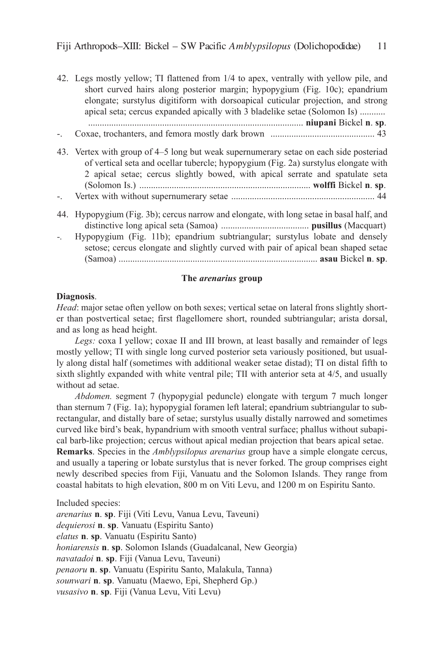42. legs mostly yellow; Ti flattened from 1/4 to apex, ventrally with yellow pile, and short curved hairs along posterior margin; hypopygium (Fig. 10c); epandrium elongate; surstylus digitiform with dorsoapical cuticular projection, and strong apical seta; cercus expanded apically with 3 bladelike setae (Solomon is) ........... ............................................................................................. **niupani** Bickel **n**. **sp**. -. coxae, trochanters, and femora mostly dark brown ............................................. 43 43. Vertex with group of 4–5 long but weak supernumerary setae on each side posteriad of vertical seta and ocellar tubercle; hypopygium (Fig. 2a) surstylus elongate with 2 apical setae; cercus slightly bowed, with apical serrate and spatulate seta (Solomon is.) .......................................................................... **wolffi** Bickel **n**. **sp**. -. Vertex with without supernumerary setae .............................................................. 44 44. Hypopygium (Fig. 3b); cercus narrow and elongate, with long setae in basal half, and distinctive long apical seta (Samoa) ...................................... **pusillus** (Macquart)

*-.* Hypopygium (Fig. 11b); epandrium subtriangular; surstylus lobate and densely setose; cercus elongate and slightly curved with pair of apical bean shaped setae (Samoa) ...................................................................................... **asau** Bickel **n**. **sp**.

# **The** *arenarius* **group**

## **Diagnosis**.

*Head*: major setae often yellow on both sexes; vertical setae on lateral frons slightly shorter than postvertical setae; first flagellomere short, rounded subtriangular; arista dorsal, and as long as head height.

Legs: coxa I yellow; coxae II and III brown, at least basally and remainder of legs mostly yellow; Ti with single long curved posterior seta variously positioned, but usually along distal half (sometimes with additional weaker setae distad); Ti on distal fifth to sixth slightly expanded with white ventral pile; TII with anterior seta at  $4/5$ , and usually without ad setae.

*Abdomen.* segment 7 (hypopygial peduncle) elongate with tergum 7 much longer than sternum 7 (Fig. 1a); hypopygial foramen left lateral; epandrium subtriangular to subrectangular, and distally bare of setae; surstylus usually distally narrowed and sometimes curved like bird's beak, hypandrium with smooth ventral surface; phallus without subapical barb-like projection; cercus without apical median projection that bears apical setae.

**Remarks**. Species in the *Amblypsilopus arenarius* group have a simple elongate cercus, and usually a tapering or lobate surstylus that is never forked. The group comprises eight newly described species from Fiji, Vanuatu and the Solomon islands. They range from coastal habitats to high elevation, 800 m on Viti levu, and 1200 m on espiritu Santo.

included species:

*arenarius* **n**. **sp**. Fiji (Viti levu, Vanua levu, Taveuni) *dequierosi* **n**. **sp**. Vanuatu (Espiritu Santo) *elatus* **n**. **sp**. Vanuatu (Espiritu Santo) *honiarensis* **n**. **sp**. Solomon Islands (Guadalcanal, New Georgia) *navatadoi* **n**. **sp**. Fiji (Vanua levu, Taveuni) *penaoru* **n**. **sp**. Vanuatu (Espiritu Santo, Malakula, Tanna) *sounwari* **n**. **sp**. Vanuatu (Maewo, epi, Shepherd Gp.) *vusasivo* **n**. **sp**. Fiji (Vanua levu, Viti levu)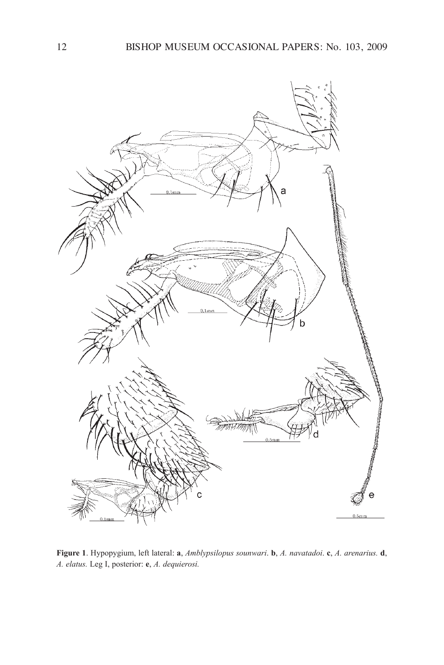

**Figure 1**. Hypopygium, left lateral: **a**, *Amblypsilopus sounwari*. **b**, *A. navatadoi*. **c**, *A. arenarius.* **d**, *A. elatus.* leg i, posterior: **e**, *A. dequierosi.*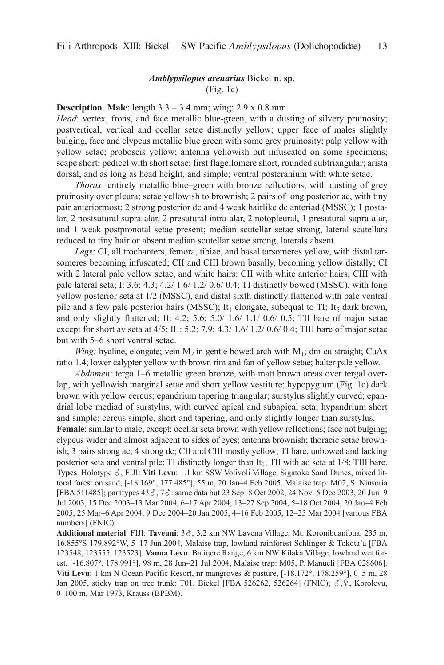## *Amblypsilopus arenarius* Bickel **n**. **sp**. (Fig. 1c)

# **Description**. **Male**: length 3.3 – 3.4 mm; wing: 2.9 x 0.8 mm.

*Head*: vertex, frons, and face metallic blue-green, with a dusting of silvery pruinosity; postvertical, vertical and ocellar setae distinctly yellow; upper face of males slightly bulging, face and clypeus metallic blue green with some grey pruinosity; palp yellow with yellow setae; proboscis yellow; antenna yellowish but infuscated on some specimens; scape short; pedicel with short setae; first flagellomere short, rounded subtriangular; arista dorsal, and as long as head height, and simple; ventral postcranium with white setae.

*Thorax*: entirely metallic blue–green with bronze reflections, with dusting of grey pruinosity over pleura; setae yellowish to brownish; 2 pairs of long posterior ac, with tiny pair anteriormost; 2 strong posterior dc and 4 weak hairlike dc anteriad (MSSc); 1 postalar, 2 postsutural supra-alar, 2 presutural intra-alar, 2 notopleural, 1 presutural supra-alar, and 1 weak postpronotal setae present; median scutellar setae strong, lateral scutellars reduced to tiny hair or absent.median scutellar setae strong, laterals absent.

Legs: CI, all trochanters, femora, tibiae, and basal tarsomeres yellow, with distal tarsomeres becoming infuscated; CII and CIII brown basally, becoming yellow distally; CI with 2 lateral pale yellow setae, and white hairs: CII with white anterior hairs; CIII with pale lateral seta; i: 3.6; 4.3; 4.2/ 1.6/ 1.2/ 0.6/ 0.4; Ti distinctly bowed (MSSc), with long yellow posterior seta at 1/2 (MSSc), and distal sixth distinctly flattened with pale ventral pile and a few pale posterior hairs (MSSC); It<sub>1</sub> elongate, subequal to TI; It<sub>5</sub> dark brown, and only slightly flattened; II: 4.2; 5.6; 5.0/ 1.6/ 1.1/ 0.6/ 0.5; TII bare of major setae except for short av seta at  $4/5$ ; III:  $5.2$ ;  $7.9$ ;  $4.3/1.6/1.2/0.6/0.4$ ; TIII bare of major setae but with 5–6 short ventral setae.

*Wing:* hyaline, elongate; vein  $M_2$  in gentle bowed arch with  $M_1$ ; dm-cu straight; CuAx ratio 1.4; lower calypter yellow with brown rim and fan of yellow setae; halter pale yellow.

*Abdomen*: terga 1–6 metallic green bronze, with matt brown areas over tergal overlap, with yellowish marginal setae and short yellow vestiture; hypopygium (Fig. 1c) dark brown with yellow cercus; epandrium tapering triangular; surstylus slightly curved; epandrial lobe mediad of surstylus, with curved apical and subapical seta; hypandrium short and simple; cercus simple, short and tapering, and only slightly longer than surstylus.

**Female**: similar to male, except: ocellar seta brown with yellow reflections; face not bulging; clypeus wider and almost adjacent to sides of eyes; antenna brownish; thoracic setae brownish; 3 pairs strong ac; 4 strong dc; CII and CIII mostly yellow; TI bare, unbowed and lacking posterior seta and ventral pile; TI distinctly longer than It<sub>1</sub>; TII with ad seta at 1/8; TIII bare. **Types**. Holotype ♂, FIJI: **Viti Levu**: 1.1 km SSW Volivoli Village, Sigatoka Sand Dunes, mixed littoral forest on sand, [-18.169°, 177.485°], 55 m, 20 Jan-4 Feb 2005, Malaise trap: M02, S. Niusoria [FBA 511485]; paratypes  $43\delta$ ,  $7\delta$ : same data but 23 Sep–8 Oct 2002, 24 Nov–5 Dec 2003, 20 Jun–9 Jul 2003, 15 Dec 2003–13 Mar 2004, 6–17 apr 2004, 13–27 Sep 2004, 5–18 Oct 2004, 20 Jan–4 Feb 2005, 25 Mar–6 apr 2004, 9 Dec 2004–20 Jan 2005, 4–16 Feb 2005, 12–25 Mar 2004 [various FBa numbers] (FNIC).

Additional material. FIJI: Taveuni: 3 $\delta$ , 3.2 km NW Lavena Village, Mt. Koronibuanibua, 235 m, 16.855°S 179.892°W, 5–17 Jun 2004, Malaise trap, lowland rainforest Schlinger & Tokota'a [FBa 123548, 123555, 123523]. **Vanua Levu**: Batiqere Range, 6 km nW kilaka Village, lowland wet forest, [-16.807°, 178.991°], 98 m, 28 Jun–21 Jul 2004, Malaise trap: M05, P. Manueli [FBa 028606]. Viti Levu: 1 km N Ocean Pacific Resort, nr mangroves & pasture, [-18.172°, 178.259°], 0-5 m, 28 Jan 2005, sticky trap on tree trunk: T01, Bickel [FBA 526262, 526264] (FNIC);  $\delta$ ,  $\Omega$ , Korolevu, 0–100 m, Mar 1973, krauss (BPBM).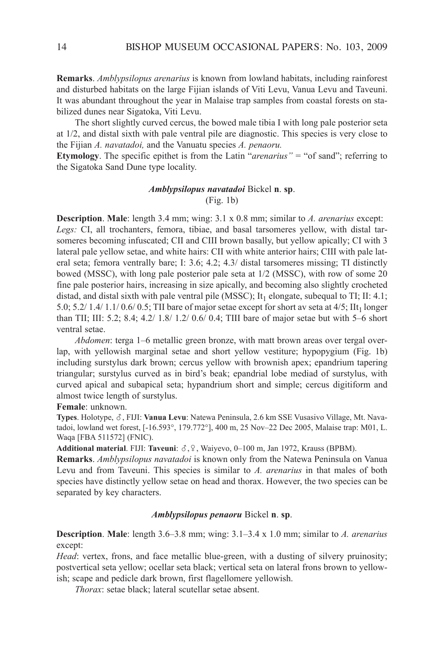**Remarks**. *Amblypsilopus arenarius* is known from lowland habitats, including rainforest and disturbed habitats on the large Fijian islands of Viti levu, Vanua levu and Taveuni. It was abundant throughout the year in Malaise trap samples from coastal forests on stabilized dunes near Sigatoka, Viti levu.

The short slightly curved cercus, the bowed male tibia I with long pale posterior seta at 1/2, and distal sixth with pale ventral pile are diagnostic. This species is very close to the Fijian *A. navatadoi,* and the Vanuatu species *A. penaoru.*

**Etymology**. The specific epithet is from the latin "*arenarius"* = "of sand"; referring to the Sigatoka Sand Dune type locality.

#### *Amblypsilopus navatadoi* Bickel **n**. **sp**. (Fig. 1b)

**Description**. **Male**: length 3.4 mm; wing: 3.1 x 0.8 mm; similar to *A. arenarius* except: Legs: CI, all trochanters, femora, tibiae, and basal tarsomeres yellow, with distal tarsomeres becoming infuscated; CII and CIII brown basally, but yellow apically; CI with 3 lateral pale yellow setae, and white hairs: CII with white anterior hairs; CIII with pale lateral seta; femora ventrally bare; I: 3.6; 4.2; 4.3/ distal tarsomeres missing; TI distinctly bowed (MSSc), with long pale posterior pale seta at 1/2 (MSSc), with row of some 20 fine pale posterior hairs, increasing in size apically, and becoming also slightly crocheted distad, and distal sixth with pale ventral pile (MSSC); It<sub>1</sub> elongate, subequal to TI; II: 4.1; 5.0; 5.2/ 1.4/ 1.1/ 0.6/ 0.5; TII bare of major setae except for short av seta at  $4/5$ ; IIt<sub>1</sub> longer than TII; III: 5.2; 8.4; 4.2/  $1.8/ 1.2/ 0.6/ 0.4$ ; TIII bare of major setae but with 5–6 short ventral setae.

*Abdomen*: terga 1–6 metallic green bronze, with matt brown areas over tergal overlap, with yellowish marginal setae and short yellow vestiture; hypopygium (Fig. 1b) including surstylus dark brown; cercus yellow with brownish apex; epandrium tapering triangular; surstylus curved as in bird's beak; epandrial lobe mediad of surstylus, with curved apical and subapical seta; hypandrium short and simple; cercus digitiform and almost twice length of surstylus.

**Female**: unknown.

Types. Holotype,  $\delta$ , FIJI: Vanua Levu: Natewa Peninsula, 2.6 km SSE Vusasivo Village, Mt. Navatadoi, lowland wet forest, [-16.593°, 179.772°], 400 m, 25 Nov–22 Dec 2005, Malaise trap: M01, L. Waqa [FBA 511572] (FNIC).

Additional material. FIJI: Taveuni:  $\delta$ ,  $\Omega$ , Waiyevo, 0–100 m, Jan 1972, Krauss (BPBM).

**Remarks**. *Amblypsilopus navatadoi* is known only from the Natewa Peninsula on Vanua levu and from Taveuni. This species is similar to *A. arenarius* in that males of both species have distinctly yellow setae on head and thorax. However, the two species can be separated by key characters.

# *Amblypsilopus penaoru* Bickel **n**. **sp**.

**Description**. **Male**: length 3.6–3.8 mm; wing: 3.1–3.4 x 1.0 mm; similar to *A. arenarius* except:

*Head*: vertex, frons, and face metallic blue-green, with a dusting of silvery pruinosity; postvertical seta yellow; ocellar seta black; vertical seta on lateral frons brown to yellowish; scape and pedicle dark brown, first flagellomere yellowish.

*Thorax*: setae black; lateral scutellar setae absent.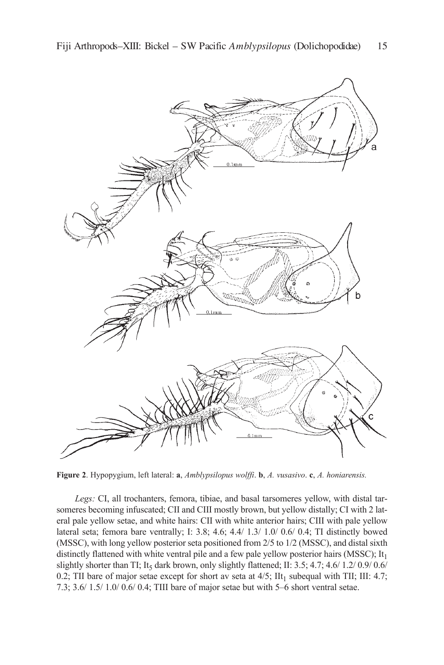

**Figure 2**. Hypopygium, left lateral: **a**, *Amblypsilopus wolffi*. **b**, *A. vusasivo*. **c**, *A. honiarensis.*

Legs: CI, all trochanters, femora, tibiae, and basal tarsomeres yellow, with distal tarsomeres becoming infuscated; CII and CIII mostly brown, but yellow distally; CI with 2 lateral pale yellow setae, and white hairs: CII with white anterior hairs; CIII with pale yellow lateral seta; femora bare ventrally; i: 3.8; 4.6; 4.4/ 1.3/ 1.0/ 0.6/ 0.4; Ti distinctly bowed (MSSc), with long yellow posterior seta positioned from 2/5 to 1/2 (MSSc), and distal sixth distinctly flattened with white ventral pile and a few pale yellow posterior hairs (MSSC);  $It<sub>1</sub>$ slightly shorter than TI; It<sub>5</sub> dark brown, only slightly flattened; II:  $3.5$ ;  $4.7$ ;  $4.6/ 1.2/ 0.9/ 0.6/ 0.6/ 0.6/ 0.7$ 0.2; TII bare of major setae except for short av seta at  $4/5$ ; IIt<sub>1</sub> subequal with TII; III: 4.7; 7.3; 3.6/ 1.5/ 1.0/ 0.6/ 0.4; TIII bare of major setae but with 5–6 short ventral setae.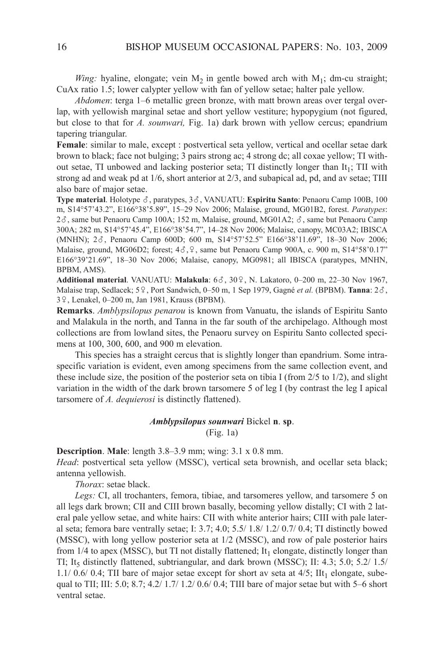*Wing:* hyaline, elongate; vein  $M_2$  in gentle bowed arch with  $M_1$ ; dm-cu straight; CuAx ratio 1.5; lower calypter yellow with fan of yellow setae; halter pale yellow.

*Abdomen*: terga 1–6 metallic green bronze, with matt brown areas over tergal overlap, with yellowish marginal setae and short yellow vestiture; hypopygium (not figured, but close to that for *A. sounwari,* Fig. 1a) dark brown with yellow cercus; epandrium tapering triangular.

**Female**: similar to male, except : postvertical seta yellow, vertical and ocellar setae dark brown to black; face not bulging; 3 pairs strong ac; 4 strong dc; all coxae yellow; Ti without setae, TI unbowed and lacking posterior seta; TI distinctly longer than  $It_1$ ; TII with strong ad and weak pd at  $1/6$ , short anterior at  $2/3$ , and subapical ad, pd, and av setae; TIII also bare of major setae.

**Type material**. Holotype  $\delta$ , paratypes, 3 $\delta$ , VANUATU: **Espiritu Santo**: Penaoru Camp 100B, 100 m, S14°57'43.2", e166°38'5.89", 15–29 nov 2006; Malaise, ground, MG01B2, forest. *Paratypes*:  $2\delta$ , same but Penaoru Camp 100A; 152 m, Malaise, ground, MG01A2;  $\delta$ , same but Penaoru Camp 300a; 282 m, S14°57'45.4", e166°38'54.7", 14–28 nov 2006; Malaise, canopy, Mc03a2; iBiSca (MNHN); 2 $\delta$ , Penaoru Camp 600D; 600 m, S14°57'52.5" E166°38'11.69", 18-30 Nov 2006; Malaise, ground, MG06D2; forest;  $4\delta$ ,  $9$ , same but Penaoru Camp 900A, c. 900 m, S14°58'0.17" e166°39'21.69", 18–30 nov 2006; Malaise, canopy, MG0981; all iBiSca (paratypes, MnHn, BPBM, aMS).

Additional material. VANUATU: Malakula: 6 $\delta$ , 30 $\Omega$ , N. Lakatoro, 0–200 m, 22–30 Nov 1967, Malaise trap, Sedlacek; 59, Port Sandwich, 0–50 m, 1 Sep 1979, Gagné *et al.* (BPBM). **Tanna**: 2 $\delta$ , 3<sup>9</sup>, Lenakel, 0-200 m, Jan 1981, Krauss (BPBM).

**Remarks**. *Amblypsilopus penarou* is known from Vanuatu, the islands of Espiritu Santo and Malakula in the north, and Tanna in the far south of the archipelago. although most collections are from lowland sites, the Penaoru survey on Espiritu Santo collected specimens at 100, 300, 600, and 900 m elevation.

This species has a straight cercus that is slightly longer than epandrium. Some intraspecific variation is evident, even among specimens from the same collection event, and these include size, the position of the posterior seta on tibia I (from  $2/5$  to  $1/2$ ), and slight variation in the width of the dark brown tarsomere  $5$  of leg I (by contrast the leg I apical tarsomere of *A. dequierosi* is distinctly flattened).

## *Amblypsilopus sounwari* Bickel **n**. **sp**. (Fig. 1a)

**Description**. **Male**: length 3.8–3.9 mm; wing: 3.1 x 0.8 mm.

*Head*: postvertical seta yellow (MSSc), vertical seta brownish, and ocellar seta black; antenna yellowish.

*Thorax*: setae black.

Legs: CI, all trochanters, femora, tibiae, and tarsomeres yellow, and tarsomere 5 on all legs dark brown; CII and CIII brown basally, becoming yellow distally; CI with 2 lateral pale yellow setae, and white hairs: CII with white anterior hairs; CIII with pale lateral seta; femora bare ventrally setae; I:  $3.7$ ;  $4.0$ ;  $5.5/1.8/1.2/0.7/0.4$ ; TI distinctly bowed (MSSc), with long yellow posterior seta at 1/2 (MSSc), and row of pale posterior hairs from  $1/4$  to apex (MSSC), but TI not distally flattened; It<sub>1</sub> elongate, distinctly longer than TI; It<sub>5</sub> distinctly flattened, subtriangular, and dark brown (MSSC); II: 4.3; 5.0; 5.2/ 1.5/ 1.1/ 0.6/ 0.4; TII bare of major setae except for short av seta at  $4/5$ ; IIt<sub>1</sub> elongate, subequal to TII; III: 5.0; 8.7; 4.2/ 1.7/ 1.2/ 0.6/ 0.4; TIII bare of major setae but with 5-6 short ventral setae.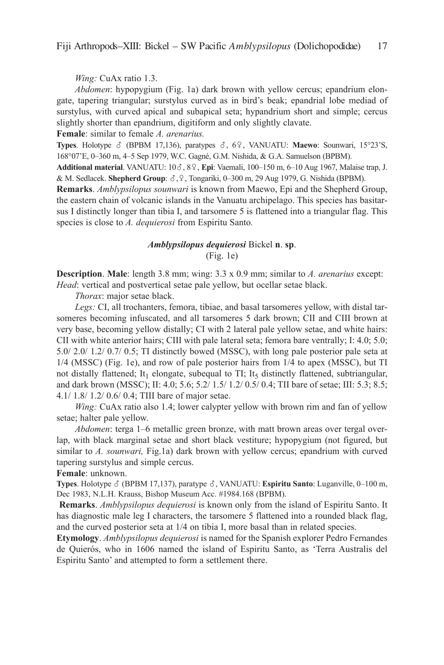*Wing:* CuAx ratio 1.3.

*Abdomen*: hypopygium (Fig. 1a) dark brown with yellow cercus; epandrium elongate, tapering triangular; surstylus curved as in bird's beak; epandrial lobe mediad of surstylus, with curved apical and subapical seta; hypandrium short and simple; cercus slightly shorter than epandrium, digitiform and only slightly clavate.

**Female**: similar to female *A. arenarius.* 

**Types**. Holotype  $\delta$  (BPBM 17,136), paratypes  $\delta$ , 6 $\Omega$ , VANUATU: **Maewo**: Sounwari, 15°23'S, 168°07'e, 0–360 m, 4–5 Sep 1979, W.c. Gagné, G.M. nishida, & G.a. Samuelson (BPBM).

Additional material. VANUATU:  $10\delta$ ,  $8\Omega$ , Epi: Vaemali,  $100-150$  m,  $6-10$  Aug 1967, Malaise trap, J. & M. Sedlacek. **Shepherd Group**:  $\delta$ ,  $\varphi$ , Tongariki, 0–300 m, 29 Aug 1979, G. Nishida (BPBM).

**Remarks**. *Amblypsilopus sounwari* is known from Maewo, epi and the Shepherd Group, the eastern chain of volcanic islands in the Vanuatu archipelago. This species has basitarsus I distinctly longer than tibia I, and tarsomere 5 is flattened into a triangular flag. This species is close to *A. dequierosi* from Espiritu Santo.

# *Amblypsilopus dequierosi* Bickel **n**. **sp**. (Fig. 1e)

**Description**. **Male**: length 3.8 mm; wing: 3.3 x 0.9 mm; similar to *A. arenarius* except: *Head*: vertical and postvertical setae pale yellow, but ocellar setae black.

*Thorax*: major setae black.

Legs: CI, all trochanters, femora, tibiae, and basal tarsomeres yellow, with distal tarsomeres becoming infuscated, and all tarsomeres 5 dark brown; CII and CIII brown at very base, becoming yellow distally; CI with 2 lateral pale yellow setae, and white hairs: CII with white anterior hairs; CIII with pale lateral seta; femora bare ventrally; I:  $4.0$ ;  $5.0$ ; 5.0/ 2.0/ 1.2/ 0.7/ 0.5; Ti distinctly bowed (MSSc), with long pale posterior pale seta at 1/4 (MSSc) (Fig. 1e), and row of pale posterior hairs from 1/4 to apex (MSSc), but Ti not distally flattened; It<sub>1</sub> elongate, subequal to TI; It<sub>5</sub> distinctly flattened, subtriangular, and dark brown (MSSC); II: 4.0; 5.6; 5.2/ 1.5/ 1.2/ 0.5/ 0.4; TII bare of setae; III: 5.3; 8.5; 4.1/ 1.8/ 1.2/ 0.6/ 0.4; Tiii bare of major setae.

*Wing:* CuAx ratio also 1.4; lower calypter yellow with brown rim and fan of yellow setae; halter pale yellow.

*Abdomen*: terga 1–6 metallic green bronze, with matt brown areas over tergal overlap, with black marginal setae and short black vestiture; hypopygium (not figured, but similar to *A. sounwari,* Fig.1a) dark brown with yellow cercus; epandrium with curved tapering surstylus and simple cercus.

# **Female**: unknown.

**Types**. Holotype ♂ (BPBM 17,137), paratype ♂, VANUATU: **Espiritu Santo**: Luganville, 0–100 m, Dec 1983, N.L.H. Krauss, Bishop Museum Acc. #1984.168 (BPBM).

**Remarks**. *Amblypsilopus dequierosi* is known only from the island of Espiritu Santo. It has diagnostic male leg I characters, the tarsomere 5 flattened into a rounded black flag, and the curved posterior seta at  $1/4$  on tibia I, more basal than in related species.

**Etymology**. *Amblypsilopus dequierosi* is named for the Spanish explorer Pedro Fernandes de Quierós, who in 1606 named the island of espiritu Santo, as 'Terra australis del Espiritu Santo' and attempted to form a settlement there.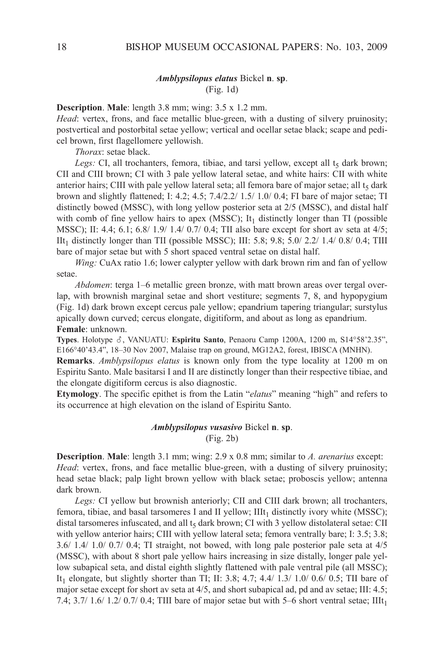## *Amblypsilopus elatus* Bickel **n**. **sp**. (Fig. 1d)

**Description**. **Male**: length 3.8 mm; wing: 3.5 x 1.2 mm.

*Head*: vertex, frons, and face metallic blue-green, with a dusting of silvery pruinosity; postvertical and postorbital setae yellow; vertical and ocellar setae black; scape and pedicel brown, first flagellomere yellowish.

*Thorax*: setae black.

Legs: CI, all trochanters, femora, tibiae, and tarsi yellow, except all  $t<sub>5</sub>$  dark brown; CII and CIII brown; CI with 3 pale yellow lateral setae, and white hairs: CII with white anterior hairs; CIII with pale yellow lateral seta; all femora bare of major setae; all  $t<sub>5</sub>$  dark brown and slightly flattened; I:  $4.2$ ;  $4.5$ ;  $7.4/2.2/1.5/1.0/0.4$ ; FI bare of major setae; TI distinctly bowed (MSSc), with long yellow posterior seta at 2/5 (MSSc), and distal half with comb of fine yellow hairs to apex (MSSC); It<sub>1</sub> distinctly longer than TI (possible MSSC); II:  $4.4$ ;  $6.1$ ;  $6.8/1.9/1.4/0.7/0.4$ ; TII also bare except for short av seta at  $4/5$ ; IIt<sub>1</sub> distinctly longer than TII (possible MSSC); III: 5.8; 9.8; 5.0/ 2.2/ 1.4/ 0.8/ 0.4; TIII bare of major setae but with 5 short spaced ventral setae on distal half.

*Wing:* CuAx ratio 1.6; lower calypter yellow with dark brown rim and fan of yellow setae.

*Abdomen*: terga 1–6 metallic green bronze, with matt brown areas over tergal overlap, with brownish marginal setae and short vestiture; segments 7, 8, and hypopygium (Fig. 1d) dark brown except cercus pale yellow; epandrium tapering triangular; surstylus apically down curved; cercus elongate, digitiform, and about as long as epandrium. **Female**: unknown.

Types. Holotype ♂, VANUATU: Espiritu Santo, Penaoru Camp 1200A, 1200 m, S14°58'2.35", e166°40'43.4", 18–30 nov 2007, Malaise trap on ground, MG12a2, forest, iBiSca (MnHn).

**Remarks**. *Amblypsilopus elatus* is known only from the type locality at 1200 m on Espiritu Santo. Male basitarsi I and II are distinctly longer than their respective tibiae, and the elongate digitiform cercus is also diagnostic.

**Etymology**. The specific epithet is from the latin "*elatus*" meaning "high" and refers to its occurrence at high elevation on the island of Espiritu Santo.

# *Amblypsilopus vusasivo* Bickel **n**. **sp**.

(Fig. 2b)

**Description**. **Male**: length 3.1 mm; wing: 2.9 x 0.8 mm; similar to *A. arenarius* except: *Head*: vertex, frons, and face metallic blue-green, with a dusting of silvery pruinosity; head setae black; palp light brown yellow with black setae; proboscis yellow; antenna dark brown.

Legs: CI yellow but brownish anteriorly; CII and CIII dark brown; all trochanters, femora, tibiae, and basal tarsomeres I and II yellow;  $IIIt<sub>1</sub>$  distinctly ivory white (MSSC); distal tarsomeres infuscated, and all  $t<sub>5</sub>$  dark brown; CI with 3 yellow distolateral setae: CII with yellow anterior hairs; CIII with yellow lateral seta; femora ventrally bare; I: 3.5; 3.8; 3.6/ 1.4/ 1.0/ 0.7/ 0.4; Ti straight, not bowed, with long pale posterior pale seta at 4/5 (MSSc), with about 8 short pale yellow hairs increasing in size distally, longer pale yellow subapical seta, and distal eighth slightly flattened with pale ventral pile (all MSSc); It<sub>1</sub> elongate, but slightly shorter than TI; II: 3.8; 4.7; 4.4/ 1.3/ 1.0/ 0.6/ 0.5; TII bare of major setae except for short av seta at  $4/5$ , and short subapical ad, pd and av setae; III:  $4.5$ ; 7.4; 3.7/ 1.6/ 1.2/ 0.7/ 0.4; TIII bare of major setae but with 5–6 short ventral setae; IIIt<sub>1</sub>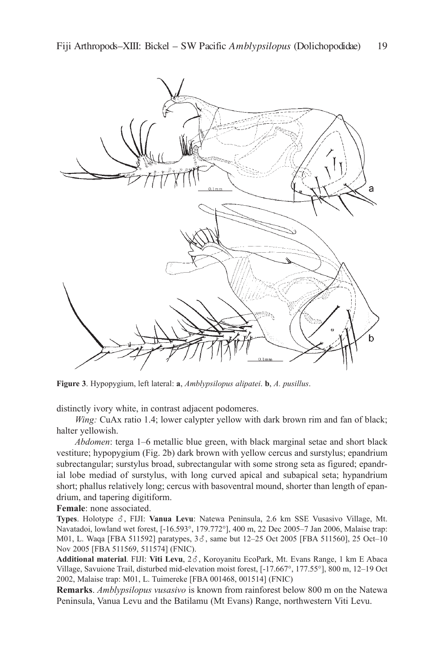

**Figure 3**. Hypopygium, left lateral: **a**, *Amblypsilopus alipatei*. **b**, *A. pusillus*.

distinctly ivory white, in contrast adjacent podomeres.

*Wing:* CuAx ratio 1.4; lower calypter yellow with dark brown rim and fan of black; halter yellowish.

*Abdomen*: terga 1–6 metallic blue green, with black marginal setae and short black vestiture; hypopygium (Fig. 2b) dark brown with yellow cercus and surstylus; epandrium subrectangular; surstylus broad, subrectangular with some strong seta as figured; epandrial lobe mediad of surstylus, with long curved apical and subapical seta; hypandrium short; phallus relatively long; cercus with basoventral mound, shorter than length of epandrium, and tapering digitiform.

**Female**: none associated.

**Types**. Holotype  $\delta$ , FIJI: **Vanua Levu**: Natewa Peninsula, 2.6 km SSE Vusasivo Village, Mt. navatadoi, lowland wet forest, [-16.593°, 179.772°], 400 m, 22 Dec 2005–7 Jan 2006, Malaise trap: M01, L. Waqa [FBA 511592] paratypes,  $3\delta$ , same but 12-25 Oct 2005 [FBA 511560], 25 Oct-10 nov 2005 [FBa 511569, 511574] (Fnic).

Additional material. FIJI: Viti Levu, 28, Koroyanitu EcoPark, Mt. Evans Range, 1 km E Abaca Village, Savuione Trail, disturbed mid-elevation moist forest, [-17.667°, 177.55°], 800 m, 12–19 Oct 2002, Malaise trap: M01, l. Tuimereke [FBa 001468, 001514] (Fnic)

**Remarks**. *Amblypsilopus vusasivo* is known from rainforest below 800 m on the Natewa Peninsula, Vanua Levu and the Batilamu (Mt Evans) Range, northwestern Viti Levu.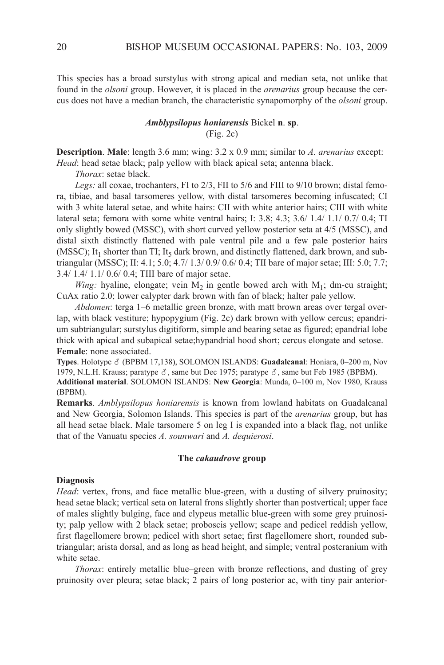This species has a broad surstylus with strong apical and median seta, not unlike that found in the *olsoni* group. However, it is placed in the *arenarius* group because the cercus does not have a median branch, the characteristic synapomorphy of the *olsoni* group.

## *Amblypsilopus honiarensis* Bickel **n**. **sp**. (Fig. 2c)

**Description**. **Male**: length 3.6 mm; wing: 3.2 x 0.9 mm; similar to *A. arenarius* except: *Head*: head setae black; palp yellow with black apical seta; antenna black.

*Thorax*: setae black.

Legs: all coxae, trochanters, FI to 2/3, FII to 5/6 and FIII to 9/10 brown; distal femora, tibiae, and basal tarsomeres yellow, with distal tarsomeres becoming infuscated; CI with 3 white lateral setae, and white hairs: CII with white anterior hairs; CIII with white lateral seta; femora with some white ventral hairs; i: 3.8; 4.3; 3.6/ 1.4/ 1.1/ 0.7/ 0.4; Ti only slightly bowed (MSSc), with short curved yellow posterior seta at 4/5 (MSSc), and distal sixth distinctly flattened with pale ventral pile and a few pale posterior hairs (MSSC); It<sub>1</sub> shorter than TI; It<sub>5</sub> dark brown, and distinctly flattened, dark brown, and subtriangular (MSSC); II: 4.1; 5.0; 4.7/ 1.3/ 0.9/ 0.6/ 0.4; TII bare of major setae; III: 5.0; 7.7; 3.4/ 1.4/ 1.1/ 0.6/ 0.4; Tiii bare of major setae.

*Wing:* hyaline, elongate; vein  $M_2$  in gentle bowed arch with  $M_1$ ; dm-cu straight; CuAx ratio 2.0; lower calypter dark brown with fan of black; halter pale yellow.

*Abdomen*: terga 1–6 metallic green bronze, with matt brown areas over tergal overlap, with black vestiture; hypopygium (Fig. 2c) dark brown with yellow cercus; epandrium subtriangular; surstylus digitiform, simple and bearing setae as figured; epandrial lobe thick with apical and subapical setae;hypandrial hood short; cercus elongate and setose. **Female**: none associated.

**Types**. Holotype ♂ (BPBM 17,138), SOLOMON ISLANDS: **Guadalcanal**: Honiara, 0–200 m, Nov 1979, N.L.H. Krauss; paratype  $\delta$ , same but Dec 1975; paratype  $\delta$ , same but Feb 1985 (BPBM). **Additional material**. SOlOMOn iSlanDS: **New Georgia**: Munda, 0–100 m, nov 1980, krauss

(BPBM).

**Remarks**. *Amblypsilopus honiarensis* is known from lowland habitats on Guadalcanal and new Georgia, Solomon islands. This species is part of the *arenarius* group, but has all head setae black. Male tarsomere 5 on leg I is expanded into a black flag, not unlike that of the Vanuatu species *A. sounwari* and *A. dequierosi*.

#### **The** *cakaudrove* **group**

### **Diagnosis**

*Head*: vertex, frons, and face metallic blue-green, with a dusting of silvery pruinosity; head setae black; vertical seta on lateral frons slightly shorter than postvertical; upper face of males slightly bulging, face and clypeus metallic blue-green with some grey pruinosity; palp yellow with 2 black setae; proboscis yellow; scape and pedicel reddish yellow, first flagellomere brown; pedicel with short setae; first flagellomere short, rounded subtriangular; arista dorsal, and as long as head height, and simple; ventral postcranium with white setae.

*Thorax*: entirely metallic blue–green with bronze reflections, and dusting of grey pruinosity over pleura; setae black; 2 pairs of long posterior ac, with tiny pair anterior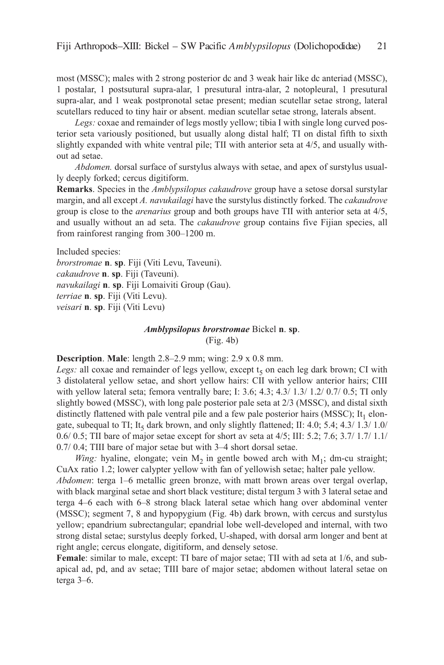most (MSSc); males with 2 strong posterior dc and 3 weak hair like dc anteriad (MSSc), 1 postalar, 1 postsutural supra-alar, 1 presutural intra-alar, 2 notopleural, 1 presutural supra-alar, and 1 weak postpronotal setae present; median scutellar setae strong, lateral scutellars reduced to tiny hair or absent. median scutellar setae strong, laterals absent.

*Legs:* coxae and remainder of legs mostly yellow; tibia I with single long curved posterior seta variously positioned, but usually along distal half; Ti on distal fifth to sixth slightly expanded with white ventral pile; TII with anterior seta at 4/5, and usually without ad setae.

*Abdomen.* dorsal surface of surstylus always with setae, and apex of surstylus usually deeply forked; cercus digitiform.

**Remarks**. Species in the *Amblypsilopus cakaudrove* group have a setose dorsal surstylar margin, and all except *A. navukailagi* have the surstylus distinctly forked. The *cakaudrove* group is close to the *arenarius* group and both groups have Tii with anterior seta at 4/5, and usually without an ad seta. The *cakaudrove* group contains five Fijian species, all from rainforest ranging from 300–1200 m.

Included species:

*brorstromae* **n**. **sp**. Fiji (Viti levu, Taveuni). *cakaudrove* **n**. **sp**. Fiji (Taveuni). *navukailagi* **n**. **sp**. Fiji lomaiviti Group (Gau). *terriae* **n**. **sp**. Fiji (Viti levu). *veisari* **n**. **sp**. Fiji (Viti levu)

#### *Amblypsilopus brorstromae* Bickel **n**. **sp**.

(Fig. 4b)

## **Description**. **Male**: length 2.8–2.9 mm; wing: 2.9 x 0.8 mm.

*Legs:* all coxae and remainder of legs yellow, except  $t<sub>5</sub>$  on each leg dark brown; CI with 3 distolateral yellow setae, and short yellow hairs: CII with yellow anterior hairs; CIII with yellow lateral seta; femora ventrally bare; I: 3.6; 4.3; 4.3/ 1.3/ 1.2/ 0.7/ 0.5; TI only slightly bowed (MSSc), with long pale posterior pale seta at 2/3 (MSSc), and distal sixth distinctly flattened with pale ventral pile and a few pale posterior hairs (MSSC); It<sub>1</sub> elongate, subequal to TI; It<sub>5</sub> dark brown, and only slightly flattened; II: 4.0; 5.4; 4.3/ 1.3/ 1.0/ 0.6/ 0.5; TII bare of major setae except for short av seta at 4/5; III: 5.2; 7.6; 3.7/ 1.7/ 1.1/ 0.7/ 0.4; TIII bare of major setae but with 3–4 short dorsal setae.

*Wing:* hyaline, elongate; vein  $M_2$  in gentle bowed arch with  $M_1$ ; dm-cu straight; CuAx ratio 1.2; lower calypter yellow with fan of yellowish setae; halter pale yellow. *Abdomen*: terga 1–6 metallic green bronze, with matt brown areas over tergal overlap, with black marginal setae and short black vestiture; distal tergum 3 with 3 lateral setae and terga 4–6 each with 6–8 strong black lateral setae which hang over abdominal venter (MSSc); segment 7, 8 and hypopygium (Fig. 4b) dark brown, with cercus and surstylus yellow; epandrium subrectangular; epandrial lobe well-developed and internal, with two strong distal setae; surstylus deeply forked, U-shaped, with dorsal arm longer and bent at right angle; cercus elongate, digitiform, and densely setose.

**Female**: similar to male, except: TI bare of major setae; TII with ad seta at 1/6, and subapical ad, pd, and av setae; Tiii bare of major setae; abdomen without lateral setae on terga 3–6.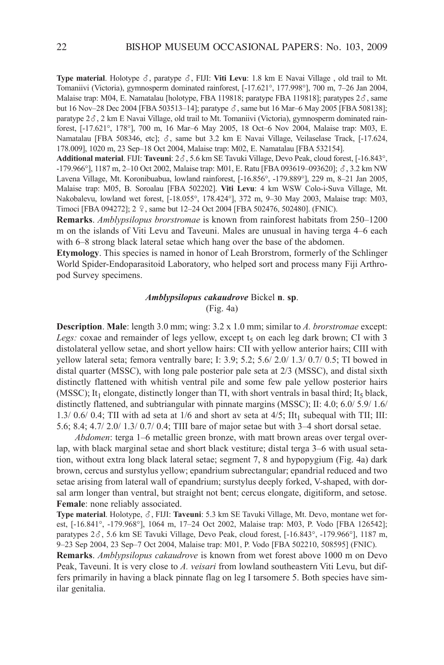Type material. Holotype  $\delta$ , paratype  $\delta$ , FIJI: Viti Levu: 1.8 km E Navai Village, old trail to Mt. Tomaniivi (Victoria), gymnosperm dominated rainforest, [-17.621°, 177.998°], 700 m, 7–26 Jan 2004, Malaise trap: M04, E. Namatalau [holotype, FBA 119818; paratype FBA 119818]; paratypes  $2\delta$ , same but 16 Nov–28 Dec 2004 [FBA 503513–14]; paratype  $\delta$ , same but 16 Mar–6 May 2005 [FBA 508138]; paratype  $2\delta$ , 2 km E Navai Village, old trail to Mt. Tomaniivi (Victoria), gymnosperm dominated rainforest, [-17.621°, 178°], 700 m, 16 Mar–6 May 2005, 18 Oct–6 nov 2004, Malaise trap: M03, e. Namatalau [FBA 508346, etc];  $\delta$ , same but 3.2 km E Navai Village, Veilaselase Track, [-17.624, 178.009], 1020 m, 23 Sep–18 Oct 2004, Malaise trap: M02, e. namatalau [FBa 532154].

Additional material. FIJI: Taveuni: 2 $\delta$ , 5.6 km SE Tavuki Village, Devo Peak, cloud forest, [-16.843°, -179.966°], 1187 m, 2-10 Oct 2002, Malaise trap: M01, E. Ratu [FBA 093619-093620];  $\delta$ , 3.2 km NW lavena Village, Mt. koronibuabua, lowland rainforest, [-16.856°, -179.889°], 229 m, 8–21 Jan 2005, Malaise trap: M05, B. Soroalau [FBa 502202]. **Viti Levu**: 4 km WSW colo-i-Suva Village, Mt. nakobalevu, lowland wet forest, [-18.055°, 178.424°], 372 m, 9–30 May 2003, Malaise trap: M03, Timoci [FBA 094272]; 2 9, same but 12-24 Oct 2004 [FBA 502476, 502480]. (FNIC).

**Remarks**. *Amblypsilopus brorstromae* is known from rainforest habitats from 250–1200 m on the islands of Viti levu and Taveuni. Males are unusual in having terga 4–6 each with 6–8 strong black lateral setae which hang over the base of the abdomen.

**Etymology**. This species is named in honor of leah Brorstrom, formerly of the Schlinger World Spider-Endoparasitoid Laboratory, who helped sort and process many Fiji Arthropod Survey specimens.

# *Amblypsilopus cakaudrove* Bickel **n**. **sp**. (Fig. 4a)

**Description**. **Male**: length 3.0 mm; wing: 3.2 x 1.0 mm; similar to *A. brorstromae* except: *Legs:* coxae and remainder of legs yellow, except  $t<sub>5</sub>$  on each leg dark brown; CI with 3 distolateral yellow setae, and short yellow hairs: CII with yellow anterior hairs; CIII with yellow lateral seta; femora ventrally bare; I:  $3.9$ ;  $5.2$ ;  $5.6/$   $2.0/$   $1.3/$   $0.7/$   $0.5$ ; TI bowed in distal quarter (MSSc), with long pale posterior pale seta at 2/3 (MSSc), and distal sixth distinctly flattened with whitish ventral pile and some few pale yellow posterior hairs (MSSC); It<sub>1</sub> elongate, distinctly longer than TI, with short ventrals in basal third; It<sub>5</sub> black, distinctly flattened, and subtriangular with pinnate margins (MSSC); II: 4.0; 6.0/ 5.9/ 1.6/ 1.3/ 0.6/ 0.4; TII with ad seta at  $1/6$  and short av seta at  $4/5$ ; IIt<sub>1</sub> subequal with TII; III: 5.6; 8.4; 4.7/ 2.0/ 1.3/ 0.7/ 0.4; Tiii bare of major setae but with 3–4 short dorsal setae.

*Abdomen*: terga 1–6 metallic green bronze, with matt brown areas over tergal overlap, with black marginal setae and short black vestiture; distal terga 3–6 with usual setation, without extra long black lateral setae; segment 7, 8 and hypopygium (Fig. 4a) dark brown, cercus and surstylus yellow; epandrium subrectangular; epandrial reduced and two setae arising from lateral wall of epandrium; surstylus deeply forked, V-shaped, with dorsal arm longer than ventral, but straight not bent; cercus elongate, digitiform, and setose. **Female**: none reliably associated.

**Type material**. Holotype,  $\delta$ , FIJI: **Taveuni**: 5.3 km SE Tavuki Village, Mt. Devo, montane wet forest, [-16.841°, -179.968°], 1064 m, 17–24 Oct 2002, Malaise trap: M03, P. Vodo [FBa 126542]; paratypes 2 $\delta$ , 5.6 km SE Tavuki Village, Devo Peak, cloud forest, [-16.843°, -179.966°], 1187 m, 9–23 Sep 2004, 23 Sep–7 Oct 2004, Malaise trap: M01, P. Vodo [FBa 502210, 508595] (Fnic).

**Remarks**. *Amblypsilopus cakaudrove* is known from wet forest above 1000 m on Devo Peak, Taveuni. It is very close to *A. veisari* from lowland southeastern Viti Levu, but differs primarily in having a black pinnate flag on leg I tarsomere 5. Both species have similar genitalia.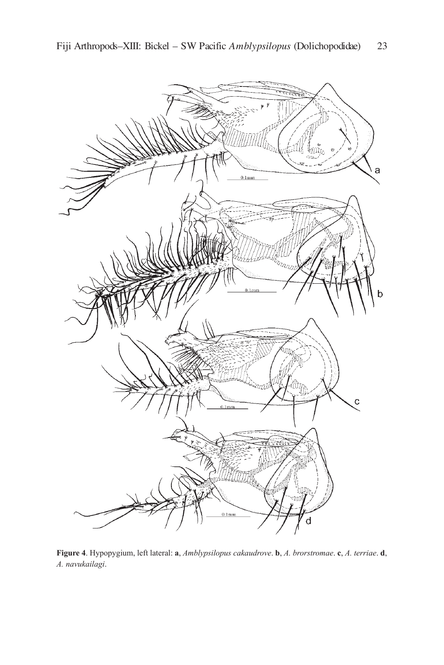

**Figure 4**. Hypopygium, left lateral: **a**, *Amblypsilopus cakaudrove*. **b**, *A. brorstromae*. **c**, *A. terriae*. **d**, *A. navukailagi*.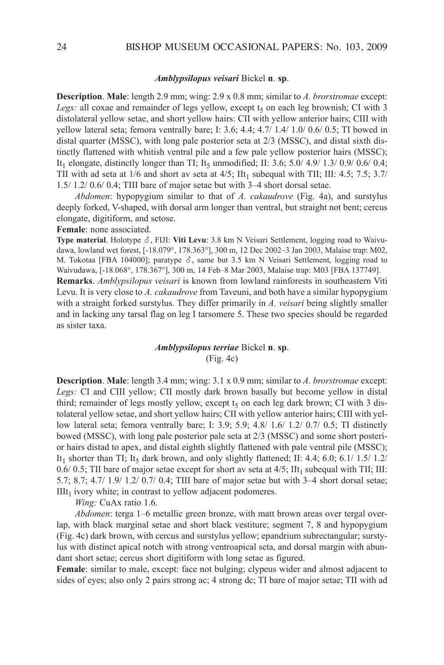#### *Amblypsilopus veisari* Bickel **n**. **sp**.

**Description**. **Male**: length 2.9 mm; wing: 2.9 x 0.8 mm; similar to *A. brorstromae* except: *Legs:* all coxae and remainder of legs yellow, except  $t<sub>5</sub>$  on each leg brownish; CI with 3 distolateral yellow setae, and short yellow hairs: CII with yellow anterior hairs; CIII with yellow lateral seta; femora ventrally bare; I:  $3.6$ ;  $4.4$ ;  $4.7/1.4/1.0/0.6/0.5$ ; TI bowed in distal quarter (MSSc), with long pale posterior seta at 2/3 (MSSc), and distal sixth distinctly flattened with whitish ventral pile and a few pale yellow posterior hairs (MSSc); It<sub>1</sub> elongate, distinctly longer than TI; It<sub>5</sub> unmodified; II: 3.6; 5.0/ 4.9/ 1.3/ 0.9/ 0.6/ 0.4; TII with ad seta at  $1/6$  and short av seta at  $4/5$ ; IIt<sub>1</sub> subequal with TII; III: 4.5; 7.5; 3.7/ 1.5/ 1.2/ 0.6/ 0.4; Tiii bare of major setae but with 3–4 short dorsal setae.

*Abdomen*: hypopygium similar to that of *A. cakaudrove* (Fig. 4a), and surstylus deeply forked, V-shaped, with dorsal arm longer than ventral, but straight not bent; cercus elongate, digitiform, and setose.

**Female**: none associated.

**Type material.** Holotype  $\delta$ , FIJI: **Viti Levu**: 3.8 km N Veisari Settlement, logging road to Waivudawa, lowland wet forest, [-18.079°, 178.363°], 300 m, 12 Dec 2002–3 Jan 2003, Malaise trap: M02, M. Tokotaa [FBA 104000]; paratype  $\delta$ , same but 3.5 km N Veisari Settlement, logging road to Waivudawa, [-18.068°, 178.367°], 300 m, 14 Feb–8 Mar 2003, Malaise trap: M03 [FBa 137749].

**Remarks**. *Amblypsilopus veisari* is known from lowland rainforests in southeastern Viti levu. it is very close to *A. cakaudrove* from Taveuni, and both have a similar hypopygium with a straight forked surstylus. They differ primarily in *A. veisari* being slightly smaller and in lacking any tarsal flag on leg I tarsomere 5. These two species should be regarded as sister taxa.

# *Amblypsilopus terriae* Bickel **n**. **sp**. (Fig. 4c)

**Description**. **Male**: length 3.4 mm; wing: 3.1 x 0.9 mm; similar to *A. brorstromae* except: Legs: CI and CIII yellow; CII mostly dark brown basally but become yellow in distal third; remainder of legs mostly yellow, except  $t<sub>5</sub>$  on each leg dark brown; CI with 3 distolateral yellow setae, and short yellow hairs; CII with yellow anterior hairs; CIII with yellow lateral seta; femora ventrally bare; I: 3.9; 5.9;  $4.8/1.6/1.2/0.7/0.5$ ; TI distinctly bowed (MSSc), with long pale posterior pale seta at 2/3 (MSSc) and some short posterior hairs distad to apex, and distal eighth slightly flattened with pale ventral pile (MSSc); It<sub>1</sub> shorter than TI; It<sub>5</sub> dark brown, and only slightly flattened; II: 4.4; 6.0; 6.1/ 1.5/ 1.2/ 0.6/ 0.5; TII bare of major setae except for short av seta at  $4/5$ ; IIt<sub>1</sub> subequal with TII; III: 5.7; 8.7; 4.7/ 1.9/ 1.2/ 0.7/ 0.4; Tiii bare of major setae but with 3–4 short dorsal setae;  $IIIt<sub>1</sub>$  ivory white; in contrast to yellow adjacent podomeres.

*Wing:* CuAx ratio 1.6.

*Abdomen*: terga 1–6 metallic green bronze, with matt brown areas over tergal overlap, with black marginal setae and short black vestiture; segment 7, 8 and hypopygium (Fig. 4c) dark brown, with cercus and surstylus yellow; epandrium subrectangular; surstylus with distinct apical notch with strong ventroapical seta, and dorsal margin with abundant short setae; cercus short digitiform with long setae as figured.

**Female**: similar to male, except: face not bulging; clypeus wider and almost adjacent to sides of eyes; also only 2 pairs strong ac; 4 strong dc; TI bare of major setae; TII with ad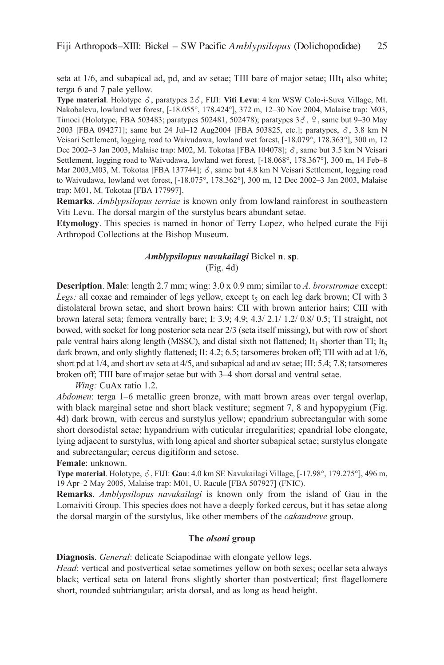seta at  $1/6$ , and subapical ad, pd, and av setae; TIII bare of major setae; III $t_1$  also white; terga 6 and 7 pale yellow.

Type material. Holotype  $\delta$ , paratypes  $2\delta$ , FIJI: Viti Levu: 4 km WSW Colo-i-Suva Village, Mt. nakobalevu, lowland wet forest, [-18.055°, 178.424°], 372 m, 12–30 nov 2004, Malaise trap: M03, Timoci (Holotype, FBA 503483; paratypes 502481, 502478); paratypes  $3\delta$ ,  $9$ , same but 9–30 May 2003 [FBA 094271]; same but 24 Jul–12 Aug2004 [FBA 503825, etc.]; paratypes,  $\delta$ , 3.8 km N Veisari Settlement, logging road to Waivudawa, lowland wet forest, [-18.079°, 178.363°], 300 m, 12 Dec 2002–3 Jan 2003, Malaise trap: M02, M. Tokotaa [FBA 104078];  $\delta$ , same but 3.5 km N Veisari Settlement, logging road to Waivudawa, lowland wet forest, [-18.068°, 178.367°], 300 m, 14 Feb–8 Mar 2003, M03, M. Tokotaa [FBA 137744];  $\delta$ , same but 4.8 km N Veisari Settlement, logging road to Waivudawa, lowland wet forest, [-18.075°, 178.362°], 300 m, 12 Dec 2002–3 Jan 2003, Malaise trap: M01, M. Tokotaa [FBa 177997].

**Remarks**. *Amblypsilopus terriae* is known only from lowland rainforest in southeastern Viti levu. The dorsal margin of the surstylus bears abundant setae.

**Etymology**. This species is named in honor of Terry lopez, who helped curate the Fiji arthropod collections at the Bishop Museum.

# *Amblypsilopus navukailagi* Bickel **n**. **sp**.

(Fig. 4d)

**Description**. **Male**: length 2.7 mm; wing: 3.0 x 0.9 mm; similar to *A. brorstromae* except: *Legs:* all coxae and remainder of legs yellow, except  $t<sub>5</sub>$  on each leg dark brown; CI with 3 distolateral brown setae, and short brown hairs: CII with brown anterior hairs; CIII with brown lateral seta; femora ventrally bare; i: 3.9; 4.9; 4.3/ 2.1/ 1.2/ 0.8/ 0.5; Ti straight, not bowed, with socket for long posterior seta near 2/3 (seta itself missing), but with row of short pale ventral hairs along length (MSSC), and distal sixth not flattened; It<sub>1</sub> shorter than TI; It<sub>5</sub> dark brown, and only slightly flattened; II: 4.2; 6.5; tarsomeres broken off; TII with ad at 1/6, short pd at  $1/4$ , and short av seta at  $4/5$ , and subapical ad and av setae; III: 5.4; 7.8; tarsomeres broken off; Tiii bare of major setae but with 3–4 short dorsal and ventral setae.

*Wing:* CuAx ratio 1.2.

*Abdomen*: terga 1–6 metallic green bronze, with matt brown areas over tergal overlap, with black marginal setae and short black vestiture; segment 7, 8 and hypopygium (Fig. 4d) dark brown, with cercus and surstylus yellow; epandrium subrectangular with some short dorsodistal setae; hypandrium with cuticular irregularities; epandrial lobe elongate, lying adjacent to surstylus, with long apical and shorter subapical setae; surstylus elongate and subrectangular; cercus digitiform and setose.

#### **Female**: unknown.

**Type material**. Holotype,  $\delta$ , FIJI: **Gau**: 4.0 km SE Navukailagi Village, [-17.98°, 179.275°], 496 m, 19 apr–2 May 2005, Malaise trap: M01, U. Racule [FBa 507927] (Fnic).

**Remarks**. *Amblypsilopus navukailagi* is known only from the island of Gau in the lomaiviti Group. This species does not have a deeply forked cercus, but it has setae along the dorsal margin of the surstylus, like other members of the *cakaudrove* group.

## **The** *olsoni* **group**

**Diagnosis**. *General*: delicate Sciapodinae with elongate yellow legs.

*Head*: vertical and postvertical setae sometimes yellow on both sexes; ocellar seta always black; vertical seta on lateral frons slightly shorter than postvertical; first flagellomere short, rounded subtriangular; arista dorsal, and as long as head height.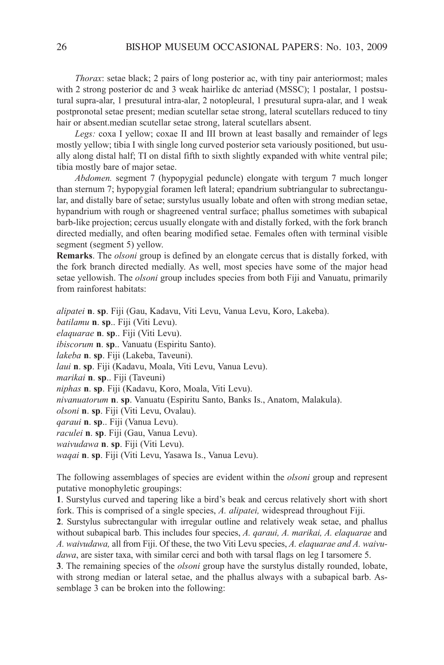*Thorax*: setae black; 2 pairs of long posterior ac, with tiny pair anteriormost; males with 2 strong posterior dc and 3 weak hairlike dc anteriad (MSSc); 1 postalar, 1 postsutural supra-alar, 1 presutural intra-alar, 2 notopleural, 1 presutural supra-alar, and 1 weak postpronotal setae present; median scutellar setae strong, lateral scutellars reduced to tiny hair or absent.median scutellar setae strong, lateral scutellars absent.

Legs: coxa I yellow; coxae II and III brown at least basally and remainder of legs mostly yellow; tibia I with single long curved posterior seta variously positioned, but usually along distal half; Ti on distal fifth to sixth slightly expanded with white ventral pile; tibia mostly bare of major setae.

*Abdomen.* segment 7 (hypopygial peduncle) elongate with tergum 7 much longer than sternum 7; hypopygial foramen left lateral; epandrium subtriangular to subrectangular, and distally bare of setae; surstylus usually lobate and often with strong median setae, hypandrium with rough or shagreened ventral surface; phallus sometimes with subapical barb-like projection; cercus usually elongate with and distally forked, with the fork branch directed medially, and often bearing modified setae. Females often with terminal visible segment (segment 5) yellow.

**Remarks**. The *olsoni* group is defined by an elongate cercus that is distally forked, with the fork branch directed medially. as well, most species have some of the major head setae yellowish. The *olsoni* group includes species from both Fiji and Vanuatu, primarily from rainforest habitats:

*alipatei* **n**. **sp**. Fiji (Gau, kadavu, Viti levu, Vanua levu, koro, lakeba). *batilamu* **n**. **sp**.. Fiji (Viti levu). *elaquarae* **n**. **sp**.. Fiji (Viti levu). *ibiscorum* **n**. **sp**.. Vanuatu (Espiritu Santo). *lakeba* **n**. **sp**. Fiji (lakeba, Taveuni). *laui* **n**. **sp**. Fiji (kadavu, Moala, Viti levu, Vanua levu). *marikai* **n**. **sp**.. Fiji (Taveuni) *niphas* **n**. **sp**. Fiji (kadavu, koro, Moala, Viti levu). *nivanuatorum* **n**. **sp**. Vanuatu (Espiritu Santo, Banks Is., Anatom, Malakula). *olsoni* **n**. **sp**. Fiji (Viti levu, Ovalau). *qaraui* **n**. **sp**.. Fiji (Vanua levu). *raculei* **n**. **sp**. Fiji (Gau, Vanua levu). *waivudawa* **n**. **sp**. Fiji (Viti levu). *waqai* **n**. **sp**. Fiji (Viti levu, yasawa is., Vanua levu).

The following assemblages of species are evident within the *olsoni* group and represent putative monophyletic groupings:

**1**. Surstylus curved and tapering like a bird's beak and cercus relatively short with short fork. This is comprised of a single species, *A. alipatei,* widespread throughout Fiji.

**2**. Surstylus subrectangular with irregular outline and relatively weak setae, and phallus without subapical barb. This includes four species, *A. qaraui, A. marikai, A. elaquarae* and *A. waivudawa,* all from Fiji. Of these, the two Viti levu species, *A. elaquarae and A. waivudawa*, are sister taxa, with similar cerci and both with tarsal flags on leg I tarsomere 5.

**3**. The remaining species of the *olsoni* group have the surstylus distally rounded, lobate, with strong median or lateral setae, and the phallus always with a subapical barb. Assemblage 3 can be broken into the following: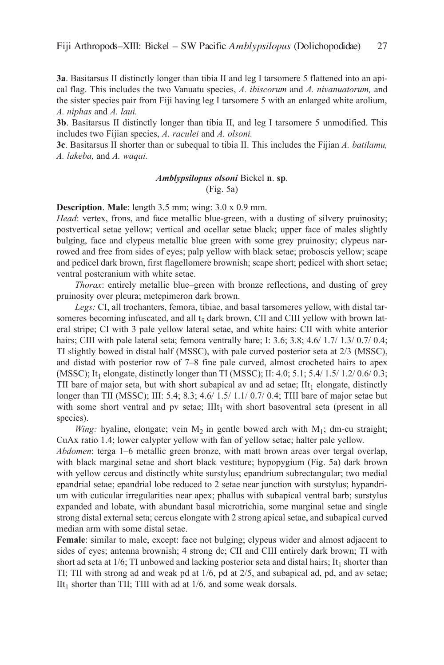**3a**. Basitarsus II distinctly longer than tibia II and leg I tarsomere 5 flattened into an apical flag. This includes the two Vanuatu species, *A. ibiscorum* and *A. nivanuatorum,* and the sister species pair from Fiji having leg I tarsomere 5 with an enlarged white arolium, *A. niphas* and *A. laui.*

**3b**. Basitarsus II distinctly longer than tibia II, and leg I tarsomere 5 unmodified. This includes two Fijian species, *A. raculei* and *A. olsoni.*

**3c**. Basitarsus II shorter than or subequal to tibia II. This includes the Fijian *A. batilamu*, *A. lakeba,* and *A. waqai.*

# *Amblypsilopus olsoni* Bickel **n**. **sp**.

(Fig. 5a)

**Description**. **Male**: length 3.5 mm; wing: 3.0 x 0.9 mm.

*Head*: vertex, frons, and face metallic blue-green, with a dusting of silvery pruinosity; postvertical setae yellow; vertical and ocellar setae black; upper face of males slightly bulging, face and clypeus metallic blue green with some grey pruinosity; clypeus narrowed and free from sides of eyes; palp yellow with black setae; proboscis yellow; scape and pedicel dark brown, first flagellomere brownish; scape short; pedicel with short setae; ventral postcranium with white setae.

*Thorax*: entirely metallic blue–green with bronze reflections, and dusting of grey pruinosity over pleura; metepimeron dark brown.

Legs: CI, all trochanters, femora, tibiae, and basal tarsomeres yellow, with distal tarsomeres becoming infuscated, and all  $t<sub>5</sub>$  dark brown, CII and CIII yellow with brown lateral stripe; CI with 3 pale yellow lateral setae, and white hairs: CII with white anterior hairs; CIII with pale lateral seta; femora ventrally bare; I: 3.6; 3.8; 4.6/ 1.7/ 1.3/ 0.7/ 0.4; Ti slightly bowed in distal half (MSSc), with pale curved posterior seta at 2/3 (MSSc), and distad with posterior row of 7–8 fine pale curved, almost crocheted hairs to apex (MSSC); It<sub>1</sub> elongate, distinctly longer than TI (MSSC); II: 4.0; 5.1; 5.4/ 1.5/ 1.2/ 0.6/ 0.3; TII bare of major seta, but with short subapical av and ad setae;  $III_1$  elongate, distinctly longer than TII (MSSC); III: 5.4; 8.3; 4.6/ 1.5/ 1.1/ 0.7/ 0.4; TIII bare of major setae but with some short ventral and pv setae;  $IIIt<sub>1</sub>$  with short basoventral seta (present in all species).

*Wing:* hyaline, elongate; vein  $M_2$  in gentle bowed arch with  $M_1$ ; dm-cu straight; CuAx ratio 1.4; lower calypter yellow with fan of yellow setae; halter pale yellow.

*Abdomen*: terga 1–6 metallic green bronze, with matt brown areas over tergal overlap, with black marginal setae and short black vestiture; hypopygium (Fig. 5a) dark brown with yellow cercus and distinctly white surstylus; epandrium subrectangular; two medial epandrial setae; epandrial lobe reduced to 2 setae near junction with surstylus; hypandrium with cuticular irregularities near apex; phallus with subapical ventral barb; surstylus expanded and lobate, with abundant basal microtrichia, some marginal setae and single strong distal external seta; cercus elongate with 2 strong apical setae, and subapical curved median arm with some distal setae.

**Female**: similar to male, except: face not bulging; clypeus wider and almost adjacent to sides of eyes; antenna brownish; 4 strong dc; CII and CIII entirely dark brown; TI with short ad seta at  $1/6$ ; TI unbowed and lacking posterior seta and distal hairs; It<sub>1</sub> shorter than Ti; Tii with strong ad and weak pd at 1/6, pd at 2/5, and subapical ad, pd, and av setae; IIt<sub>1</sub> shorter than TII; TIII with ad at  $1/6$ , and some weak dorsals.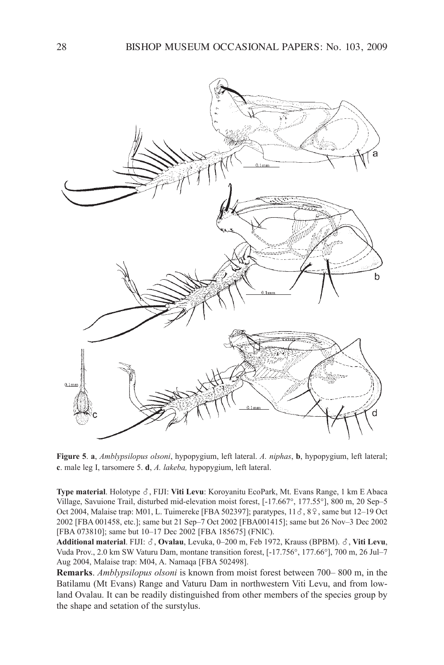

**Figure 5**. **a**, *Amblypsilopus olsoni*, hypopygium, left lateral. *A. niphas*, **b**, hypopygium, left lateral; **c**. male leg i, tarsomere 5. **d**, *A. lakeba,* hypopygium, left lateral.

**Type material.** Holotype  $\delta$ , FIJI: Viti Levu: Koroyanitu EcoPark, Mt. Evans Range, 1 km E Abaca Village, Savuione Trail, disturbed mid-elevation moist forest, [-17.667°, 177.55°], 800 m, 20 Sep–5 Oct 2004, Malaise trap: M01, L. Tuimereke [FBA 502397]; paratypes,  $11\delta$ ,  $8\%$ , same but 12–19 Oct 2002 [FBa 001458, etc.]; same but 21 Sep–7 Oct 2002 [FBa001415]; same but 26 nov–3 Dec 2002 [FBA 073810]; same but 10–17 Dec 2002 [FBA 185675] (FNIC).

Additional material. FIJI:  $\delta$ , Ovalau, Levuka, 0–200 m, Feb 1972, Krauss (BPBM).  $\delta$ , Viti Levu, Vuda Prov., 2.0 km SW Vaturu Dam, montane transition forest, [-17.756°, 177.66°], 700 m, 26 Jul–7 Aug 2004, Malaise trap: M04, A. Namaqa [FBA 502498].

**Remarks**. *Amblypsilopus olsoni* is known from moist forest between 700– 800 m, in the Batilamu (Mt Evans) Range and Vaturu Dam in northwestern Viti Levu, and from lowland Ovalau. it can be readily distinguished from other members of the species group by the shape and setation of the surstylus.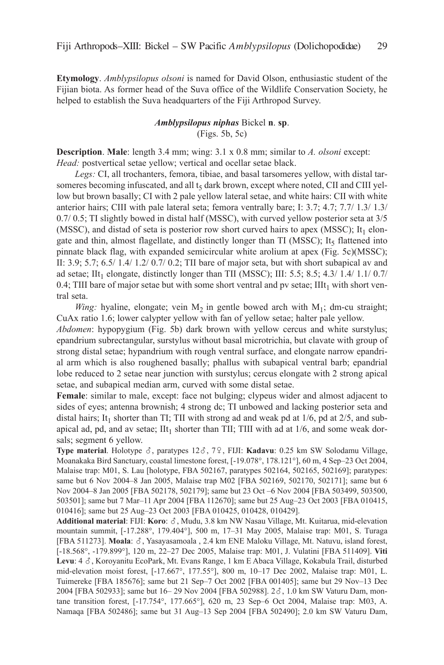**Etymology**. *Amblypsilopus olsoni* is named for David Olson, enthusiastic student of the Fijian biota. as former head of the Suva office of the Wildlife conservation Society, he helped to establish the Suva headquarters of the Fiji Arthropod Survey.

# *Amblypsilopus niphas* Bickel **n**. **sp**. (Figs. 5b, 5c)

**Description**. **Male**: length 3.4 mm; wing: 3.1 x 0.8 mm; similar to *A. olsoni* except: *Head:* postvertical setae yellow; vertical and ocellar setae black.

Legs: CI, all trochanters, femora, tibiae, and basal tarsomeres yellow, with distal tarsomeres becoming infuscated, and all  $t<sub>5</sub>$  dark brown, except where noted, CII and CIII yellow but brown basally; CI with 2 pale yellow lateral setae, and white hairs: CII with white anterior hairs; CIII with pale lateral seta; femora ventrally bare; I:  $3.7$ ;  $4.7$ ;  $7.7/$   $1.3/$   $1.3/$ 0.7/ 0.5; Ti slightly bowed in distal half (MSSc), with curved yellow posterior seta at 3/5 (MSSC), and distad of seta is posterior row short curved hairs to apex (MSSC); It<sub>1</sub> elongate and thin, almost flagellate, and distinctly longer than TI (MSSC); It<sub>5</sub> flattened into pinnate black flag, with expanded semicircular white arolium at apex (Fig. 5c)(MSSc); II:  $3.9$ ;  $5.7$ ;  $6.5/$   $1.4/$   $1.2/$   $0.7/$   $0.2$ ; TII bare of major seta, but with short subapical av and ad setae; IIt<sub>1</sub> elongate, distinctly longer than TII (MSSC); III: 5.5; 8.5; 4.3/ 1.4/ 1.1/ 0.7/ 0.4; TIII bare of major setae but with some short ventral and pv setae; III $t_1$  with short ventral seta.

*Wing:* hyaline, elongate; vein  $M_2$  in gentle bowed arch with  $M_1$ ; dm-cu straight; CuAx ratio 1.6; lower calypter yellow with fan of yellow setae; halter pale yellow.

*Abdomen*: hypopygium (Fig. 5b) dark brown with yellow cercus and white surstylus; epandrium subrectangular, surstylus without basal microtrichia, but clavate with group of strong distal setae; hypandrium with rough ventral surface, and elongate narrow epandrial arm which is also roughened basally; phallus with subapical ventral barb; epandrial lobe reduced to 2 setae near junction with surstylus; cercus elongate with 2 strong apical setae, and subapical median arm, curved with some distal setae.

**Female**: similar to male, except: face not bulging; clypeus wider and almost adjacent to sides of eyes; antenna brownish; 4 strong dc; Ti unbowed and lacking posterior seta and distal hairs; It<sub>1</sub> shorter than TI; TII with strong ad and weak pd at  $1/6$ , pd at  $2/5$ , and subapical ad, pd, and av setae;  $\text{III}_{1}$  shorter than TII; TIII with ad at 1/6, and some weak dorsals; segment 6 yellow.

**Type material**. Holotype  $\delta$ , paratypes 12 $\delta$ , 7 $\Omega$ , FIJI: **Kadavu**: 0.25 km SW Solodamu Village, Moanakaka Bird Sanctuary, coastal limestone forest, [-19.078°, 178.121°], 60 m, 4 Sep–23 Oct 2004, Malaise trap: M01, S. lau [holotype, FBa 502167, paratypes 502164, 502165, 502169]; paratypes: same but 6 Nov 2004–8 Jan 2005, Malaise trap M02 [FBA 502169, 502170, 502171]; same but 6 nov 2004–8 Jan 2005 [FBa 502178, 502179]; same but 23 Oct –6 nov 2004 [FBa 503499, 503500, 503501]; same but 7 Mar–11 apr 2004 [FBa 112670]; same but 25 aug–23 Oct 2003 [FBa 010415, 010416]; same but 25 Aug-23 Oct 2003 [FBA 010425, 010428, 010429].

**Additional material**: FIJI: **Koro**:  $\delta$ , Mudu, 3.8 km NW Nasau Village, Mt. Kuitarua, mid-elevation mountain summit, [-17.288°, 179.404°], 500 m, 17–31 May 2005, Malaise trap: M01, S. Turaga [FBA 511273]. Moala:  $\delta$ , Yasayasamoala , 2.4 km ENE Maloku Village, Mt. Natuvu, island forest, [-18.568°, -179.899°], 120 m, 22–27 Dec 2005, Malaise trap: M01, J. Vulatini [FBa 511409]. **Viti** Levu: 4  $\delta$ , Koroyanitu EcoPark, Mt. Evans Range, 1 km E Abaca Village, Kokabula Trail, disturbed mid-elevation moist forest, [-17.667°, 177.55°], 800 m, 10–17 Dec 2002, Malaise trap: M01, l. Tuimereke [FBa 185676]; same but 21 Sep–7 Oct 2002 [FBa 001405]; same but 29 nov–13 Dec 2004 [FBA 502933]; same but 16–29 Nov 2004 [FBA 502988]. 2 $\delta$ , 1.0 km SW Vaturu Dam, montane transition forest, [-17.754°, 177.665°], 620 m, 23 Sep–6 Oct 2004, Malaise trap: M03, a. namaqa [FBa 502486]; same but 31 aug–13 Sep 2004 [FBa 502490]; 2.0 km SW Vaturu Dam,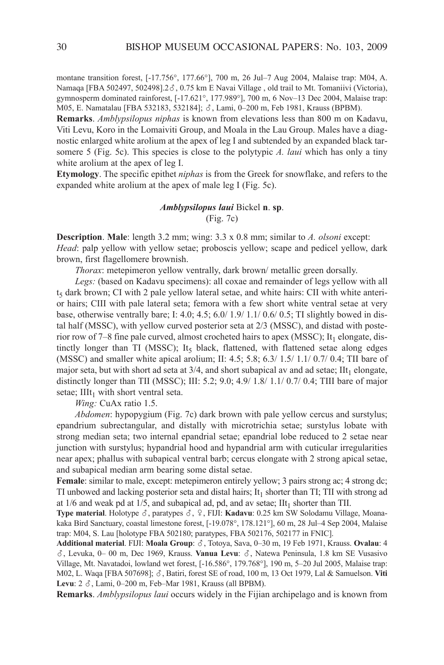montane transition forest, [-17.756°, 177.66°], 700 m, 26 Jul–7 Aug 2004, Malaise trap: M04, A. Namaqa [FBA 502497, 502498].2 $\delta$ , 0.75 km E Navai Village, old trail to Mt. Tomaniivi (Victoria), gymnosperm dominated rainforest, [-17.621°, 177.989°], 700 m, 6 Nov-13 Dec 2004, Malaise trap: M05, E. Namatalau [FBA 532183, 532184];  $\delta$ , Lami, 0–200 m, Feb 1981, Krauss (BPBM).

**Remarks**. *Amblypsilopus niphas* is known from elevations less than 800 m on kadavu, Viti levu, koro in the lomaiviti Group, and Moala in the lau Group. Males have a diagnostic enlarged white arolium at the apex of leg I and subtended by an expanded black tarsomere 5 (Fig. 5c). This species is close to the polytypic *A. laui* which has only a tiny white arolium at the apex of leg I.

**Etymology**. The specific epithet *niphas* is from the Greek for snowflake, and refers to the expanded white arolium at the apex of male leg I (Fig. 5c).

# *Amblypsilopus laui* Bickel **n**. **sp**. (Fig. 7c)

**Description. Male**: length 3.2 mm; wing: 3.3 x 0.8 mm; similar to *A. olsoni* except: *Head*: palp yellow with yellow setae; proboscis yellow; scape and pedicel yellow, dark brown, first flagellomere brownish.

*Thorax*: metepimeron yellow ventrally, dark brown/ metallic green dorsally.

*Legs:* (based on kadavu specimens): all coxae and remainder of legs yellow with all t<sub>5</sub> dark brown; CI with 2 pale yellow lateral setae, and white hairs: CII with white anterior hairs; CIII with pale lateral seta; femora with a few short white ventral setae at very base, otherwise ventrally bare; I: 4.0; 4.5;  $6.0/1.9/1.1/0.6/0.5$ ; TI slightly bowed in distal half (MSSc), with yellow curved posterior seta at 2/3 (MSSc), and distad with posterior row of 7–8 fine pale curved, almost crocheted hairs to apex (MSSC); It<sub>1</sub> elongate, distinctly longer than TI (MSSC); It<sub>5</sub> black, flattened, with flattened setae along edges (MSSC) and smaller white apical arolium; II: 4.5; 5.8; 6.3/ 1.5/ 1.1/ 0.7/ 0.4; TII bare of major seta, but with short ad seta at  $3/4$ , and short subapical av and ad setae; IIt<sub>1</sub> elongate, distinctly longer than TII (MSSC); III: 5.2; 9.0; 4.9/ 1.8/ 1.1/ 0.7/ 0.4; TIII bare of major setae;  $IIIt<sub>1</sub>$  with short ventral seta.

*Wing:* CuAx ratio 1.5.

*Abdomen*: hypopygium (Fig. 7c) dark brown with pale yellow cercus and surstylus; epandrium subrectangular, and distally with microtrichia setae; surstylus lobate with strong median seta; two internal epandrial setae; epandrial lobe reduced to 2 setae near junction with surstylus; hypandrial hood and hypandrial arm with cuticular irregularities near apex; phallus with subapical ventral barb; cercus elongate with 2 strong apical setae, and subapical median arm bearing some distal setae.

**Female**: similar to male, except: metepimeron entirely yellow; 3 pairs strong ac; 4 strong dc; TI unbowed and lacking posterior seta and distal hairs;  $It<sub>1</sub>$  shorter than TI; TII with strong ad at  $1/6$  and weak pd at  $1/5$ , and subapical ad, pd, and av setae;  $\text{I}It_1$  shorter than TII.

**Type material**. Holotype  $\delta$ , paratypes  $\delta$ ,  $\varphi$ , FIJI: **Kadavu**: 0.25 km SW Solodamu Village, Moanakaka Bird Sanctuary, coastal limestone forest, [-19.078°, 178.121°], 60 m, 28 Jul–4 Sep 2004, Malaise trap: M04, S. lau [holotype FBa 502180; paratypes, FBa 502176, 502177 in Fnic].

Additional material. FIJI: Moala Group:  $\delta$ , Totoya, Sava, 0–30 m, 19 Feb 1971, Krauss. Ovalau: 4  $\delta$ , Levuka, 0– 00 m, Dec 1969, Krauss. **Vanua Levu**:  $\delta$ , Natewa Peninsula, 1.8 km SE Vusasivo Village, Mt. navatadoi, lowland wet forest, [-16.586°, 179.768°], 190 m, 5–20 Jul 2005, Malaise trap: M02, L. Waqa [FBA 507698];  $\delta$ , Batiri, forest SE of road, 100 m, 13 Oct 1979, Lal & Samuelson. **Viti** Levu: 2  $\delta$ , Lami, 0–200 m, Feb–Mar 1981, Krauss (all BPBM).

**Remarks**. *Amblypsilopus laui* occurs widely in the Fijian archipelago and is known from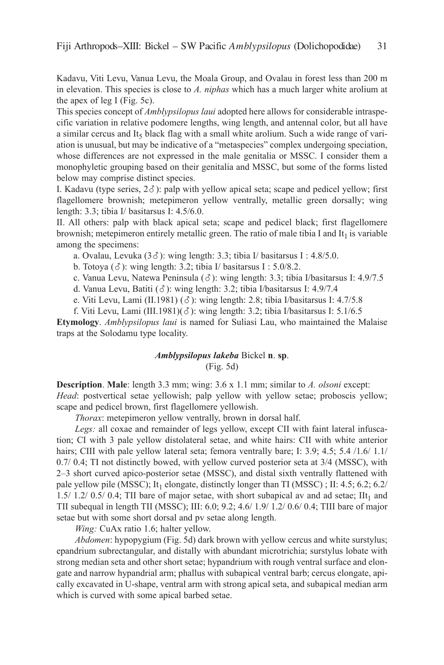kadavu, Viti levu, Vanua levu, the Moala Group, and Ovalau in forest less than 200 m in elevation. This species is close to *A. niphas* which has a much larger white arolium at the apex of leg I (Fig.  $5c$ ).

This species concept of *Amblypsilopus laui* adopted here allows for considerable intraspecific variation in relative podomere lengths, wing length, and antennal color, but all have a similar cercus and It<sub>5</sub> black flag with a small white arolium. Such a wide range of variation is unusual, but may be indicative of a "metaspecies" complex undergoing speciation, whose differences are not expressed in the male genitalia or MSSc. i consider them a monophyletic grouping based on their genitalia and MSSc, but some of the forms listed below may comprise distinct species.

I. Kadavu (type series,  $2\delta$ ): palp with yellow apical seta; scape and pedicel yellow; first flagellomere brownish; metepimeron yellow ventrally, metallic green dorsally; wing length: 3.3; tibia I/ basitarsus I: 4.5/6.0.

II. All others: palp with black apical seta; scape and pedicel black; first flagellomere brownish; metepimeron entirely metallic green. The ratio of male tibia I and It<sub>1</sub> is variable among the specimens:

- a. Ovalau, Levuka  $(3\delta)$ : wing length: 3.3; tibia I/ basitarsus I : 4.8/5.0.
- b. Totoya  $(\delta)$ : wing length: 3.2; tibia I/ basitarsus I : 5.0/8.2.
- c. Vanua Levu, Natewa Peninsula  $(\delta)$ : wing length: 3.3; tibia I/basitarsus I: 4.9/7.5
- d. Vanua Levu, Batiti  $(\delta)$ : wing length: 3.2; tibia I/basitarsus I: 4.9/7.4
- e. Viti Levu, Lami (II.1981) ( $\delta$ ): wing length: 2.8; tibia I/basitarsus I: 4.7/5.8
- f. Viti Levu, Lami (III.1981)( $\delta$ ): wing length: 3.2; tibia I/basitarsus I: 5.1/6.5

**Etymology**. *Amblypsilopus laui* is named for Suliasi lau, who maintained the Malaise traps at the Solodamu type locality.

## *Amblypsilopus lakeba* Bickel **n**. **sp**. (Fig. 5d)

**Description. Male**: length 3.3 mm; wing: 3.6 x 1.1 mm; similar to *A. olsoni* except: *Head*: postvertical setae yellowish; palp yellow with yellow setae; proboscis yellow; scape and pedicel brown, first flagellomere yellowish.

*Thorax*: metepimeron yellow ventrally, brown in dorsal half.

Legs: all coxae and remainder of legs yellow, except CII with faint lateral infuscation; CI with 3 pale yellow distolateral setae, and white hairs: CII with white anterior hairs; CIII with pale yellow lateral seta; femora ventrally bare; I: 3.9; 4.5; 5.4  $/1.6/1.1/$ 0.7/ 0.4; Ti not distinctly bowed, with yellow curved posterior seta at 3/4 (MSSc), with 2–3 short curved apico-posterior setae (MSSc), and distal sixth ventrally flattened with pale yellow pile (MSSC); It<sub>1</sub> elongate, distinctly longer than TI (MSSC); II: 4.5; 6.2; 6.2/ 1.5/ 1.2/ 0.5/ 0.4; TII bare of major setae, with short subapical av and ad setae;  $\text{IIt}_1$  and TII subequal in length TII (MSSC); III: 6.0; 9.2; 4.6/ 1.9/ 1.2/ 0.6/ 0.4; TIII bare of major setae but with some short dorsal and pv setae along length.

*Wing:* CuAx ratio 1.6; halter yellow.

*Abdomen*: hypopygium (Fig. 5d) dark brown with yellow cercus and white surstylus; epandrium subrectangular, and distally with abundant microtrichia; surstylus lobate with strong median seta and other short setae; hypandrium with rough ventral surface and elongate and narrow hypandrial arm; phallus with subapical ventral barb; cercus elongate, apically excavated in U-shape, ventral arm with strong apical seta, and subapical median arm which is curved with some apical barbed setae.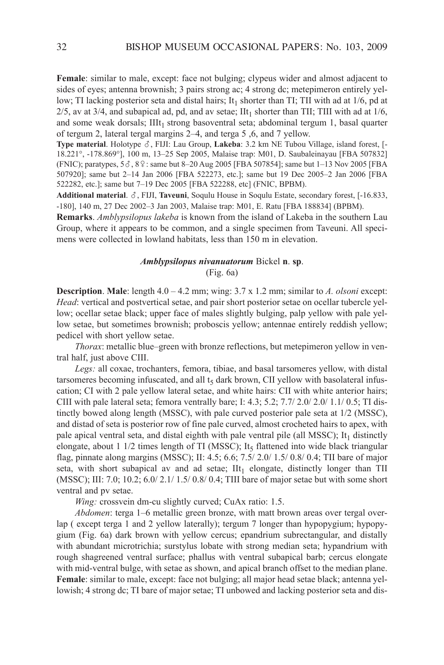**Female**: similar to male, except: face not bulging; clypeus wider and almost adjacent to sides of eyes; antenna brownish; 3 pairs strong ac; 4 strong dc; metepimeron entirely yellow; TI lacking posterior seta and distal hairs; It<sub>1</sub> shorter than TI; TII with ad at  $1/6$ , pd at  $2/5$ , av at 3/4, and subapical ad, pd, and av setae; IIt<sub>1</sub> shorter than TII; TIII with ad at  $1/6$ , and some weak dorsals;  $IIIt<sub>1</sub>$  strong basoventral seta; abdominal tergum 1, basal quarter of tergum 2, lateral tergal margins 2–4, and terga 5 ,6, and 7 yellow.

**Type material**. Holotype  $\delta$ , FIJI: Lau Group, **Lakeba**: 3.2 km NE Tubou Village, island forest, [-18.221°, -178.869°], 100 m, 13–25 Sep 2005, Malaise trap: M01, D. Saubaleinayau [FBa 507832] (FNIC); paratypes,  $5\delta$ ,  $8\%$ : same but 8–20 Aug 2005 [FBA 507854]; same but 1–13 Nov 2005 [FBA 507920]; same but 2–14 Jan 2006 [FBa 522273, etc.]; same but 19 Dec 2005–2 Jan 2006 [FBa 522282, etc.]; same but 7–19 Dec 2005 [FBa 522288, etc] (Fnic, BPBM).

Additional material.  $\delta$ , FIJI, Taveuni, Soqulu House in Soqulu Estate, secondary forest, [-16.833, -180], 140 m, 27 Dec 2002–3 Jan 2003, Malaise trap: M01, e. Ratu [FBa 188834] (BPBM).

**Remarks**. *Amblypsilopus lakeba* is known from the island of lakeba in the southern lau Group, where it appears to be common, and a single specimen from Taveuni. all specimens were collected in lowland habitats, less than 150 m in elevation.

## *Amblypsilopus nivanuatorum* Bickel **n**. **sp**. (Fig. 6a)

**Description**. **Male**: length 4.0 – 4.2 mm; wing: 3.7 x 1.2 mm; similar to *A. olsoni* except: *Head*: vertical and postvertical setae, and pair short posterior setae on ocellar tubercle yellow; ocellar setae black; upper face of males slightly bulging, palp yellow with pale yellow setae, but sometimes brownish; proboscis yellow; antennae entirely reddish yellow; pedicel with short yellow setae.

*Thorax*: metallic blue–green with bronze reflections, but metepimeron yellow in ventral half, just above CIII.

*Legs:* all coxae, trochanters, femora, tibiae, and basal tarsomeres yellow, with distal tarsomeres becoming infuscated, and all  $t<sub>5</sub>$  dark brown, CII yellow with basolateral infuscation; CI with 2 pale yellow lateral setae, and white hairs: CII with white anterior hairs; CIII with pale lateral seta; femora ventrally bare; I: 4.3; 5.2; 7.7/ 2.0/ 2.0/ 1.1/ 0.5; TI distinctly bowed along length (MSSc), with pale curved posterior pale seta at 1/2 (MSSc), and distad of seta is posterior row of fine pale curved, almost crocheted hairs to apex, with pale apical ventral seta, and distal eighth with pale ventral pile (all MSSC);  $It<sub>1</sub>$  distinctly elongate, about 1  $1/2$  times length of TI (MSSC); It<sub>5</sub> flattened into wide black triangular flag, pinnate along margins (MSSC); II: 4.5; 6.6; 7.5/ 2.0/ 1.5/ 0.8/ 0.4; TII bare of major seta, with short subapical av and ad setae;  $\text{III}_1$  elongate, distinctly longer than TII (MSSC); III: 7.0; 10.2;  $6.0/2.1/1.5/0.8/0.4$ ; TIII bare of major setae but with some short ventral and pv setae.

*Wing:* crossvein dm-cu slightly curved; CuAx ratio: 1.5.

*Abdomen*: terga 1–6 metallic green bronze, with matt brown areas over tergal overlap ( except terga 1 and 2 yellow laterally); tergum 7 longer than hypopygium; hypopygium (Fig. 6a) dark brown with yellow cercus; epandrium subrectangular, and distally with abundant microtrichia; surstylus lobate with strong median seta; hypandrium with rough shagreened ventral surface; phallus with ventral subapical barb; cercus elongate with mid-ventral bulge, with setae as shown, and apical branch offset to the median plane. **Female**: similar to male, except: face not bulging; all major head setae black; antenna yellowish; 4 strong dc; Ti bare of major setae; Ti unbowed and lacking posterior seta and dis-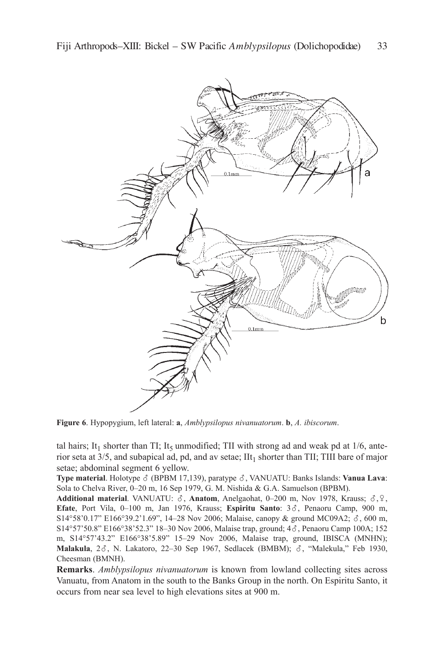

**Figure 6**. Hypopygium, left lateral: **a**, *Amblypsilopus nivanuatorum*. **b**, *A. ibiscorum*.

tal hairs; It<sub>1</sub> shorter than TI; It<sub>5</sub> unmodified; TII with strong ad and weak pd at  $1/6$ , anterior seta at  $3/5$ , and subapical ad, pd, and av setae; IIt<sub>1</sub> shorter than TII; TIII bare of major setae; abdominal segment 6 yellow.

**Type material**. Holotype ♂ (BPBM 17,139), paratype ♂, VANUATU: Banks Islands: **Vanua Lava**: Sola to Chelva River, 0-20 m, 16 Sep 1979, G. M. Nishida & G.A. Samuelson (BPBM).

**Additional material**. VANUATU:  $\delta$ , **Anatom**, Anelgaohat, 0–200 m, Nov 1978, Krauss;  $\delta$ ,  $\Omega$ , Efate, Port Vila, 0-100 m, Jan 1976, Krauss; Espiritu Santo: 3 $\delta$ , Penaoru Camp, 900 m, S14°58'0.17" E166°39.2'1.69", 14-28 Nov 2006; Malaise, canopy & ground MC09A2;  $\delta$ , 600 m, S14°57'50.8" E166°38'52.3" 18–30 Nov 2006, Malaise trap, ground; 4 $\delta$ , Penaoru Camp 100A; 152 m, S14°57'43.2" e166°38'5.89" 15–29 nov 2006, Malaise trap, ground, iBiSca (MnHn); **Malakula**, 23, N. Lakatoro, 22-30 Sep 1967, Sedlacek (BMBM); 3, "Malekula," Feb 1930, cheesman (BMnH).

**Remarks**. *Amblypsilopus nivanuatorum* is known from lowland collecting sites across Vanuatu, from Anatom in the south to the Banks Group in the north. On Espiritu Santo, it occurs from near sea level to high elevations sites at 900 m.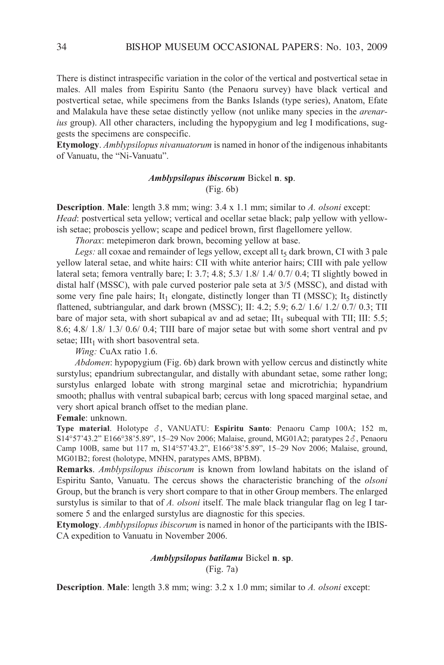There is distinct intraspecific variation in the color of the vertical and postvertical setae in males. all males from espiritu Santo (the Penaoru survey) have black vertical and postvertical setae, while specimens from the Banks islands (type series), anatom, efate and Malakula have these setae distinctly yellow (not unlike many species in the *arenarius* group). All other characters, including the hypopygium and leg I modifications, suggests the specimens are conspecific.

**Etymology**. *Amblypsilopus nivanuatorum* is named in honor of the indigenous inhabitants of Vanuatu, the "Ni-Vanuatu".

# *Amblypsilopus ibiscorum* Bickel **n**. **sp**. (Fig. 6b)

**Description**. **Male**: length 3.8 mm; wing: 3.4 x 1.1 mm; similar to *A. olsoni* except: *Head*: postvertical seta yellow; vertical and ocellar setae black; palp yellow with yellowish setae; proboscis yellow; scape and pedicel brown, first flagellomere yellow.

*Thorax*: metepimeron dark brown, becoming yellow at base.

*Legs:* all coxae and remainder of legs yellow, except all  $t<sub>5</sub>$  dark brown, CI with 3 pale yellow lateral setae, and white hairs: CII with white anterior hairs; CIII with pale yellow lateral seta; femora ventrally bare; i: 3.7; 4.8; 5.3/ 1.8/ 1.4/ 0.7/ 0.4; Ti slightly bowed in distal half (MSSc), with pale curved posterior pale seta at 3/5 (MSSc), and distad with some very fine pale hairs; It<sub>1</sub> elongate, distinctly longer than TI (MSSC); It<sub>5</sub> distinctly flattened, subtriangular, and dark brown (MSSC); II: 4.2; 5.9; 6.2/ 1.6/ 1.2/ 0.7/ 0.3; TII bare of major seta, with short subapical av and ad setae;  $\text{III}_1$  subequal with TII; III: 5.5; 8.6; 4.8/ 1.8/ 1.3/ 0.6/ 0.4; Tiii bare of major setae but with some short ventral and pv setae;  $IIIt<sub>1</sub>$  with short basoventral seta.

*Wing:* CuAx ratio 1.6.

*Abdomen*: hypopygium (Fig. 6b) dark brown with yellow cercus and distinctly white surstylus; epandrium subrectangular, and distally with abundant setae, some rather long; surstylus enlarged lobate with strong marginal setae and microtrichia; hypandrium smooth; phallus with ventral subapical barb; cercus with long spaced marginal setae, and very short apical branch offset to the median plane.

# **Female**: unknown.

**Type material**. Holotype , VanUaTU: **Espiritu Santo**: Penaoru camp 100a; 152 m, S14°57'43.2" E166°38'5.89", 15–29 Nov 2006; Malaise, ground, MG01A2; paratypes 2 $\delta$ , Penaoru camp 100B, same but 117 m, S14°57'43.2", e166°38'5.89", 15–29 nov 2006; Malaise, ground, MG01B2; forest (holotype, MnHn, paratypes aMS, BPBM).

**Remarks**. *Amblypsilopus ibiscorum* is known from lowland habitats on the island of espiritu Santo, Vanuatu. The cercus shows the characteristic branching of the *olsoni* Group, but the branch is very short compare to that in other Group members. The enlarged surstylus is similar to that of *A. olsoni* itself. The male black triangular flag on leg I tarsomere 5 and the enlarged surstylus are diagnostic for this species.

**Etymology**. *Amblypsilopus ibiscorum* is named in honor of the participants with the iBiS-CA expedition to Vanuatu in November 2006.

# *Amblypsilopus batilamu* Bickel **n**. **sp**. (Fig. 7a)

**Description. Male:** length 3.8 mm; wing:  $3.2 \times 1.0$  mm; similar to *A. olsoni* except: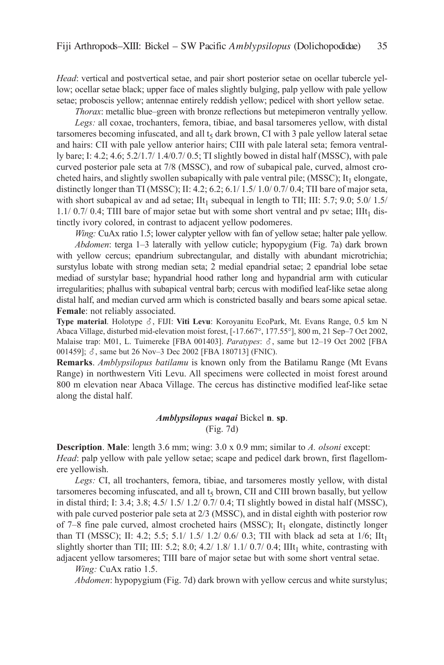*Head*: vertical and postvertical setae, and pair short posterior setae on ocellar tubercle yellow; ocellar setae black; upper face of males slightly bulging, palp yellow with pale yellow setae; proboscis yellow; antennae entirely reddish yellow; pedicel with short yellow setae.

*Thorax*: metallic blue–green with bronze reflections but metepimeron ventrally yellow.

*Legs:* all coxae, trochanters, femora, tibiae, and basal tarsomeres yellow, with distal tarsomeres becoming infuscated, and all  $t<sub>5</sub>$  dark brown, CI with 3 pale yellow lateral setae and hairs: CII with pale yellow anterior hairs; CIII with pale lateral seta; femora ventrally bare; i: 4.2; 4.6; 5.2/1.7/ 1.4/0.7/ 0.5; Ti slightly bowed in distal half (MSSc), with pale curved posterior pale seta at 7/8 (MSSc), and row of subapical pale, curved, almost crocheted hairs, and slightly swollen subapically with pale ventral pile; (MSSC);  $It_1$  elongate, distinctly longer than TI (MSSC); II: 4.2; 6.2; 6.1/  $1.5/ 1.0/ 0.7/ 0.4$ ; TII bare of major seta, with short subapical av and ad setae;  $\text{IIt}_1$  subequal in length to TII; III: 5.7; 9.0; 5.0/ 1.5/  $1.1/0.7/0.4$ ; TIII bare of major setae but with some short ventral and pv setae; IIIt<sub>1</sub> distinctly ivory colored, in contrast to adjacent yellow podomeres.

*Wing:* CuAx ratio 1.5; lower calypter yellow with fan of yellow setae; halter pale yellow. *Abdomen*: terga 1–3 laterally with yellow cuticle; hypopygium (Fig. 7a) dark brown with yellow cercus; epandrium subrectangular, and distally with abundant microtrichia; surstylus lobate with strong median seta; 2 medial epandrial setae; 2 epandrial lobe setae mediad of surstylar base; hypandrial hood rather long and hypandrial arm with cuticular irregularities; phallus with subapical ventral barb; cercus with modified leaf-like setae along distal half, and median curved arm which is constricted basally and bears some apical setae. **Female**: not reliably associated.

Type material. Holotype  $\delta$ , FIJI: Viti Levu: Koroyanitu EcoPark, Mt. Evans Range, 0.5 km N abaca Village, disturbed mid-elevation moist forest, [-17.667°, 177.55°], 800 m, 21 Sep–7 Oct 2002, Malaise trap: M01, L. Tuimereke [FBA 001403]. *Paratypes*:  $\delta$ , same but 12–19 Oct 2002 [FBA 001459];  $\delta$ , same but 26 Nov–3 Dec 2002 [FBA 180713] (FNIC).

**Remarks**. *Amblypsilopus batilamu* is known only from the Batilamu Range (Mt Evans Range) in northwestern Viti levu. all specimens were collected in moist forest around 800 m elevation near abaca Village. The cercus has distinctive modified leaf-like setae along the distal half.

## *Amblypsilopus waqai* Bickel **n**. **sp**. (Fig. 7d)

**Description. Male**: length 3.6 mm; wing: 3.0 x 0.9 mm; similar to *A. olsoni* except: *Head*: palp yellow with pale yellow setae; scape and pedicel dark brown, first flagellomere yellowish.

Legs: CI, all trochanters, femora, tibiae, and tarsomeres mostly yellow, with distal tarsomeres becoming infuscated, and all  $t<sub>5</sub>$  brown, CII and CIII brown basally, but yellow in distal third; i: 3.4; 3.8; 4.5/ 1.5/ 1.2/ 0.7/ 0.4; Ti slightly bowed in distal half (MSSc), with pale curved posterior pale seta at 2/3 (MSSc), and in distal eighth with posterior row of 7–8 fine pale curved, almost crocheted hairs (MSSC); It<sub>1</sub> elongate, distinctly longer than TI (MSSC); II: 4.2; 5.5; 5.1/ 1.5/ 1.2/ 0.6/ 0.3; TII with black ad seta at 1/6; IIt<sub>1</sub> slightly shorter than TII; III: 5.2; 8.0; 4.2/ 1.8/ 1.1/ 0.7/ 0.4; III $t_1$  white, contrasting with adjacent yellow tarsomeres; Tiii bare of major setae but with some short ventral setae.

*Wing:* CuAx ratio 1.5.

*Abdomen*: hypopygium (Fig. 7d) dark brown with yellow cercus and white surstylus;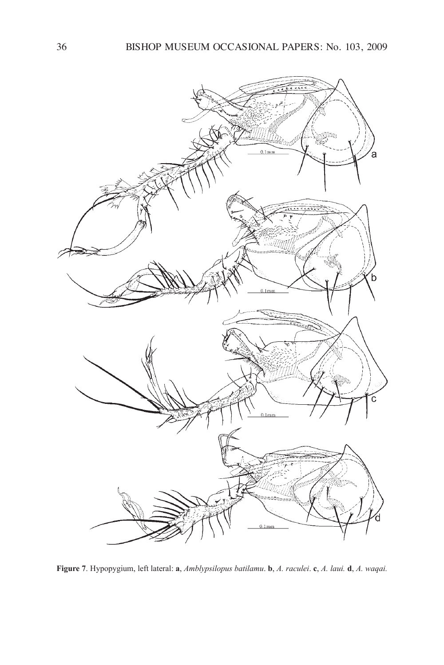

**Figure 7**. Hypopygium, left lateral: **a**, *Amblypsilopus batilamu*. **b**, *A. raculei*. **c**, *A. laui.* **d**, *A. waqai.*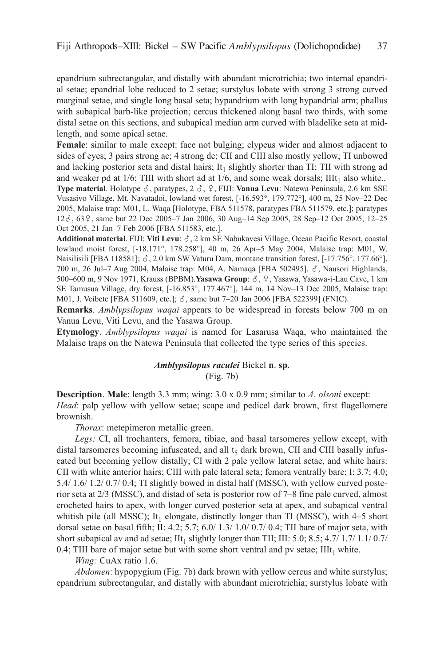epandrium subrectangular, and distally with abundant microtrichia; two internal epandrial setae; epandrial lobe reduced to 2 setae; surstylus lobate with strong 3 strong curved marginal setae, and single long basal seta; hypandrium with long hypandrial arm; phallus with subapical barb-like projection; cercus thickened along basal two thirds, with some distal setae on this sections, and subapical median arm curved with bladelike seta at midlength, and some apical setae.

**Female**: similar to male except: face not bulging; clypeus wider and almost adjacent to sides of eyes; 3 pairs strong ac; 4 strong dc; CII and CIII also mostly yellow; TI unbowed and lacking posterior seta and distal hairs; It<sub>1</sub> slightly shorter than TI; TII with strong ad and weaker pd at  $1/6$ ; TIII with short ad at  $1/6$ , and some weak dorsals; IIIt<sub>1</sub> also white.. **Type material**. Holotype  $\delta$ , paratypes, 2  $\delta$ ,  $\Omega$ , FIJI: **Vanua Levu**: Natewa Peninsula, 2.6 km SSE Vusasivo Village, Mt. navatadoi, lowland wet forest, [-16.593°, 179.772°], 400 m, 25 nov–22 Dec 2005, Malaise trap: M01, l. Waqa [Holotype, FBa 511578, paratypes FBa 511579, etc.]; paratypes 12 $\delta$ , 63 $\frac{9}{2}$ , same but 22 Dec 2005–7 Jan 2006, 30 Aug–14 Sep 2005, 28 Sep–12 Oct 2005, 12–25 Oct 2005, 21 Jan–7 Feb 2006 [FBa 511583, etc.].

Additional material. FIJI: Viti Levu:  $\delta$ , 2 km SE Nabukavesi Village, Ocean Pacific Resort, coastal lowland moist forest, [-18.171°, 178.258°], 40 m, 26 apr–5 May 2004, Malaise trap: M01, W. Naisilisili [FBA 118581];  $\delta$ , 2.0 km SW Vaturu Dam, montane transition forest, [-17.756°, 177.66°], 700 m, 26 Jul–7 Aug 2004, Malaise trap: M04, A. Namaqa [FBA 502495].  $\delta$ , Nausori Highlands, 500–600 m, 9 Nov 1971, Krauss (BPBM). Yasawa Group:  $\delta$ ,  $\varphi$ , Yasawa, Yasawa-i-Lau Cave, 1 km Se Tamusua Village, dry forest, [-16.853°, 177.467°], 144 m, 14 nov–13 Dec 2005, Malaise trap: M01, J. Veibete [FBA 511609, etc.];  $\delta$ , same but 7–20 Jan 2006 [FBA 522399] (FNIC).

**Remarks**. *Amblypsilopus waqai* appears to be widespread in forests below 700 m on Vanua levu, Viti levu, and the yasawa Group.

**Etymology**. *Amblypsilopus waqai* is named for lasarusa Waqa, who maintained the Malaise traps on the Natewa Peninsula that collected the type series of this species.

# *Amblypsilopus raculei* Bickel **n**. **sp**. (Fig. 7b)

**Description**. **Male**: length 3.3 mm; wing: 3.0 x 0.9 mm; similar to *A. olsoni* except: *Head*: palp yellow with yellow setae; scape and pedicel dark brown, first flagellomere brownish.

*Thorax*: metepimeron metallic green.

Legs: CI, all trochanters, femora, tibiae, and basal tarsomeres yellow except, with distal tarsomeres becoming infuscated, and all  $t<sub>5</sub>$  dark brown, CII and CIII basally infuscated but becoming yellow distally; CI with 2 pale yellow lateral setae, and white hairs: CII with white anterior hairs; CIII with pale lateral seta; femora ventrally bare; I:  $3.7$ ;  $4.0$ ; 5.4/ 1.6/ 1.2/ 0.7/ 0.4; Ti slightly bowed in distal half (MSSc), with yellow curved posterior seta at 2/3 (MSSc), and distad of seta is posterior row of 7–8 fine pale curved, almost crocheted hairs to apex, with longer curved posterior seta at apex, and subapical ventral whitish pile (all MSSC); It<sub>1</sub> elongate, distinctly longer than TI (MSSC), with  $4-5$  short dorsal setae on basal fifth; II: 4.2; 5.7; 6.0/ 1.3/ 1.0/ 0.7/ 0.4; TII bare of major seta, with short subapical av and ad setae; IIt<sub>1</sub> slightly longer than TII; III: 5.0; 8.5; 4.7/ 1.7/ 1.1/ 0.7/ 0.4; TIII bare of major setae but with some short ventral and pv setae;  $IIIt<sub>1</sub>$  white.

*Wing:* CuAx ratio 1.6.

*Abdomen*: hypopygium (Fig. 7b) dark brown with yellow cercus and white surstylus; epandrium subrectangular, and distally with abundant microtrichia; surstylus lobate with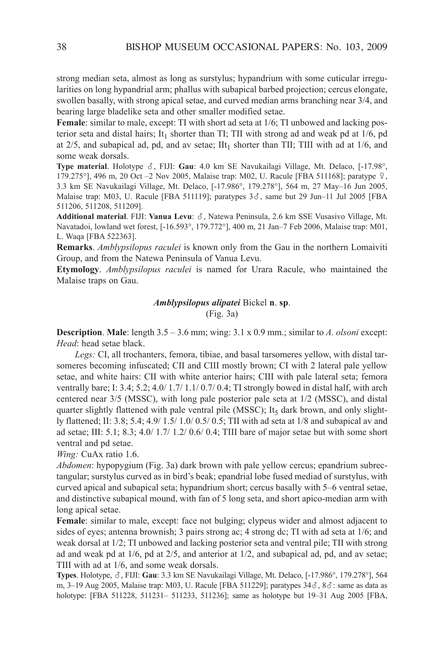strong median seta, almost as long as surstylus; hypandrium with some cuticular irregularities on long hypandrial arm; phallus with subapical barbed projection; cercus elongate, swollen basally, with strong apical setae, and curved median arms branching near 3/4, and bearing large bladelike seta and other smaller modified setae.

**Female**: similar to male, except: TI with short ad seta at  $1/6$ ; TI unbowed and lacking posterior seta and distal hairs; It<sub>1</sub> shorter than TI; TII with strong ad and weak pd at  $1/6$ , pd at  $2/5$ , and subapical ad, pd, and av setae; IIt<sub>1</sub> shorter than TII; TIII with ad at  $1/6$ , and some weak dorsals.

**Type material**. Holotype  $\delta$ , FIJI: **Gau**: 4.0 km SE Navukailagi Village, Mt. Delaco, [-17.98°, 179.275°], 496 m, 20 Oct  $-2$  Nov 2005, Malaise trap: M02, U. Racule [FBA 511168]; paratype  $\varphi$ , 3.3 km Se navukailagi Village, Mt. Delaco, [-17.986°, 179.278°], 564 m, 27 May–16 Jun 2005, Malaise trap: M03, U. Racule [FBA 511119]; paratypes  $3\delta$ , same but 29 Jun–11 Jul 2005 [FBA 511206, 511208, 511209].

Additional material. FIJI: Vanua Levu:  $\delta$ , Natewa Peninsula, 2.6 km SSE Vusasivo Village, Mt. navatadoi, lowland wet forest, [-16.593°, 179.772°], 400 m, 21 Jan–7 Feb 2006, Malaise trap: M01, l. Waqa [FBa 522363].

**Remarks**. *Amblypsilopus raculei* is known only from the Gau in the northern lomaiviti Group, and from the Natewa Peninsula of Vanua Levu.

**Etymology**. *Amblypsilopus raculei* is named for Urara Racule, who maintained the Malaise traps on Gau.

*Amblypsilopus alipatei* Bickel **n**. **sp**.

(Fig. 3a)

**Description. Male:** length  $3.5 - 3.6$  mm; wing:  $3.1 \times 0.9$  mm.; similar to *A. olsoni* except: *Head*: head setae black.

*Legs:* CI, all trochanters, femora, tibiae, and basal tarsomeres yellow, with distal tarsomeres becoming infuscated; CII and CIII mostly brown; CI with 2 lateral pale yellow setae, and white hairs: CII with white anterior hairs; CIII with pale lateral seta; femora ventrally bare; i: 3.4; 5.2; 4.0/ 1.7/ 1.1/ 0.7/ 0.4; Ti strongly bowed in distal half, with arch centered near 3/5 (MSSc), with long pale posterior pale seta at 1/2 (MSSc), and distal quarter slightly flattened with pale ventral pile (MSSC); It<sub>5</sub> dark brown, and only slightly flattened; II: 3.8; 5.4; 4.9/ 1.5/ 1.0/ 0.5/ 0.5; TII with ad seta at  $1/8$  and subapical av and ad setae; III:  $5.1$ ;  $8.3$ ;  $4.0/1.7/1.2/0.6/0.4$ ; TIII bare of major setae but with some short ventral and pd setae.

*Wing:* CuAx ratio 1.6.

*Abdomen*: hypopygium (Fig. 3a) dark brown with pale yellow cercus; epandrium subrectangular; surstylus curved as in bird's beak; epandrial lobe fused mediad of surstylus, with curved apical and subapical seta; hypandrium short; cercus basally with 5–6 ventral setae, and distinctive subapical mound, with fan of 5 long seta, and short apico-median arm with long apical setae.

**Female**: similar to male, except: face not bulging; clypeus wider and almost adjacent to sides of eyes; antenna brownish; 3 pairs strong ac; 4 strong dc; TI with ad seta at  $1/6$ ; and weak dorsal at  $1/2$ ; TI unbowed and lacking posterior seta and ventral pile; TII with strong ad and weak pd at 1/6, pd at 2/5, and anterior at 1/2, and subapical ad, pd, and av setae; TIII with ad at 1/6, and some weak dorsals.

Types. Holotype,  $\delta$ , FIJI: Gau: 3.3 km SE Navukailagi Village, Mt. Delaco, [-17.986°, 179.278°], 564 m, 3–19 Aug 2005, Malaise trap: M03, U. Racule [FBA 511229]; paratypes  $34\delta$ ,  $8\delta$ : same as data as holotype: [FBa 511228, 511231– 511233, 511236]; same as holotype but 19–31 aug 2005 [FBa,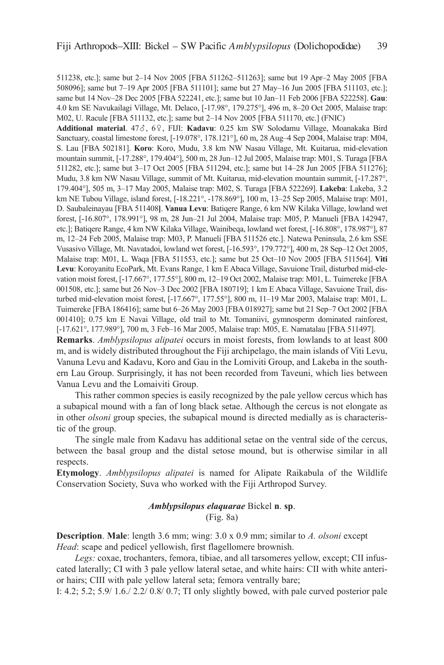511238, etc.]; same but 2–14 nov 2005 [FBa 511262–511263]; same but 19 apr–2 May 2005 [FBa 508096]; same but 7–19 apr 2005 [FBa 511101]; same but 27 May–16 Jun 2005 [FBa 511103, etc.]; same but 14 nov–28 Dec 2005 [FBa 522241, etc.]; same but 10 Jan–11 Feb 2006 [FBa 522258]. **Gau**: 4.0 km Se navukailagi Village, Mt. Delaco, [-17.98°, 179.275°], 496 m, 8–20 Oct 2005, Malaise trap: M02, U. Racule [FBa 511132, etc.]; same but 2–14 nov 2005 [FBa 511170, etc.] (Fnic)

Additional material. 47 $\delta$ , 6º, FIJI: Kadavu: 0.25 km SW Solodamu Village, Moanakaka Bird Sanctuary, coastal limestone forest, [-19.078°, 178.121°], 60 m, 28 aug–4 Sep 2004, Malaise trap: M04, S. lau [FBa 502181]. **Koro**: koro, Mudu, 3.8 km nW nasau Village, Mt. kuitarua, mid-elevation mountain summit, [-17.288°, 179.404°], 500 m, 28 Jun–12 Jul 2005, Malaise trap: M01, S. Turaga [FBa 511282, etc.]; same but 3–17 Oct 2005 [FBa 511294, etc.]; same but 14–28 Jun 2005 [FBa 511276]; Mudu, 3.8 km NW Nasau Village, summit of Mt. Kuitarua, mid-elevation mountain summit, [-17.287°, 179.404°], 505 m, 3–17 May 2005, Malaise trap: M02, S. Turaga [FBa 522269]. **Lakeba**: lakeba, 3.2 km NE Tubou Village, island forest, [-18.221°, -178.869°], 100 m, 13–25 Sep 2005, Malaise trap: M01, D. Saubaleinayau [FBa 511408**]**. **Vanua Levu**: Batiqere Range, 6 km nW kilaka Village, lowland wet forest, [-16.807°, 178.991°], 98 m, 28 Jun–21 Jul 2004, Malaise trap: M05, P. Manueli [FBa 142947, etc.]; Batiqere Range, 4 km nW kilaka Village, Wainibeqa, lowland wet forest, [-16.808°, 178.987°], 87 m, 12–24 Feb 2005, Malaise trap: M03, P. Manueli [FBa 511526 etc.]. natewa Peninsula, 2.6 km SSe Vusasivo Village, Mt. navatadoi, lowland wet forest, [-16.593°, 179.772°], 400 m, 28 Sep–12 Oct 2005, Malaise trap: M01, l. Waqa [FBa 511553, etc.]; same but 25 Oct–10 nov 2005 [FBa 511564]. **Viti** Levu: Koroyanitu EcoPark, Mt. Evans Range, 1 km E Abaca Village, Savuione Trail, disturbed mid-elevation moist forest, [-17.667°, 177.55°], 800 m, 12–19 Oct 2002, Malaise trap: M01, l. Tuimereke [FBa 001508, etc.]; same but 26 nov–3 Dec 2002 [FBa 180719]; 1 km e abaca Village, Savuione Trail, disturbed mid-elevation moist forest, [-17.667°, 177.55°], 800 m, 11–19 Mar 2003, Malaise trap: M01, l. Tuimereke [FBa 186416]; same but 6–26 May 2003 [FBa 018927]; same but 21 Sep–7 Oct 2002 [FBa 001410]; 0.75 km E Navai Village, old trail to Mt. Tomaniivi, gymnosperm dominated rainforest, [-17.621°, 177.989°], 700 m, 3 Feb-16 Mar 2005, Malaise trap: M05, E. Namatalau [FBA 511497].

**Remarks**. *Amblypsilopus alipatei* occurs in moist forests, from lowlands to at least 800 m, and is widely distributed throughout the Fiji archipelago, the main islands of Viti levu, Vanuna levu and kadavu, koro and Gau in the lomiviti Group, and lakeba in the southern lau Group. Surprisingly, it has not been recorded from Taveuni, which lies between Vanua levu and the lomaiviti Group.

This rather common species is easily recognized by the pale yellow cercus which has a subapical mound with a fan of long black setae. although the cercus is not elongate as in other *olsoni* group species, the subapical mound is directed medially as is characteristic of the group.

The single male from kadavu has additional setae on the ventral side of the cercus, between the basal group and the distal setose mound, but is otherwise similar in all respects.

**Etymology**. *Amblypsilopus alipatei* is named for alipate Raikabula of the Wildlife Conservation Society, Suva who worked with the Fiji Arthropod Survey.

# *Amblypsilopus elaquarae* Bickel **n**. **sp**. (Fig. 8a)

**Description**. **Male**: length 3.6 mm; wing: 3.0 x 0.9 mm; similar to *A. olsoni* except *Head*: scape and pedicel yellowish, first flagellomere brownish.

Legs: coxae, trochanters, femora, tibiae, and all tarsomeres yellow, except; CII infuscated laterally; CI with 3 pale yellow lateral setae, and white hairs: CII with white anterior hairs; CIII with pale yellow lateral seta; femora ventrally bare;

I: 4.2; 5.2; 5.9/  $1.6/2.2/0.8/0.7$ ; TI only slightly bowed, with pale curved posterior pale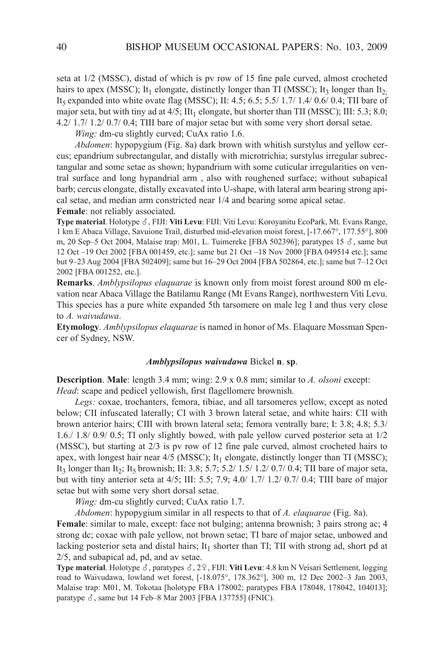seta at 1/2 (MSSc), distad of which is pv row of 15 fine pale curved, almost crocheted hairs to apex (MSSC); It<sub>1</sub> elongate, distinctly longer than TI (MSSC); It<sub>3</sub> longer than It<sub>2</sub>. It<sub>5</sub> expanded into white ovate flag (MSSC); II:  $4.5$ ;  $6.5$ ;  $5.5/ 1.7/ 1.4/ 0.6/ 0.4$ ; TII bare of major seta, but with tiny ad at  $4/5$ ; IIt<sub>1</sub> elongate, but shorter than TII (MSSC); III: 5.3; 8.0; 4.2/ 1.7/ 1.2/ 0.7/ 0.4; Tiii bare of major setae but with some very short dorsal setae.

*Wing:* dm-cu slightly curved; CuAx ratio 1.6.

*Abdomen*: hypopygium (Fig. 8a) dark brown with whitish surstylus and yellow cercus; epandrium subrectangular, and distally with microtrichia; surstylus irregular subrectangular and some setae as shown; hypandrium with some cuticular irregularities on ventral surface and long hypandrial arm , also with roughened surface; without subapical barb; cercus elongate, distally excavated into U-shape, with lateral arm bearing strong apical setae, and median arm constricted near 1/4 and bearing some apical setae. **Female**: not reliably associated.

**Type material**. Holotype  $\delta$ , FIJI: Viti Levu: FIJI: Viti Levu: Koroyanitu EcoPark, Mt. Evans Range, 1 km e abaca Village, Savuione Trail, disturbed mid-elevation moist forest, [-17.667°, 177.55°], 800 m, 20 Sep–5 Oct 2004, Malaise trap: M01, L. Tuimereke [FBA 502396]; paratypes 15  $\delta$ , same but 12 Oct –19 Oct 2002 [FBa 001459, etc.]; same but 21 Oct –18 nov 2000 [FBa 049514 etc.]; same but 9–23 aug 2004 [FBa 502409]; same but 16–29 Oct 2004 [FBa 502864, etc.]; same but 7–12 Oct 2002 [FBa 001252, etc.].

**Remarks**. *Amblypsilopus elaquarae* is known only from moist forest around 800 m elevation near Abaca Village the Batilamu Range (Mt Evans Range), northwestern Viti Levu. This species has a pure white expanded 5th tarsomere on male leg I and thus very close to *A. waivudawa*.

**Etymology**. *Amblypsilopus elaquarae* is named in honor of Ms. Elaquare Mossman Spencer of Sydney, nSW.

#### *Amblypsilopus waivudawa* Bickel **n**. **sp**.

**Description. Male:** length 3.4 mm; wing: 2.9 x 0.8 mm; similar to *A. olsoni* except: *Head*: scape and pedicel yellowish, first flagellomere brownish.

*Legs:* coxae, trochanters, femora, tibiae, and all tarsomeres yellow, except as noted below; CII infuscated laterally; CI with 3 brown lateral setae, and white hairs: CII with brown anterior hairs; CIII with brown lateral seta; femora ventrally bare; I: 3.8; 4.8; 5.3/ 1.6./ 1.8/ 0.9/ 0.5; Ti only slightly bowed, with pale yellow curved posterior seta at 1/2 (MSSc), but starting at 2/3 is pv row of 12 fine pale curved, almost crocheted hairs to apex, with longest hair near  $4/5$  (MSSC); It<sub>1</sub> elongate, distinctly longer than TI (MSSC); It<sub>3</sub> longer than It<sub>2</sub>; It<sub>5</sub> brownish; II: 3.8; 5.7; 5.2/ 1.5/ 1.2/ 0.7/ 0.4; TII bare of major seta, but with tiny anterior seta at 4/5; III: 5.5; 7.9; 4.0/ 1.7/ 1.2/ 0.7/ 0.4; TIII bare of major setae but with some very short dorsal setae.

*Wing:* dm-cu slightly curved; CuAx ratio 1.7.

*Abdomen*: hypopygium similar in all respects to that of *A. elaquarae* (Fig. 8a).

**Female**: similar to male, except: face not bulging; antenna brownish; 3 pairs strong ac; 4 strong dc; coxae with pale yellow, not brown setae; Ti bare of major setae, unbowed and lacking posterior seta and distal hairs; It<sub>1</sub> shorter than TI; TII with strong ad, short pd at 2/5, and subapical ad, pd, and av setae.

**Type material**. Holotype  $\delta$ , paratypes  $\delta$ , 2 $\Omega$ , FIJI: **Viti Levu**: 4.8 km N Veisari Settlement, logging road to Waivudawa, lowland wet forest, [-18.075°, 178.362°], 300 m, 12 Dec 2002–3 Jan 2003, Malaise trap: M01, M. Tokotaa [holotype FBa 178002; paratypes FBa 178048, 178042, 104013]; paratype  $\delta$ , same but 14 Feb–8 Mar 2003 [FBA 137755] (FNIC).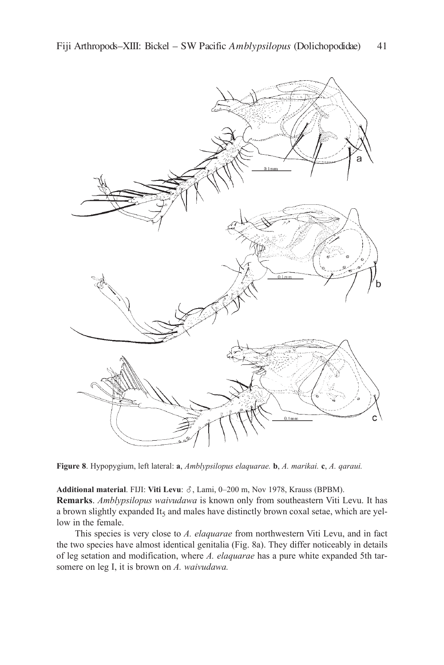

**Figure 8**. Hypopygium, left lateral: **a**, *Amblypsilopus elaquarae.* **b**, *A. marikai.* **c**, *A. qaraui.*

Additional material. FIJI: Viti Levu:  $\delta$ , Lami, 0–200 m, Nov 1978, Krauss (BPBM). **Remarks**. *Amblypsilopus waivudawa* is known only from southeastern Viti levu. it has a brown slightly expanded It<sub>5</sub> and males have distinctly brown coxal setae, which are yellow in the female.

This species is very close to *A. elaquarae* from northwestern Viti levu, and in fact the two species have almost identical genitalia (Fig. 8a). They differ noticeably in details of leg setation and modification, where *A. elaquarae* has a pure white expanded 5th tarsomere on leg I, it is brown on *A. waivudawa.*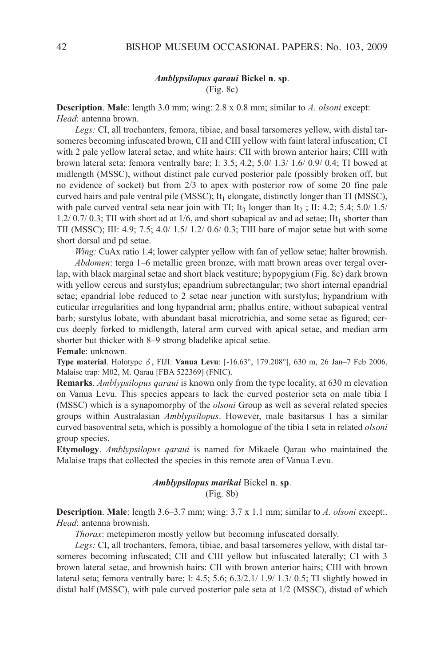### *Amblypsilopus qaraui* **Bickel n**. **sp**. (Fig. 8c)

**Description**. **Male**: length 3.0 mm; wing: 2.8 x 0.8 mm; similar to *A. olsoni* except: *Head*: antenna brown.

Legs: CI, all trochanters, femora, tibiae, and basal tarsomeres yellow, with distal tarsomeres becoming infuscated brown, CII and CIII yellow with faint lateral infuscation; CI with 2 pale yellow lateral setae, and white hairs: CII with brown anterior hairs; CIII with brown lateral seta; femora ventrally bare; I: 3.5; 4.2; 5.0/ 1.3/ 1.6/ 0.9/ 0.4; TI bowed at midlength (MSSc), without distinct pale curved posterior pale (possibly broken off, but no evidence of socket) but from 2/3 to apex with posterior row of some 20 fine pale curved hairs and pale ventral pile (MSSC); It<sub>1</sub> elongate, distinctly longer than TI (MSSC), with pale curved ventral seta near join with TI; It<sub>3</sub> longer than It<sub>2</sub>; II: 4.2; 5.4; 5.0/ 1.5/ 1.2/ 0.7/ 0.3; TII with short ad at 1/6, and short subapical av and ad setae; IIt<sub>1</sub> shorter than TII (MSSC); III:  $4.9$ ;  $7.5$ ;  $4.0/1.5/1.2/0.6/0.3$ ; TIII bare of major setae but with some short dorsal and pd setae.

*Wing:* CuAx ratio 1.4; lower calypter yellow with fan of yellow setae; halter brownish.

*Abdomen*: terga 1–6 metallic green bronze, with matt brown areas over tergal overlap, with black marginal setae and short black vestiture; hypopygium (Fig. 8c) dark brown with yellow cercus and surstylus; epandrium subrectangular; two short internal epandrial setae; epandrial lobe reduced to 2 setae near junction with surstylus; hypandrium with cuticular irregularities and long hypandrial arm; phallus entire, without subapical ventral barb; surstylus lobate, with abundant basal microtrichia, and some setae as figured; cercus deeply forked to midlength, lateral arm curved with apical setae, and median arm shorter but thicker with 8–9 strong bladelike apical setae.

**Female**: unknown.

**Type material**. Holotype ♂, FIJI: **Vanua Levu**: [-16.63°, 179.208°], 630 m, 26 Jan–7 Feb 2006, Malaise trap: M02, M. Qarau [FBa 522369] (Fnic).

**Remarks**. *Amblypsilopus qaraui* is known only from the type locality, at 630 m elevation on Vanua levu. This species appears to lack the curved posterior seta on male tibia i (MSSc) which is a synapomorphy of the *olsoni* Group as well as several related species groups within australasian *Amblypsilopus*. However, male basitarsus i has a similar curved basoventral seta, which is possibly a homologue of the tibia I seta in related *olsoni* group species.

**Etymology**. *Amblypsilopus qaraui* is named for Mikaele Qarau who maintained the Malaise traps that collected the species in this remote area of Vanua levu.

## *Amblypsilopus marikai* Bickel **n**. **sp**. (Fig. 8b)

**Description**. **Male**: length 3.6–3.7 mm; wing: 3.7 x 1.1 mm; similar to *A. olsoni* except:. *Head*: antenna brownish.

*Thorax*: metepimeron mostly yellow but becoming infuscated dorsally.

Legs: CI, all trochanters, femora, tibiae, and basal tarsomeres yellow, with distal tarsomeres becoming infuscated; CII and CIII yellow but infuscated laterally; CI with 3 brown lateral setae, and brownish hairs: CII with brown anterior hairs; CIII with brown lateral seta; femora ventrally bare; i: 4.5; 5.6; 6.3/2.1/ 1.9/ 1.3/ 0.5; Ti slightly bowed in distal half (MSSc), with pale curved posterior pale seta at 1/2 (MSSc), distad of which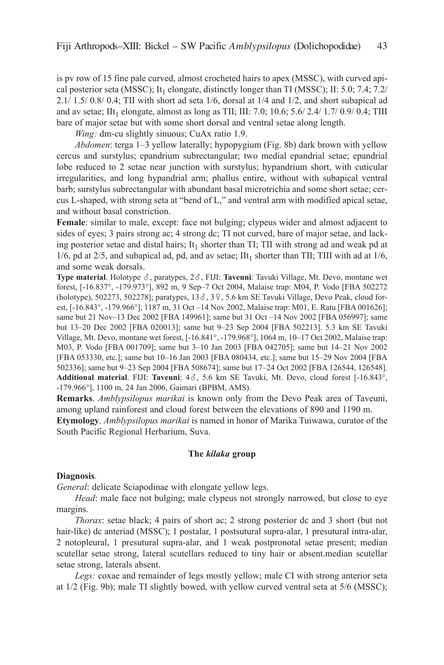is pv row of 15 fine pale curved, almost crocheted hairs to apex (MSSc), with curved apical posterior seta (MSSC); It<sub>1</sub> elongate, distinctly longer than TI (MSSC); II: 5.0; 7.4; 7.2/  $2.1/1.5/0.8/0.4$ ; TII with short ad seta  $1/6$ , dorsal at  $1/4$  and  $1/2$ , and short subapical ad and av setae; IIt<sub>1</sub> elongate, almost as long as TII; III: 7.0; 10.6; 5.6/ 2.4/ 1.7/ 0.9/ 0.4; TIII bare of major setae but with some short dorsal and ventral setae along length.

*Wing:* dm-cu slightly sinuous; CuAx ratio 1.9.

*Abdomen*: terga 1–3 yellow laterally; hypopygium (Fig. 8b) dark brown with yellow cercus and surstylus; epandrium subrectangular; two medial epandrial setae; epandrial lobe reduced to 2 setae near junction with surstylus; hypandrium short, with cuticular irregularities, and long hypandrial arm; phallus entire, without with subapical ventral barb; surstylus subrectangular with abundant basal microtrichia and some short setae; cercus L-shaped, with strong seta at "bend of L," and ventral arm with modified apical setae, and without basal constriction.

**Female**: similar to male, except: face not bulging; clypeus wider and almost adjacent to sides of eyes; 3 pairs strong ac; 4 strong dc; Ti not curved, bare of major setae, and lacking posterior setae and distal hairs; It<sub>1</sub> shorter than TI; TII with strong ad and weak pd at 1/6, pd at  $2/5$ , and subapical ad, pd, and av setae; IIt<sub>1</sub> shorter than TII; TIII with ad at  $1/6$ , and some weak dorsals.

**Type material**. Holotype  $\delta$ , paratypes,  $2\delta$ , FIJI: **Taveuni**: Tavuki Village, Mt. Devo, montane wet forest, [-16.837°, -179.973°], 892 m, 9 Sep–7 Oct 2004, Malaise trap: M04, P. Vodo [FBa 502272 (holotype), 502273, 502278]; paratypes,  $13\delta$ ,  $3\delta$ ,  $5.6$  km SE Tavuki Village, Devo Peak, cloud forest, [-16.843°, -179.966°], 1187 m, 31 Oct –14 Nov 2002, Malaise trap: M01, E. Ratu [FBA 001626]; same but 21 Nov-13 Dec 2002 [FBA 149961]; same but 31 Oct -14 Nov 2002 [FBA 056997]; same but 13–20 Dec 2002 [FBa 020013]; same but 9–23 Sep 2004 [FBa 502213]. 5.3 km Se Tavuki Village, Mt. Devo, montane wet forest, [-16.841°, -179.968°], 1064 m, 10–17 Oct 2002, Malaise trap: M03, P. Vodo [FBa 001709]; same but 3–10 Jan 2003 [FBa 042705]; same but 14–21 nov 2002 [FBa 053330, etc.]; same but 10–16 Jan 2003 [FBa 080434, etc.]; same but 15–29 nov 2004 [FBa 502336]; same but 9–23 Sep 2004 [FBa 508674]; same but 17–24 Oct 2002 [FBa 126544, 126548]. Additional material. FIJI: Taveuni: 4 $\delta$ , 5.6 km SE Tavuki, Mt. Devo, cloud forest [-16.843°, -179.966°], 1100 m, 24 Jan 2006, Gaimari (BPBM, aMS).

**Remarks**. *Amblypsilopus marikai* is known only from the Devo Peak area of Taveuni, among upland rainforest and cloud forest between the elevations of 890 and 1190 m. **Etymology**. *Amblypsilopus marikai* is named in honor of Marika Tuiwawa, curator of the South Pacific Regional Herbarium, Suva.

#### **The** *kilaka* **group**

#### **Diagnosis**.

*General*: delicate Sciapodinae with elongate yellow legs.

*Head*: male face not bulging; male clypeus not strongly narrowed, but close to eye margins.

*Thorax*: setae black; 4 pairs of short ac; 2 strong posterior dc and 3 short (but not hair-like) dc anteriad (MSSC); 1 postalar, 1 postsutural supra-alar, 1 presutural intra-alar, 2 notopleural, 1 presutural supra-alar, and 1 weak postpronotal setae present; median scutellar setae strong, lateral scutellars reduced to tiny hair or absent.median scutellar setae strong, laterals absent.

*Legs:* coxae and remainder of legs mostly yellow; male CI with strong anterior seta at 1/2 (Fig. 9b); male Ti slightly bowed, with yellow curved ventral seta at 5/6 (MSSc);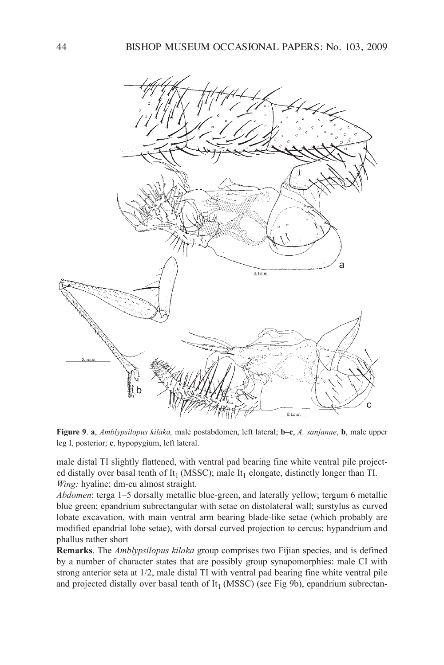

**Figure 9**. **a**, *Amblypsilopus kilaka,* male postabdomen, left lateral; **b–c**, *A. sanjanae*, **b**, male upper leg i, posterior; **c**, hypopygium, left lateral.

male distal TI slightly flattened, with ventral pad bearing fine white ventral pile projected distally over basal tenth of It<sub>1</sub> (MSSC); male It<sub>1</sub> elongate, distinctly longer than TI. *Wing:* hyaline; dm-cu almost straight.

*Abdomen*: terga 1–5 dorsally metallic blue-green, and laterally yellow; tergum 6 metallic blue green; epandrium subrectangular with setae on distolateral wall; surstylus as curved lobate excavation, with main ventral arm bearing blade-like setae (which probably are modified epandrial lobe setae), with dorsal curved projection to cercus; hypandrium and phallus rather short

**Remarks**. The *Amblypsilopus kilaka* group comprises two Fijian species, and is defined by a number of character states that are possibly group synapomorphies: male CI with strong anterior seta at 1/2, male distal TI with ventral pad bearing fine white ventral pile and projected distally over basal tenth of It<sub>1</sub> (MSSC) (see Fig 9b), epandrium subrectan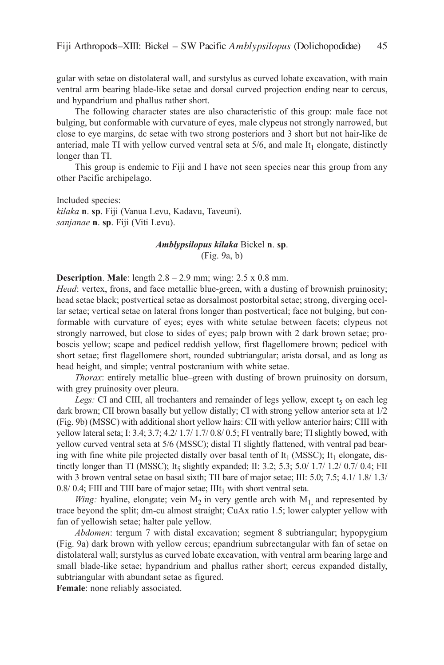gular with setae on distolateral wall, and surstylus as curved lobate excavation, with main ventral arm bearing blade-like setae and dorsal curved projection ending near to cercus, and hypandrium and phallus rather short.

The following character states are also characteristic of this group: male face not bulging, but conformable with curvature of eyes, male clypeus not strongly narrowed, but close to eye margins, dc setae with two strong posteriors and 3 short but not hair-like dc anteriad, male TI with yellow curved ventral seta at  $5/6$ , and male  $It<sub>1</sub>$  elongate, distinctly longer than Ti.

This group is endemic to Fiji and I have not seen species near this group from any other Pacific archipelago.

Included species: *kilaka* **n**. **sp**. Fiji (Vanua levu, kadavu, Taveuni). *sanjanae* **n**. **sp**. Fiji (Viti levu).

# *Amblypsilopus kilaka* Bickel **n**. **sp**. (Fig. 9a, b)

**Description**. **Male**: length 2.8 – 2.9 mm; wing: 2.5 x 0.8 mm.

*Head*: vertex, frons, and face metallic blue-green, with a dusting of brownish pruinosity; head setae black; postvertical setae as dorsalmost postorbital setae; strong, diverging ocellar setae; vertical setae on lateral frons longer than postvertical; face not bulging, but conformable with curvature of eyes; eyes with white setulae between facets; clypeus not strongly narrowed, but close to sides of eyes; palp brown with 2 dark brown setae; proboscis yellow; scape and pedicel reddish yellow, first flagellomere brown; pedicel with short setae; first flagellomere short, rounded subtriangular; arista dorsal, and as long as head height, and simple; ventral postcranium with white setae.

*Thorax*: entirely metallic blue–green with dusting of brown pruinosity on dorsum, with grey pruinosity over pleura.

*Legs:* CI and CIII, all trochanters and remainder of legs yellow, except  $t<sub>5</sub>$  on each leg dark brown; CII brown basally but yellow distally; CI with strong yellow anterior seta at  $1/2$ (Fig. 9b) (MSSc) with additional short yellow hairs: cii with yellow anterior hairs; ciii with yellow lateral seta; I: 3.4; 3.7; 4.2/ 1.7/ 1.7/ 0.8/ 0.5; FI ventrally bare; TI slightly bowed, with yellow curved ventral seta at 5/6 (MSSC); distal TI slightly flattened, with ventral pad bearing with fine white pile projected distally over basal tenth of  $It_1$  (MSSC);  $It_1$  elongate, distinctly longer than TI (MSSC); It<sub>5</sub> slightly expanded; II: 3.2; 5.3; 5.0/ 1.7/ 1.2/ 0.7/ 0.4; FII with 3 brown ventral setae on basal sixth; TII bare of major setae; III:  $5.0$ ;  $7.5$ ;  $4.1/1.8/1.3/$ 0.8/ 0.4; FIII and TIII bare of major setae;  $IIIt<sub>1</sub>$  with short ventral seta.

*Wing:* hyaline, elongate; vein  $M_2$  in very gentle arch with  $M_1$  and represented by trace beyond the split; dm-cu almost straight; CuAx ratio 1.5; lower calypter yellow with fan of yellowish setae; halter pale yellow.

*Abdomen*: tergum 7 with distal excavation; segment 8 subtriangular; hypopygium (Fig. 9a) dark brown with yellow cercus; epandrium subrectangular with fan of setae on distolateral wall; surstylus as curved lobate excavation, with ventral arm bearing large and small blade-like setae; hypandrium and phallus rather short; cercus expanded distally, subtriangular with abundant setae as figured.

**Female**: none reliably associated.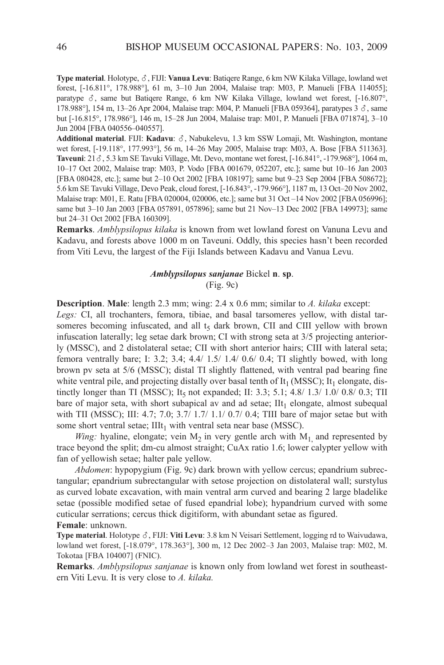Type material. Holotype,  $\delta$ , FIJI: Vanua Levu: Batiqere Range, 6 km NW Kilaka Village, lowland wet forest, [-16.811°, 178.988°], 61 m, 3–10 Jun 2004, Malaise trap: M03, P. Manueli [FBa 114055]; paratype  $\delta$ , same but Batiqere Range, 6 km NW Kilaka Village, lowland wet forest, [-16.807°, 178.988°], 154 m, 13–26 Apr 2004, Malaise trap: M04, P. Manueli [FBA 059364], paratypes  $3 \delta$ , same but [-16.815°, 178.986°], 146 m, 15–28 Jun 2004, Malaise trap: M01, P. Manueli [FBa 071874], 3–10 Jun 2004 [FBa 040556–040557].

Additional material. FIJI: Kadavu:  $\delta$ , Nabukelevu, 1.3 km SSW Lomaji, Mt. Washington, montane wet forest, [-19.118°, 177.993°], 56 m, 14–26 May 2005, Malaise trap: M03, A. Bose [FBA 511363]. **Taveuni**: 21,  $\delta$ , 5.3 km SE Tavuki Village, Mt. Devo, montane wet forest, [-16.841°, -179.968°], 1064 m, 10–17 Oct 2002, Malaise trap: M03, P. Vodo [FBa 001679, 052207, etc.]; same but 10–16 Jan 2003 [FBa 080428, etc.]; same but 2–10 Oct 2002 [FBa 108197]; same but 9–23 Sep 2004 [FBa 508672]; 5.6 km Se Tavuki Village, Devo Peak, cloud forest, [-16.843°, -179.966°], 1187 m, 13 Oct–20 nov 2002, Malaise trap: M01, E. Ratu [FBA 020004, 020006, etc.]; same but 31 Oct –14 Nov 2002 [FBA 056996]; same but 3–10 Jan 2003 [FBA 057891, 057896]; same but 21 Nov–13 Dec 2002 [FBA 149973]; same but 24–31 Oct 2002 [FBa 160309].

**Remarks**. *Amblypsilopus kilaka* is known from wet lowland forest on Vanuna levu and kadavu, and forests above 1000 m on Taveuni. Oddly, this species hasn't been recorded from Viti levu, the largest of the Fiji islands between kadavu and Vanua levu.

# *Amblypsilopus sanjanae* Bickel **n**. **sp**. (Fig. 9c)

**Description**. **Male**: length 2.3 mm; wing: 2.4 x 0.6 mm; similar to *A. kilaka* except: Legs: CI, all trochanters, femora, tibiae, and basal tarsomeres yellow, with distal tarsomeres becoming infuscated, and all  $t<sub>5</sub>$  dark brown, CII and CIII yellow with brown infuscation laterally; leg setae dark brown; CI with strong seta at  $3/5$  projecting anteriorly (MSSC), and 2 distolateral setae; CII with short anterior hairs; CIII with lateral seta; femora ventrally bare; i: 3.2; 3.4; 4.4/ 1.5/ 1.4/ 0.6/ 0.4; Ti slightly bowed, with long brown pv seta at 5/6 (MSSc); distal Ti slightly flattened, with ventral pad bearing fine white ventral pile, and projecting distally over basal tenth of  $It<sub>1</sub> (MSSC)$ ;  $It<sub>1</sub> elongate, dis$ tinctly longer than TI (MSSC); It<sub>5</sub> not expanded; II: 3.3; 5.1; 4.8/ 1.3/ 1.0/ 0.8/ 0.3; TII bare of major seta, with short subapical av and ad setae;  $\text{III}_1$  elongate, almost subequal with TII (MSSC); III:  $4.7$ ;  $7.0$ ;  $3.7/1.7/1.1/0.7/0.4$ ; TIII bare of major setae but with some short ventral setae;  $IIIt_1$  with ventral seta near base (MSSC).

*Wing:* hyaline, elongate; vein  $M_2$  in very gentle arch with  $M_1$  and represented by trace beyond the split; dm-cu almost straight; CuAx ratio 1.6; lower calypter yellow with fan of yellowish setae; halter pale yellow.

*Abdomen*: hypopygium (Fig. 9c) dark brown with yellow cercus; epandrium subrectangular; epandrium subrectangular with setose projection on distolateral wall; surstylus as curved lobate excavation, with main ventral arm curved and bearing 2 large bladelike setae (possible modified setae of fused epandrial lobe); hypandrium curved with some cuticular serrations; cercus thick digitiform, with abundant setae as figured. **Female**: unknown.

Type material. Holotype  $\delta$ , FIJI: Viti Levu: 3.8 km N Veisari Settlement, logging rd to Waivudawa, lowland wet forest, [-18.079°, 178.363°], 300 m, 12 Dec 2002–3 Jan 2003, Malaise trap: M02, M. Tokotaa [FBa 104007] (Fnic).

**Remarks**. *Amblypsilopus sanjanae* is known only from lowland wet forest in southeastern Viti levu. it is very close to *A. kilaka.*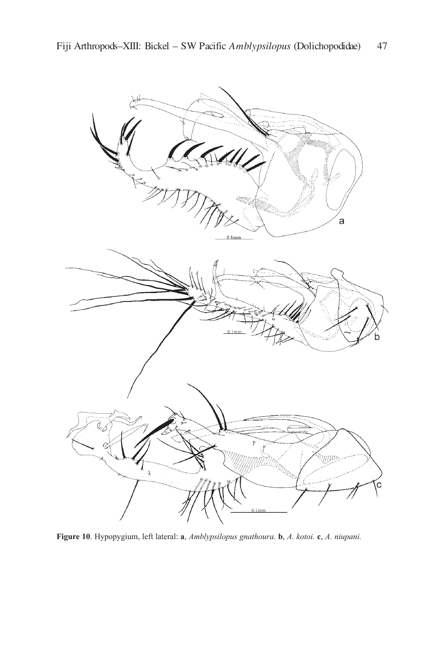

**Figure 10**. Hypopygium, left lateral: **a**, *Amblypsilopus gnathoura.* **b**, *A. kotoi.* **c**, *A. niupani.*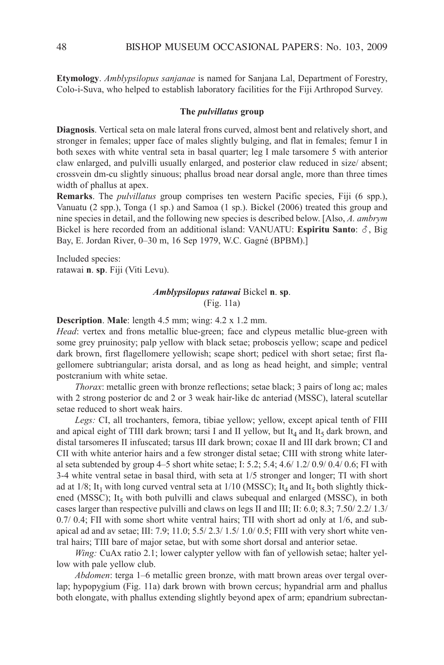**Etymology**. *Amblypsilopus sanjanae* is named for Sanjana lal, Department of Forestry, colo-i-Suva, who helped to establish laboratory facilities for the Fiji arthropod Survey.

#### **The** *pulvillatus* **group**

**Diagnosis**. Vertical seta on male lateral frons curved, almost bent and relatively short, and stronger in females; upper face of males slightly bulging, and flat in females; femur i in both sexes with white ventral seta in basal quarter; leg I male tarsomere 5 with anterior claw enlarged, and pulvilli usually enlarged, and posterior claw reduced in size/ absent; crossvein dm-cu slightly sinuous; phallus broad near dorsal angle, more than three times width of phallus at apex.

**Remarks**. The *pulvillatus* group comprises ten western Pacific species, Fiji (6 spp.), Vanuatu (2 spp.), Tonga (1 sp.) and Samoa (1 sp.). Bickel (2006) treated this group and nine species in detail, and the following new species is described below. [Also, *A. ambrym*] Bickel is here recorded from an additional island: VANUATU: **Espiritu Santo**:  $\delta$ , Big Bay, E. Jordan River, 0-30 m, 16 Sep 1979, W.C. Gagné (BPBM).]

Included species: ratawai **n**. **sp**. Fiji (Viti levu).

# *Amblypsilopus ratawai* Bickel **n**. **sp**. (Fig. 11a)

**Description**. **Male**: length 4.5 mm; wing: 4.2 x 1.2 mm.

*Head*: vertex and frons metallic blue-green; face and clypeus metallic blue-green with some grey pruinosity; palp yellow with black setae; proboscis yellow; scape and pedicel dark brown, first flagellomere yellowish; scape short; pedicel with short setae; first flagellomere subtriangular; arista dorsal, and as long as head height, and simple; ventral postcranium with white setae.

*Thorax*: metallic green with bronze reflections; setae black; 3 pairs of long ac; males with 2 strong posterior dc and 2 or 3 weak hair-like dc anteriad (MSSc), lateral scutellar setae reduced to short weak hairs.

Legs: CI, all trochanters, femora, tibiae yellow; yellow, except apical tenth of FIII and apical eight of TIII dark brown; tarsi I and II yellow, but It<sub>4</sub> and It<sub>5</sub> dark brown, and distal tarsomeres II infuscated; tarsus III dark brown; coxae II and III dark brown; CI and CII with white anterior hairs and a few stronger distal setae; CIII with strong white lateral seta subtended by group  $4-5$  short white setae; I: 5.2; 5.4; 4.6/ 1.2/ 0.9/ 0.4/ 0.6; FI with 3-4 white ventral setae in basal third, with seta at 1/5 stronger and longer; Ti with short ad at  $1/8$ ; It<sub>1</sub> with long curved ventral seta at  $1/10$  (MSSC); It<sub>4</sub> and It<sub>5</sub> both slightly thickened (MSSC); It<sub>5</sub> with both pulvilli and claws subequal and enlarged (MSSC), in both cases larger than respective pulvilli and claws on legs II and III; II: 6.0; 8.3; 7.50/ 2.2/ 1.3/  $0.7/0.4$ ; FII with some short white ventral hairs; TII with short ad only at  $1/6$ , and subapical ad and av setae; III:  $7.9$ ;  $11.0$ ;  $5.5/2.3/1.5/1.0/0.5$ ; FIII with very short white ventral hairs; Tiii bare of major setae, but with some short dorsal and anterior setae.

*Wing:* CuAx ratio 2.1; lower calypter yellow with fan of yellowish setae; halter yellow with pale yellow club.

*Abdomen*: terga 1–6 metallic green bronze, with matt brown areas over tergal overlap; hypopygium (Fig. 11a) dark brown with brown cercus; hypandrial arm and phallus both elongate, with phallus extending slightly beyond apex of arm; epandrium subrectan-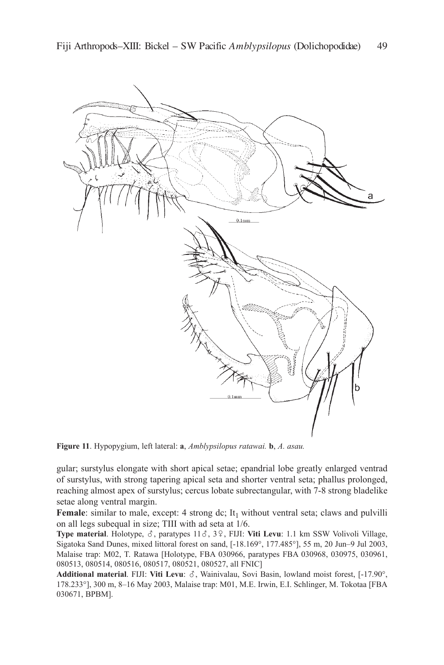

**Figure 11**. Hypopygium, left lateral: **a**, *Amblypsilopus ratawai.* **b**, *A. asau.*

gular; surstylus elongate with short apical setae; epandrial lobe greatly enlarged ventrad of surstylus, with strong tapering apical seta and shorter ventral seta; phallus prolonged, reaching almost apex of surstylus; cercus lobate subrectangular, with 7-8 strong bladelike setae along ventral margin.

**Female**: similar to male, except: 4 strong dc; It<sub>1</sub> without ventral seta; claws and pulvilli on all legs subequal in size; TIII with ad seta at 1/6.

**Type material**. Holotype,  $\delta$ , paratypes  $11\delta$ ,  $3\frac{9}{7}$ , FIJI: **Viti Levu**: 1.1 km SSW Volivoli Village, Sigatoka Sand Dunes, mixed littoral forest on sand, [-18.169°, 177.485°], 55 m, 20 Jun–9 Jul 2003, Malaise trap: M02, T. Ratawa [Holotype, FBa 030966, paratypes FBa 030968, 030975, 030961, 080513, 080514, 080516, 080517, 080521, 080527, all Fnic]

Additional material. FIJI: Viti Levu:  $\delta$ , Wainivalau, Sovi Basin, lowland moist forest, [-17.90°, 178.233°], 300 m, 8–16 May 2003, Malaise trap: M01, M.e. irwin, e.i. Schlinger, M. Tokotaa [FBa 030671, BPBM].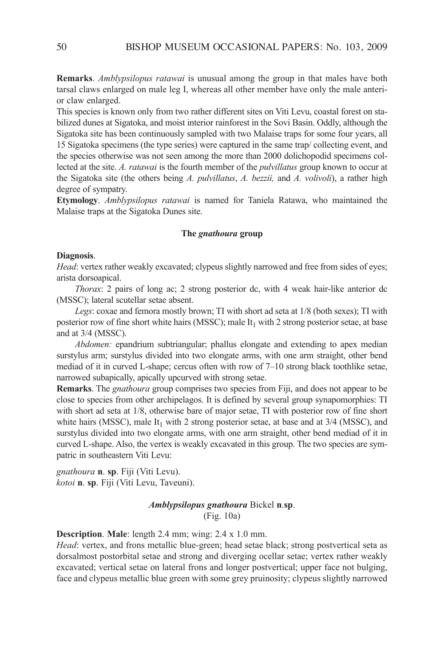**Remarks**. *Amblypsilopus ratawai* is unusual among the group in that males have both tarsal claws enlarged on male leg I, whereas all other member have only the male anterior claw enlarged.

This species is known only from two rather different sites on Viti levu, coastal forest on stabilized dunes at Sigatoka, and moist interior rainforest in the Sovi Basin. Oddly, although the Sigatoka site has been continuously sampled with two Malaise traps for some four years, all 15 Sigatoka specimens (the type series) were captured in the same trap/ collecting event, and the species otherwise was not seen among the more than 2000 dolichopodid specimens collected at the site. *A. ratawai* is the fourth member of the *pulvillatus* group known to occur at the Sigatoka site (the others being *A. pulvillatus*, *A. bezzii,* and *A. volivoli*), a rather high degree of sympatry.

**Etymology**. *Amblypsilopus ratawai* is named for Taniela Ratawa, who maintained the Malaise traps at the Sigatoka Dunes site.

## **The** *gnathoura* **group**

#### **Diagnosis**.

*Head*: vertex rather weakly excavated; clypeus slightly narrowed and free from sides of eyes; arista dorsoapical.

*Thorax*: 2 pairs of long ac; 2 strong posterior dc, with 4 weak hair-like anterior dc (MSSc); lateral scutellar setae absent.

*Legs*: coxae and femora mostly brown; Ti with short ad seta at 1/8 (both sexes); Ti with posterior row of fine short white hairs (MSSC); male  $It_1$  with 2 strong posterior setae, at base and at 3/4 (MSSc).

*Abdomen:* epandrium subtriangular; phallus elongate and extending to apex median surstylus arm; surstylus divided into two elongate arms, with one arm straight, other bend mediad of it in curved l-shape; cercus often with row of 7–10 strong black toothlike setae, narrowed subapically, apically upcurved with strong setae.

**Remarks**. The *gnathoura* group comprises two species from Fiji, and does not appear to be close to species from other archipelagos. it is defined by several group synapomorphies: Ti with short ad seta at 1/8, otherwise bare of major setae, Ti with posterior row of fine short white hairs (MSSC), male  $It<sub>1</sub>$  with 2 strong posterior setae, at base and at 3/4 (MSSC), and surstylus divided into two elongate arms, with one arm straight, other bend mediad of it in curved l-shape. also, the vertex is weakly excavated in this group. The two species are sympatric in southeastern Viti levu:

*gnathoura* **n**. **sp**. Fiji (Viti levu). *kotoi* **n**. **sp**. Fiji (Viti levu, Taveuni).

# *Amblypsilopus gnathoura* Bickel **n**.**sp**. (Fig. 10a)

**Description**. **Male**: length 2.4 mm; wing: 2.4 x 1.0 mm.

*Head*: vertex, and frons metallic blue-green; head setae black; strong postvertical seta as dorsalmost postorbital setae and strong and diverging ocellar setae; vertex rather weakly excavated; vertical setae on lateral frons and longer postvertical; upper face not bulging, face and clypeus metallic blue green with some grey pruinosity; clypeus slightly narrowed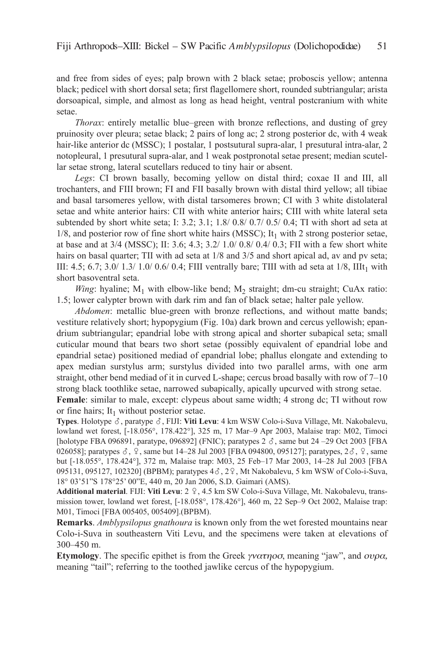and free from sides of eyes; palp brown with 2 black setae; proboscis yellow; antenna black; pedicel with short dorsal seta; first flagellomere short, rounded subtriangular; arista dorsoapical, simple, and almost as long as head height, ventral postcranium with white setae.

*Thorax*: entirely metallic blue–green with bronze reflections, and dusting of grey pruinosity over pleura; setae black; 2 pairs of long ac; 2 strong posterior dc, with 4 weak hair-like anterior dc (MSSc); 1 postalar, 1 postsutural supra-alar, 1 presutural intra-alar, 2 notopleural, 1 presutural supra-alar, and 1 weak postpronotal setae present; median scutellar setae strong, lateral scutellars reduced to tiny hair or absent.

Legs: CI brown basally, becoming yellow on distal third; coxae II and III, all trochanters, and Fiii brown; Fi and Fii basally brown with distal third yellow; all tibiae and basal tarsomeres yellow, with distal tarsomeres brown; CI with 3 white distolateral setae and white anterior hairs: CII with white anterior hairs; CIII with white lateral seta subtended by short white seta; I: 3.2; 3.1;  $1.8/0.8/0.7/0.5/0.4$ ; TI with short ad seta at  $1/8$ , and posterior row of fine short white hairs (MSSC); It<sub>1</sub> with 2 strong posterior setae, at base and at 3/4 (MSSC); II: 3.6; 4.3; 3.2/ 1.0/ 0.8/ 0.4/ 0.3; FII with a few short white hairs on basal quarter; TII with ad seta at  $1/8$  and  $3/5$  and short apical ad, av and pv seta; III: 4.5; 6.7; 3.0/ 1.3/ 1.0/ 0.6/ 0.4; FIII ventrally bare; TIII with ad seta at  $1/8$ , IIIt<sub>1</sub> with short basoventral seta.

*Wing*: hyaline;  $M_1$  with elbow-like bend;  $M_2$  straight; dm-cu straight; CuAx ratio: 1.5; lower calypter brown with dark rim and fan of black setae; halter pale yellow.

*Abdomen*: metallic blue-green with bronze reflections, and without matte bands; vestiture relatively short; hypopygium (Fig. 10a) dark brown and cercus yellowish; epandrium subtriangular; epandrial lobe with strong apical and shorter subapical seta; small cuticular mound that bears two short setae (possibly equivalent of epandrial lobe and epandrial setae) positioned mediad of epandrial lobe; phallus elongate and extending to apex median surstylus arm; surstylus divided into two parallel arms, with one arm straight, other bend mediad of it in curved l-shape; cercus broad basally with row of 7–10 strong black toothlike setae, narrowed subapically, apically upcurved with strong setae.

**Female**: similar to male, except: clypeus about same width; 4 strong dc; TI without row or fine hairs; It<sub>1</sub> without posterior setae.

**Types**. Holotype ♂, paratype ♂, FIJI: Viti Levu: 4 km WSW Colo-i-Suva Village, Mt. Nakobalevu, lowland wet forest, [-18.056°, 178.422°], 325 m, 17 Mar–9 apr 2003, Malaise trap: M02, Timoci [holotype FBA 096891, paratype, 096892] (FNIC); paratypes 2  $\sigma$ , same but 24 –29 Oct 2003 [FBA 026058]; paratypes  $\delta$ ,  $\Omega$ , same but 14–28 Jul 2003 [FBA 094800, 095127]; paratypes,  $2\delta$ ,  $\Omega$ , same but [-18.055°, 178.424°], 372 m, Malaise trap: M03, 25 Feb–17 Mar 2003, 14–28 Jul 2003 [FBa 095131, 095127, 102320] (BPBM); paratypes  $4\delta$ ,  $2\frac{9}{5}$ , Mt Nakobalevu, 5 km WSW of Colo-i-Suva, 18° 03'51"S 178°25' 00"e, 440 m, 20 Jan 2006, S.D. Gaimari (aMS).

Additional material. FIJI: Viti Levu: 2 º, 4.5 km SW Colo-i-Suva Village, Mt. Nakobalevu, transmission tower, lowland wet forest, [-18.058°, 178.426°], 460 m, 22 Sep–9 Oct 2002, Malaise trap: M01, Timoci [FBa 005405, 005409].(BPBM).

**Remarks**. *Amblypsilopus gnathoura* is known only from the wet forested mountains near colo-i-Suva in southeastern Viti levu, and the specimens were taken at elevations of 300–450 m.

**Etymology**. The specific epithet is from the Greek  $\gamma \nu \alpha \tau \eta \sigma \sigma$ , meaning "jaw", and  $\sigma \nu \rho \alpha$ , meaning "tail"; referring to the toothed jawlike cercus of the hypopygium.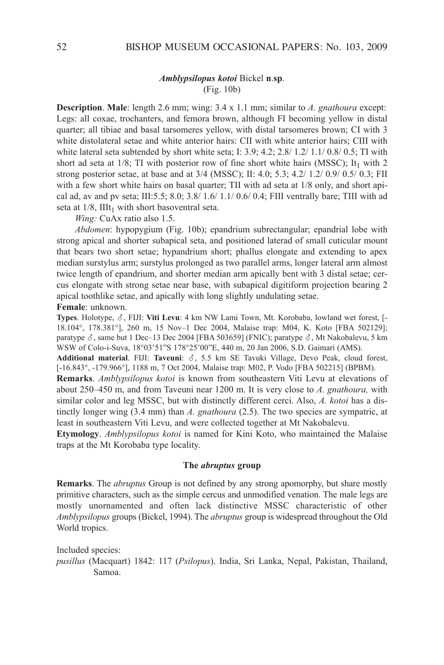#### *Amblypsilopus kotoi* Bickel **n**.**sp**. (Fig. 10b)

**Description**. **Male**: length 2.6 mm; wing: 3.4 x 1.1 mm; similar to *A. gnathoura* except: legs: all coxae, trochanters, and femora brown, although Fi becoming yellow in distal quarter; all tibiae and basal tarsomeres yellow, with distal tarsomeres brown; CI with 3 white distolateral setae and white anterior hairs: CII with white anterior hairs; CIII with white lateral seta subtended by short white seta; I:  $3.9$ ;  $4.2$ ;  $2.8/1.2/1.1/0.8/0.5$ ; TI with short ad seta at  $1/8$ ; TI with posterior row of fine short white hairs (MSSC); It<sub>1</sub> with 2 strong posterior setae, at base and at  $3/4$  (MSSC); II:  $4.0$ ;  $5.3$ ;  $4.2/$   $1.2/$   $0.9/$   $0.5/$   $0.3$ ; FII with a few short white hairs on basal quarter; TII with ad seta at  $1/8$  only, and short apical ad, av and pv seta; III:5.5; 8.0;  $3.8/1.6/1.1/0.6/0.4$ ; FIII ventrally bare; TIII with ad seta at  $1/8$ , IIIt<sub>1</sub> with short basoventral seta.

*Wing:* CuAx ratio also 1.5.

*Abdomen*: hypopygium (Fig. 10b); epandrium subrectangular; epandrial lobe with strong apical and shorter subapical seta, and positioned laterad of small cuticular mount that bears two short setae; hypandrium short; phallus elongate and extending to apex median surstylus arm; surstylus prolonged as two parallel arms, longer lateral arm almost twice length of epandrium, and shorter median arm apically bent with 3 distal setae; cercus elongate with strong setae near base, with subapical digitiform projection bearing 2 apical toothlike setae, and apically with long slightly undulating setae.

**Female**: unknown.

**Types**. Holotype,  $\delta$ , FIJI: **Viti Levu**: 4 km NW Lami Town, Mt. Korobaba, lowland wet forest,  $\lceil - \frac{1}{2} \rceil$ 18.104°, 178.381°], 260 m, 15 nov–1 Dec 2004, Malaise trap: M04, k. koto [FBa 502129]; paratype  $\delta$ , same but 1 Dec–13 Dec 2004 [FBA 503659] (FNIC); paratype  $\delta$ , Mt Nakobalevu, 5 km WSW of colo-i-Suva, 18°03'51"S 178°25'00"e, 440 m, 20 Jan 2006, S.D. Gaimari (aMS).

**Additional material**. FIJI: Taveuni:  $\delta$ , 5.5 km SE Tavuki Village, Devo Peak, cloud forest, [-16.843°, -179.966°], 1188 m, 7 Oct 2004, Malaise trap: M02, P. Vodo [FBA 502215] (BPBM).

**Remarks**. *Amblypsilopus kotoi* is known from southeastern Viti levu at elevations of about 250–450 m, and from Taveuni near 1200 m. it is very close to *A. gnathoura,* with similar color and leg MSSc, but with distinctly different cerci. also, *A. kotoi* has a distinctly longer wing (3.4 mm) than *A. gnathoura* (2.5). The two species are sympatric, at least in southeastern Viti Levu, and were collected together at Mt Nakobalevu.

**Etymology**. *Amblypsilopus kotoi* is named for kini koto, who maintained the Malaise traps at the Mt korobaba type locality.

### **The** *abruptus* **group**

**Remarks**. The *abruptus* Group is not defined by any strong apomorphy, but share mostly primitive characters, such as the simple cercus and unmodified venation. The male legs are mostly unornamented and often lack distinctive MSSc characteristic of other *Amblypsilopus* groups (Bickel, 1994). The *abruptus* group is widespread throughout the Old World tropics.

Included species: *pusillus* (Macquart) 1842: 117 (*Psilopus*). india, Sri lanka, nepal, Pakistan, Thailand, Samoa.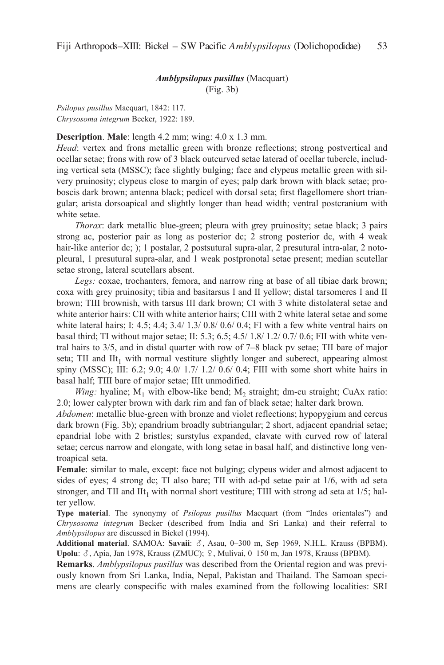## *Amblypsilopus pusillus* (Macquart) (Fig. 3b)

*Psilopus pusillus* Macquart, 1842: 117. *Chrysosoma integrum* Becker, 1922: 189.

**Description**. **Male**: length 4.2 mm; wing: 4.0 x 1.3 mm.

*Head*: vertex and frons metallic green with bronze reflections; strong postvertical and ocellar setae; frons with row of 3 black outcurved setae laterad of ocellar tubercle, including vertical seta (MSSc); face slightly bulging; face and clypeus metallic green with silvery pruinosity; clypeus close to margin of eyes; palp dark brown with black setae; proboscis dark brown; antenna black; pedicel with dorsal seta; first flagellomere short triangular; arista dorsoapical and slightly longer than head width; ventral postcranium with white setae.

*Thorax*: dark metallic blue-green; pleura with grey pruinosity; setae black; 3 pairs strong ac, posterior pair as long as posterior dc; 2 strong posterior dc, with 4 weak hair-like anterior dc; ); 1 postalar, 2 postsutural supra-alar, 2 presutural intra-alar, 2 notopleural, 1 presutural supra-alar, and 1 weak postpronotal setae present; median scutellar setae strong, lateral scutellars absent.

*Legs:* coxae, trochanters, femora, and narrow ring at base of all tibiae dark brown; coxa with grey pruinosity; tibia and basitarsus I and II yellow; distal tarsomeres I and II brown; TIII brownish, with tarsus III dark brown; CI with 3 white distolateral setae and white anterior hairs: CII with white anterior hairs; CIII with 2 white lateral setae and some white lateral hairs; I:  $4.5$ ;  $4.4$ ;  $3.4/ 1.3/ 0.8/ 0.6/ 0.4$ ; FI with a few white ventral hairs on basal third; TI without major setae; II:  $5.3$ ;  $6.5$ ;  $4.5/1.8/1.2/0.7/0.6$ ; FII with white ventral hairs to 3/5, and in distal quarter with row of 7–8 black pv setae; Tii bare of major seta; TII and  $\text{III}_1$  with normal vestiture slightly longer and suberect, appearing almost spiny (MSSC); III: 6.2;  $9.0$ ;  $4.0/ 1.7/ 1.2/ 0.6/ 0.4$ ; FIII with some short white hairs in basal half; TIII bare of major setae; IIIt unmodified.

*Wing:* hyaline;  $M_1$  with elbow-like bend;  $M_2$  straight; dm-cu straight; CuAx ratio: 2.0; lower calypter brown with dark rim and fan of black setae; halter dark brown.

*Abdomen*: metallic blue-green with bronze and violet reflections; hypopygium and cercus dark brown (Fig. 3b); epandrium broadly subtriangular; 2 short, adjacent epandrial setae; epandrial lobe with 2 bristles; surstylus expanded, clavate with curved row of lateral setae; cercus narrow and elongate, with long setae in basal half, and distinctive long ventroapical seta.

**Female**: similar to male, except: face not bulging; clypeus wider and almost adjacent to sides of eyes; 4 strong dc; TI also bare; TII with ad-pd setae pair at 1/6, with ad seta stronger, and TII and IIt<sub>1</sub> with normal short vestiture; TIII with strong ad seta at  $1/5$ ; halter yellow.

**Type material**. The synonymy of *Psilopus pusillus* Macquart (from "indes orientales") and *Chrysosoma integrum* Becker (described from india and Sri lanka) and their referral to *Amblypsilopus* are discussed in Bickel (1994).

**Additional material**. SAMOA: Savaii:  $\delta$ , Asau, 0–300 m, Sep 1969, N.H.L. Krauss (BPBM). Upolu:  $\delta$ , Apia, Jan 1978, Krauss (ZMUC);  $\Omega$ , Mulivai, 0–150 m, Jan 1978, Krauss (BPBM).

**Remarks**. *Amblypsilopus pusillus* was described from the Oriental region and was previously known from Sri lanka, india, nepal, Pakistan and Thailand. The Samoan specimens are clearly conspecific with males examined from the following localities: SRi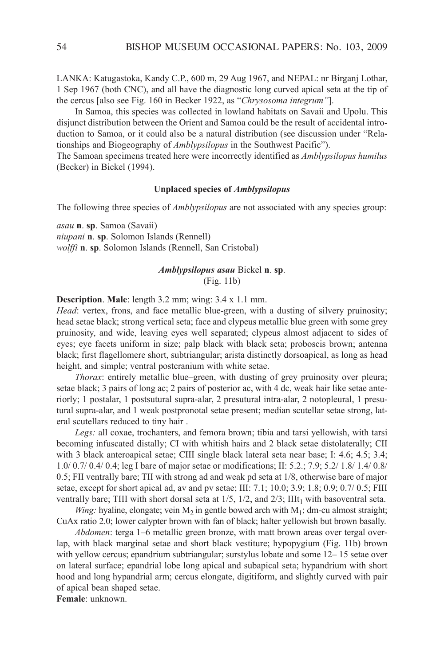lanka: katugastoka, kandy c.P., 600 m, 29 aug 1967, and nePal: nr Birganj lothar, 1 Sep 1967 (both CNC), and all have the diagnostic long curved apical seta at the tip of the cercus [also see Fig. 160 in Becker 1922, as "*Chrysosoma integrum"*].

In Samoa, this species was collected in lowland habitats on Savaii and Upolu. This disjunct distribution between the Orient and Samoa could be the result of accidental introduction to Samoa, or it could also be a natural distribution (see discussion under "Rela tionships and Biogeography of *Amblypsilopus* in the Southwest Pacific").

The Samoan specimens treated here were incorrectly identified as *Amblypsilopus humilus* (Becker) in Bickel (1994).

#### **Unplaced species of** *Amblypsilopus*

The following three species of *Amblypsilopus* are not associated with any species group:

*asau* **n**. **sp**. Samoa (Savaii) *niupani* **n**. **sp**. Solomon islands (Rennell) *wolffi* **n**. **sp**. Solomon Islands (Rennell, San Cristobal)

# *Amblypsilopus asau* Bickel **n**. **sp**. (Fig. 11b)

**Description**. **Male**: length 3.2 mm; wing: 3.4 x 1.1 mm.

*Head*: vertex, frons, and face metallic blue-green, with a dusting of silvery pruinosity; head setae black; strong vertical seta; face and clypeus metallic blue green with some grey pruinosity, and wide, leaving eyes well separated; clypeus almost adjacent to sides of eyes; eye facets uniform in size; palp black with black seta; proboscis brown; antenna black; first flagellomere short, subtriangular; arista distinctly dorsoapical, as long as head height, and simple; ventral postcranium with white setae.

*Thorax*: entirely metallic blue–green, with dusting of grey pruinosity over pleura; setae black; 3 pairs of long ac; 2 pairs of posterior ac, with 4 dc, weak hair like setae anteriorly; 1 postalar, 1 postsutural supra-alar, 2 presutural intra-alar, 2 notopleural, 1 presutural supra-alar, and 1 weak postpronotal setae present; median scutellar setae strong, lateral scutellars reduced to tiny hair .

*Legs:* all coxae, trochanters, and femora brown; tibia and tarsi yellowish, with tarsi becoming infuscated distally; CI with whitish hairs and 2 black setae distolaterally; CII with 3 black anteroapical setae; CIII single black lateral seta near base; I: 4.6; 4.5; 3.4; 1.0/ 0.7/ 0.4/ 0.4; leg i bare of major setae or modifications; ii: 5.2.; 7.9; 5.2/ 1.8/ 1.4/ 0.8/ 0.5; FII ventrally bare; TII with strong ad and weak pd seta at  $1/8$ , otherwise bare of major setae, except for short apical ad, av and pv setae; III: 7.1; 10.0; 3.9; 1.8; 0.9; 0.7/ 0.5; FIII ventrally bare; TIII with short dorsal seta at  $1/5$ ,  $1/2$ , and  $2/3$ ; III $t_1$  with basoventral seta.

*Wing:* hyaline, elongate; vein  $M_2$  in gentle bowed arch with  $M_1$ ; dm-cu almost straight; CuAx ratio 2.0; lower calypter brown with fan of black; halter yellowish but brown basally.

*Abdomen*: terga 1–6 metallic green bronze, with matt brown areas over tergal overlap, with black marginal setae and short black vestiture; hypopygium (Fig. 11b) brown with yellow cercus; epandrium subtriangular; surstylus lobate and some 12– 15 setae over on lateral surface; epandrial lobe long apical and subapical seta; hypandrium with short hood and long hypandrial arm; cercus elongate, digitiform, and slightly curved with pair of apical bean shaped setae.

**Female**: unknown.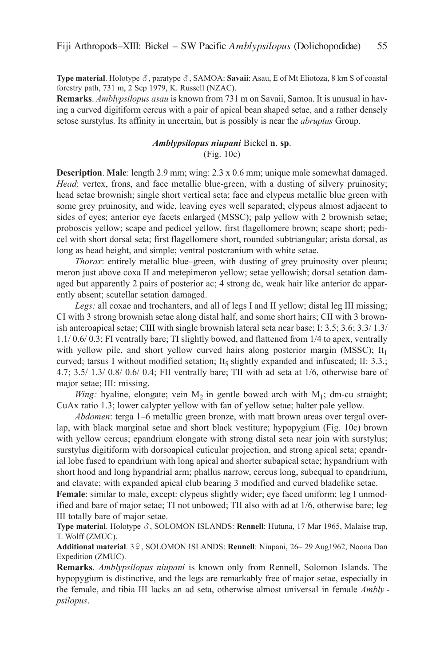**Type material**. Holotype  $\delta$ , paratype  $\delta$ , SAMOA: **Savaii**: Asau, E of Mt Eliotoza, 8 km S of coastal forestry path, 731 m, 2 Sep 1979, k. Russell (nZac).

**Remarks**. *Amblypsilopus asau* is known from 731 m on Savaii, Samoa. it is unusual in having a curved digitiform cercus with a pair of apical bean shaped setae, and a rather densely setose surstylus. Its affinity in uncertain, but is possibly is near the *abruptus* Group.

# *Amblypsilopus niupani* Bickel **n**. **sp**. (Fig. 10c)

**Description. Male:** length 2.9 mm; wing: 2.3 x 0.6 mm; unique male somewhat damaged. *Head*: vertex, frons, and face metallic blue-green, with a dusting of silvery pruinosity; head setae brownish; single short vertical seta; face and clypeus metallic blue green with some grey pruinosity, and wide, leaving eyes well separated; clypeus almost adjacent to sides of eyes; anterior eye facets enlarged (MSSc); palp yellow with 2 brownish setae; proboscis yellow; scape and pedicel yellow, first flagellomere brown; scape short; pedicel with short dorsal seta; first flagellomere short, rounded subtriangular; arista dorsal, as long as head height, and simple; ventral postcranium with white setae.

*Thorax*: entirely metallic blue–green, with dusting of grey pruinosity over pleura; meron just above coxa II and metepimeron yellow; setae yellowish; dorsal setation damaged but apparently 2 pairs of posterior ac; 4 strong dc, weak hair like anterior dc apparently absent; scutellar setation damaged.

Legs: all coxae and trochanters, and all of legs I and II yellow; distal leg III missing; ci with 3 strong brownish setae along distal half, and some short hairs; cii with 3 brownish anteroapical setae; CIII with single brownish lateral seta near base; I: 3.5; 3.6; 3.3/ 1.3/ 1.1/ 0.6/ 0.3; Fi ventrally bare; Ti slightly bowed, and flattened from 1/4 to apex, ventrally with yellow pile, and short yellow curved hairs along posterior margin (MSSC);  $It_1$ curved; tarsus I without modified setation; It<sub>5</sub> slightly expanded and infuscated; II: 3.3.; 4.7;  $3.5/ 1.3/ 0.8/ 0.6/ 0.4$ ; FII ventrally bare; TII with ad seta at  $1/6$ , otherwise bare of major setae; III: missing.

*Wing:* hyaline, elongate; vein  $M_2$  in gentle bowed arch with  $M_1$ ; dm-cu straight; CuAx ratio 1.3; lower calypter yellow with fan of yellow setae; halter pale yellow.

*Abdomen*: terga 1–6 metallic green bronze, with matt brown areas over tergal overlap, with black marginal setae and short black vestiture; hypopygium (Fig. 10c) brown with yellow cercus; epandrium elongate with strong distal seta near join with surstylus; surstylus digitiform with dorsoapical cuticular projection, and strong apical seta; epandrial lobe fused to epandrium with long apical and shorter subapical setae; hypandrium with short hood and long hypandrial arm; phallus narrow, cercus long, subequal to epandrium, and clavate; with expanded apical club bearing 3 modified and curved bladelike setae.

Female: similar to male, except: clypeus slightly wider; eye faced uniform; leg I unmodified and bare of major setae; TI not unbowed; TII also with ad at 1/6, otherwise bare; leg III totally bare of major setae.

**Type material**. Holotype  $\delta$ , SOLOMON ISLANDS: **Rennell**: Hutuna, 17 Mar 1965, Malaise trap, T. Wolff (ZMUc).

Additional material. 3<sup>2</sup>, SOLOMON ISLANDS: Rennell: Niupani, 26-29 Aug1962, Noona Dan Expedition (ZMUC).

**Remarks**. *Amblypsilopus niupani* is known only from Rennell, Solomon islands. The hypopygium is distinctive, and the legs are remarkably free of major setae, especially in the female, and tibia III lacks an ad seta, otherwise almost universal in female *Ambly psilopus*.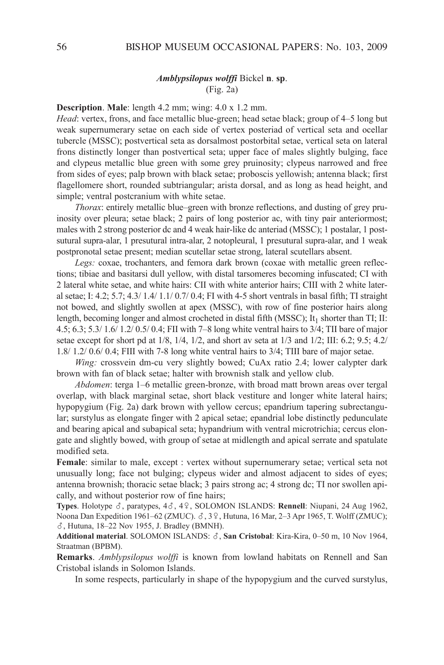### *Amblypsilopus wolffi* Bickel **n**. **sp**. (Fig. 2a)

#### **Description**. **Male**: length 4.2 mm; wing: 4.0 x 1.2 mm.

*Head*: vertex, frons, and face metallic blue-green; head setae black; group of 4–5 long but weak supernumerary setae on each side of vertex posteriad of vertical seta and ocellar tubercle (MSSc); postvertical seta as dorsalmost postorbital setae, vertical seta on lateral frons distinctly longer than postvertical seta; upper face of males slightly bulging, face and clypeus metallic blue green with some grey pruinosity; clypeus narrowed and free from sides of eyes; palp brown with black setae; proboscis yellowish; antenna black; first flagellomere short, rounded subtriangular; arista dorsal, and as long as head height, and simple; ventral postcranium with white setae.

*Thorax*: entirely metallic blue–green with bronze reflections, and dusting of grey pruinosity over pleura; setae black; 2 pairs of long posterior ac, with tiny pair anteriormost; males with 2 strong posterior dc and 4 weak hair-like dc anteriad (MSSc); 1 postalar, 1 postsutural supra-alar, 1 presutural intra-alar, 2 notopleural, 1 presutural supra-alar, and 1 weak postpronotal setae present; median scutellar setae strong, lateral scutellars absent.

*Legs:* coxae, trochanters, and femora dark brown (coxae with metallic green reflections; tibiae and basitarsi dull yellow, with distal tarsomeres becoming infuscated; ci with 2 lateral white setae, and white hairs: CII with white anterior hairs; CIII with 2 white lateral setae; i: 4.2; 5.7; 4.3/ 1.4/ 1.1/ 0.7/ 0.4; Fi with 4-5 short ventrals in basal fifth; Ti straight not bowed, and slightly swollen at apex (MSSc), with row of fine posterior hairs along length, becoming longer and almost crocheted in distal fifth (MSSC); It<sub>1</sub> shorter than TI; II: 4.5; 6.3; 5.3/ 1.6/ 1.2/ 0.5/ 0.4; Fii with 7–8 long white ventral hairs to 3/4; Tii bare of major setae except for short pd at  $1/8$ ,  $1/4$ ,  $1/2$ , and short av seta at  $1/3$  and  $1/2$ ; III: 6.2; 9.5; 4.2/ 1.8/ 1.2/ 0.6/ 0.4; FIII with 7-8 long white ventral hairs to 3/4; TIII bare of major setae.

*Wing:* crossvein dm-cu very slightly bowed; CuAx ratio 2.4; lower calypter dark brown with fan of black setae; halter with brownish stalk and yellow club.

*Abdomen*: terga 1–6 metallic green-bronze, with broad matt brown areas over tergal overlap, with black marginal setae, short black vestiture and longer white lateral hairs; hypopygium (Fig. 2a) dark brown with yellow cercus; epandrium tapering subrectangular; surstylus as elongate finger with 2 apical setae; epandrial lobe distinctly pedunculate and bearing apical and subapical seta; hypandrium with ventral microtrichia; cercus elongate and slightly bowed, with group of setae at midlength and apical serrate and spatulate modified seta.

**Female**: similar to male, except : vertex without supernumerary setae; vertical seta not unusually long; face not bulging; clypeus wider and almost adjacent to sides of eyes; antenna brownish; thoracic setae black; 3 pairs strong ac; 4 strong dc; Ti nor swollen apically, and without posterior row of fine hairs;

**Types**. Holotype  $\delta$ , paratypes, 4 $\delta$ , 4 $\Omega$ , SOLOMON ISLANDS: **Rennell**: Niupani, 24 Aug 1962, Noona Dan Expedition 1961–62 (ZMUC).  $\delta$ , 3 $\Omega$ , Hutuna, 16 Mar, 2–3 Apr 1965, T. Wolff (ZMUC); , Hutuna, 18–22 nov 1955, J. Bradley (BMnH).

Additional material. SOLOMON ISLANDS:  $\delta$ , San Cristobal: Kira-Kira, 0-50 m, 10 Nov 1964, Straatman (BPBM).

**Remarks**. *Amblypsilopus wolffi* is known from lowland habitats on Rennell and San cristobal islands in Solomon islands.

In some respects, particularly in shape of the hypopygium and the curved surstylus,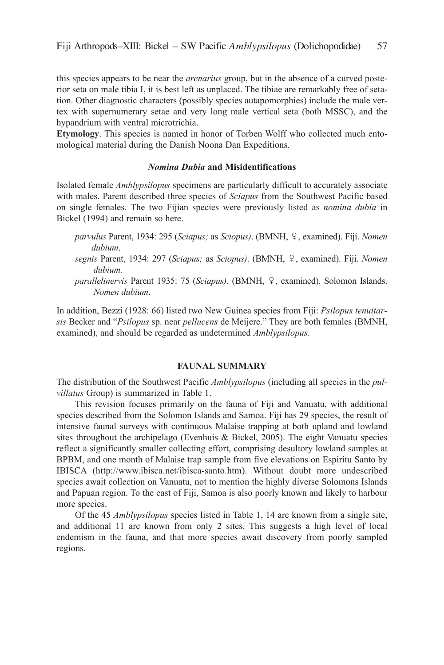this species appears to be near the *arenarius* group, but in the absence of a curved posterior seta on male tibia I, it is best left as unplaced. The tibiae are remarkably free of setation. Other diagnostic characters (possibly species autapomorphies) include the male vertex with supernumerary setae and very long male vertical seta (both MSSc), and the hypandrium with ventral microtrichia.

**Etymology**. This species is named in honor of Torben Wolff who collected much entomological material during the Danish Noona Dan Expeditions.

# *Nomina Dubia* **and Misidentifications**

isolated female *Amblypsilopus* specimens are particularly difficult to accurately associate with males. Parent described three species of *Sciapus* from the Southwest Pacific based on single females. The two Fijian species were previously listed as *nomina dubia* in Bickel (1994) and remain so here.

- *parvulus* Parent, 1934: 295 (*Sciapus;* as *Sciopus)*. (BMnH, , examined). Fiji. *Nomen dubium*.
- *segnis* Parent, 1934: 297 (*Sciapus;* as *Sciopus)*. (BMnH, , examined). Fiji. *Nomen dubium.*
- *parallelinervis* Parent 1935: 75 (*Sciapus*). (BMNH,  $\varphi$ , examined). Solomon Islands. *Nomen dubium*.

in addition, Bezzi (1928: 66) listed two new Guinea species from Fiji: *Psilopus tenuitarsis* Becker and "*Psilopus* sp. near *pellucens* de Meijere." They are both females (BMnH, examined), and should be regarded as undetermined *Amblypsilopus*.

#### **FAUNAL SUMMARY**

The distribution of the Southwest Pacific *Amblypsilopus* (including all species in the *pulvillatus* Group) is summarized in Table 1.

This revision focuses primarily on the fauna of Fiji and Vanuatu, with additional species described from the Solomon islands and Samoa. Fiji has 29 species, the result of intensive faunal surveys with continuous Malaise trapping at both upland and lowland sites throughout the archipelago (Evenhuis & Bickel, 2005). The eight Vanuatu species reflect a significantly smaller collecting effort, comprising desultory lowland samples at BPBM, and one month of Malaise trap sample from five elevations on Espiritu Santo by iBiSca (http://www.ibisca.net/ibisca-santo.htm). Without doubt more undescribed species await collection on Vanuatu, not to mention the highly diverse Solomons islands and Papuan region. To the east of Fiji, Samoa is also poorly known and likely to harbour more species.

Of the 45 *Amblypsilopus* species listed in Table 1, 14 are known from a single site, and additional 11 are known from only 2 sites. This suggests a high level of local endemism in the fauna, and that more species await discovery from poorly sampled regions.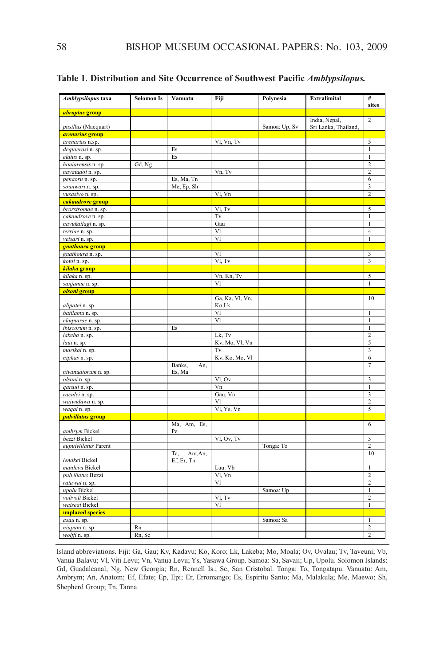| Amblypsilopus taxa              | <b>Solomon Is</b> | Vanuatu           | Fiji                 | Polynesia     | Extralimital                          | #<br>sites                     |
|---------------------------------|-------------------|-------------------|----------------------|---------------|---------------------------------------|--------------------------------|
| <i>abruptus</i> group           |                   |                   |                      |               |                                       |                                |
| pusillus (Macquart)             |                   |                   |                      | Samoa: Up, Sv | India, Nepal,<br>Sri Lanka, Thailand, | $\mathfrak 2$                  |
| <i>arenarius</i> group          |                   |                   |                      |               |                                       |                                |
| arenarius n.sp.                 |                   |                   | Vl, Vn, Tv           |               |                                       | 5                              |
| dequierosi n. sp.               |                   | Es                |                      |               |                                       | $\mathbf{1}$                   |
| elatus n. sp.                   |                   | Es                |                      |               |                                       | $\mathbf{1}$                   |
| honiarensis n. sp.              | Gd, Ng            |                   |                      |               |                                       | $\overline{2}$                 |
| navatadoi n. sp.                |                   |                   | Vn, Tv               |               |                                       | $\overline{c}$                 |
| penaoru n. sp.                  |                   | Es, Ma, Tn        |                      |               |                                       | 6                              |
| sounwari n. sp.                 |                   | Me, Ep, Sh        |                      |               |                                       | 3                              |
| vusasivo n. sp.                 |                   |                   | Vl, Vn               |               |                                       | $\overline{2}$                 |
| cakaudrove group                |                   |                   |                      |               |                                       |                                |
| brorstromae n. sp.              |                   |                   | Vl, Tv               |               |                                       | 5                              |
| cakaudrove n. sp.               |                   |                   | Tv                   |               |                                       | $\mathbf{1}$                   |
| navukailagi n. sp.              |                   |                   | Gau                  |               |                                       | $\mathbf{1}$                   |
| terriae n. sp.                  |                   |                   | Vl                   |               |                                       | 4                              |
| veisari n. sp.                  |                   |                   | VI                   |               |                                       | $\mathbf{1}$                   |
| gnathoura group                 |                   |                   |                      |               |                                       |                                |
| gnathoura n. sp.                |                   |                   | VI                   |               |                                       | 3                              |
| kotoi n. sp.                    |                   |                   | Vl, Tv               |               |                                       | 3                              |
| kilaka group                    |                   |                   |                      |               |                                       |                                |
| kilaka n. sp.                   |                   |                   | Vn, Kn, Tv           |               |                                       | 5                              |
| sanjanae n. sp.                 |                   |                   | Vl                   |               |                                       | $\mathbf{1}$                   |
| olsoni group                    |                   |                   |                      |               |                                       |                                |
|                                 |                   |                   | Ga, Ka, Vl, Vn,      |               |                                       | 10                             |
| alipatei n. sp.                 |                   |                   | Ko,Lk                |               |                                       |                                |
| batilamu n. sp.                 |                   |                   | Vl                   |               |                                       | $\mathbf{1}$                   |
| elaquarae n. sp.                |                   |                   | Vl                   |               |                                       | $\mathbf{1}$                   |
| ibiscorum n. sp.                |                   | Es                | Lk, Tv               |               |                                       | $\mathbf{1}$                   |
| lakeba n. sp.                   |                   |                   |                      |               |                                       | $\overline{\mathbf{c}}$<br>5   |
| laui n. sp.                     |                   |                   | Kv, Mo, Vl, Vn<br>Tv |               |                                       | 3                              |
| marikai n. sp.                  |                   |                   |                      |               |                                       | 6                              |
| niphas n. sp.                   |                   | Banks,<br>An,     | Kv, Ko, Mo, Vl       |               |                                       | $\overline{7}$                 |
| nivanuatorum n. sp.             |                   | Es, Ma            |                      |               |                                       |                                |
| olsoni n. sp.                   |                   |                   | Vl, Ov               |               |                                       | 3                              |
| qaraui n. sp.                   |                   |                   | Vn                   |               |                                       | $\mathbf{1}$                   |
| raculei n. sp.                  |                   |                   | Gau, Vn              |               |                                       | 3                              |
| waivudawa n. sp.                |                   |                   | Vl                   |               |                                       | $\overline{2}$                 |
| waqai n. sp.                    |                   |                   | Vl, Ys, Vn           |               |                                       | 5                              |
| <mark>pulvillatus group</mark>  |                   |                   |                      |               |                                       |                                |
| ambrym Bickel                   |                   | Ma, Am, Es,<br>Pe |                      |               |                                       | 6                              |
| bezzi Bickel                    |                   |                   | Vl, Ov, Tv           |               |                                       | 3                              |
| eupulvillatus Parent            |                   |                   |                      | Tonga: To     |                                       | $\overline{c}$                 |
|                                 |                   | Ta,<br>Am, An,    |                      |               |                                       | 10                             |
| lenakel Bickel                  |                   | Ef, Er, Tn        |                      |               |                                       |                                |
| maulevu Bickel                  |                   |                   | Lau: Vb<br>Vl, Vn    |               |                                       | $\mathbf{1}$<br>$\overline{c}$ |
| pulvillatus Bezzi               |                   |                   |                      |               |                                       | $\overline{c}$                 |
| ratawai n. sp.                  |                   |                   | Vl                   | Samoa: Up     |                                       |                                |
| upolu Bickel<br>volivoli Bickel |                   |                   | $\overline{VI}$ , Tv |               |                                       | $\mathbf{1}$<br>$\overline{2}$ |
|                                 |                   |                   | Vl                   |               |                                       | $\mathbf{1}$                   |
| waiseai Bickel                  |                   |                   |                      |               |                                       |                                |
| unplaced species                |                   |                   |                      | Samoa: Sa     |                                       | $\mathbf{1}$                   |
| asau n. sp.                     | Rn                |                   |                      |               |                                       | $\overline{c}$                 |
| niupani n. sp.                  |                   |                   |                      |               |                                       | $\overline{2}$                 |
| wolffi n. sp.                   | Rn, Sc            |                   |                      |               |                                       |                                |

**Table 1**. **Distribution and Site Occurrence of Southwest Pacific** *Amblypsilopus.*

island abbreviations. Fiji: Ga, Gau; kv, kadavu; ko, koro; lk, lakeba; Mo, Moala; Ov, Ovalau; Tv, Taveuni; Vb, Vanua Balavu; Vl, Viti levu; Vn, Vanua levu; ys, yasawa Group. Samoa: Sa, Savaii; Up, Upolu. Solomon islands: Gd, Guadalcanal; ng, new Georgia; Rn, Rennell is.; Sc, San cristobal. Tonga: To, Tongatapu. Vanuatu: am, ambrym; an, anatom; ef, efate; ep, epi; er, erromango; es, espiritu Santo; Ma, Malakula; Me, Maewo; Sh, Shepherd Group; Tn, Tanna.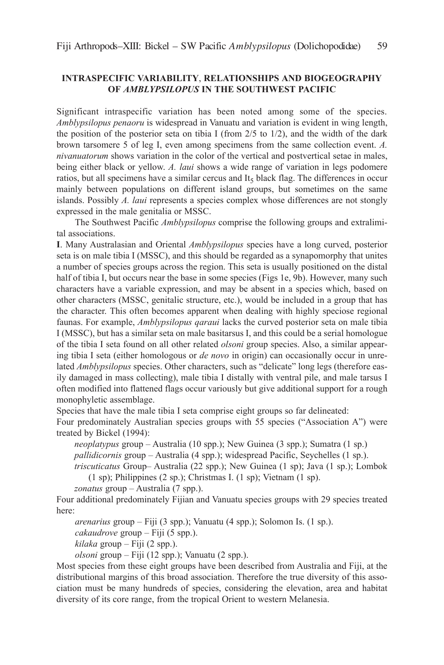# **INTRASPECIFIC VARIABILITY**, **RELATIONSHIPS AND BIOGEOGRAPHY OF** *AMBLYPSILOPUS* **IN THE SOUTHWEST PACIFIC**

Significant intraspecific variation has been noted among some of the species. *Amblypsilopus penaoru* is widespread in Vanuatu and variation is evident in wing length, the position of the posterior seta on tibia I (from  $2/5$  to  $1/2$ ), and the width of the dark brown tarsomere 5 of leg i, even among specimens from the same collection event. *A. nivanuatorum* shows variation in the color of the vertical and postvertical setae in males, being either black or yellow. *A. laui* shows a wide range of variation in legs podomere ratios, but all specimens have a similar cercus and It, black flag. The differences in occur mainly between populations on different island groups, but sometimes on the same islands. Possibly *A. laui* represents a species complex whose differences are not stongly expressed in the male genitalia or MSSc.

The Southwest Pacific *Amblypsilopus* comprise the following groups and extralimital associations.

**I**. Many Australasian and Oriental *Amblypsilopus* species have a long curved, posterior seta is on male tibia I (MSSC), and this should be regarded as a synapomorphy that unites a number of species groups across the region. This seta is usually positioned on the distal half of tibia I, but occurs near the base in some species (Figs 1e, 9b). However, many such characters have a variable expression, and may be absent in a species which, based on other characters (MSSc, genitalic structure, etc.), would be included in a group that has the character. This often becomes apparent when dealing with highly speciose regional faunas. For example, *Amblypsilopus qaraui* lacks the curved posterior seta on male tibia i (MSSc), but has a similar seta on male basitarsus i, and this could be a serial homologue of the tibia i seta found on all other related *olsoni* group species. also, a similar appearing tibia i seta (either homologous or *de novo* in origin) can occasionally occur in unrelated *Amblypsilopus* species. Other characters, such as "delicate" long legs (therefore easily damaged in mass collecting), male tibia I distally with ventral pile, and male tarsus I often modified into flattened flags occur variously but give additional support for a rough monophyletic assemblage.

Species that have the male tibia I seta comprise eight groups so far delineated:

Four predominately Australian species groups with 55 species ("Association A") were treated by Bickel (1994):

*neoplatypus* group – Australia (10 spp.); New Guinea (3 spp.); Sumatra (1 sp.)

*pallidicornis* group – Australia (4 spp.); widespread Pacific, Seychelles (1 sp.).

triscuticatus Group-Australia (22 spp.); New Guinea (1 sp); Java (1 sp.); Lombok  $(1 \text{ sp})$ ; Philippines  $(2 \text{ sp.})$ ; Christmas I.  $(1 \text{ sp})$ ; Vietnam  $(1 \text{ sp.})$ .

*zonatus* group – Australia (7 spp.).

Four additional predominately Fijian and Vanuatu species groups with 29 species treated here:

*arenarius* group – Fiji (3 spp.); Vanuatu (4 spp.); Solomon is. (1 sp.).

*cakaudrove* group – Fiji (5 spp.).

*kilaka* group – Fiji (2 spp.).

*olsoni* group – Fiji (12 spp.); Vanuatu (2 spp.).

Most species from these eight groups have been described from australia and Fiji, at the distributional margins of this broad association. Therefore the true diversity of this association must be many hundreds of species, considering the elevation, area and habitat diversity of its core range, from the tropical Orient to western Melanesia.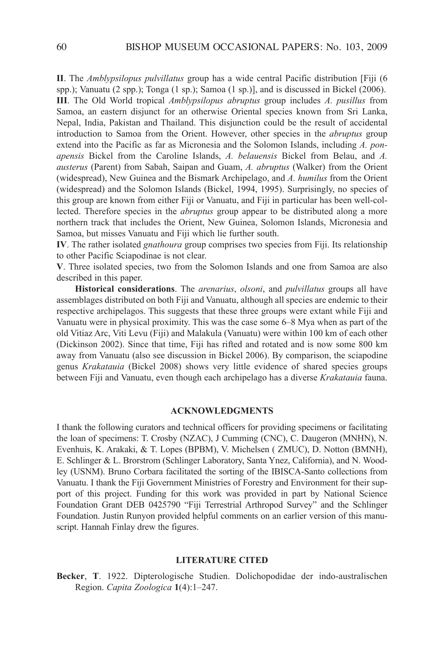**II**. The *Amblypsilopus pulvillatus* group has a wide central Pacific distribution [Fiji (6 spp.); Vanuatu (2 spp.); Tonga (1 sp.); Samoa (1 sp.)], and is discussed in Bickel (2006). **III**. The Old World tropical *Amblypsilopus abruptus* group includes *A. pusillus* from Samoa, an eastern disjunct for an otherwise Oriental species known from Sri lanka, Nepal, India, Pakistan and Thailand. This disjunction could be the result of accidental introduction to Samoa from the Orient. However, other species in the *abruptus* group extend into the Pacific as far as Micronesia and the Solomon islands, including *A. ponapensis* Bickel from the caroline islands, *A. belauensis* Bickel from Belau, and *A. austerus* (Parent) from Sabah, Saipan and Guam, *A. abruptus* (Walker) from the Orient (widespread), new Guinea and the Bismark archipelago, and *A. humilus* from the Orient (widespread) and the Solomon islands (Bickel, 1994, 1995). Surprisingly, no species of this group are known from either Fiji or Vanuatu, and Fiji in particular has been well-collected. Therefore species in the *abruptus* group appear to be distributed along a more northern track that includes the Orient, new Guinea, Solomon islands, Micronesia and Samoa, but misses Vanuatu and Fiji which lie further south.

**IV**. The rather isolated *gnathoura* group comprises two species from Fiji. its relationship to other Pacific Sciapodinae is not clear.

**V**. Three isolated species, two from the Solomon islands and one from Samoa are also described in this paper.

**Historical considerations**. The *arenarius*, *olsoni*, and *pulvillatus* groups all have assemblages distributed on both Fiji and Vanuatu, although all species are endemic to their respective archipelagos. This suggests that these three groups were extant while Fiji and Vanuatu were in physical proximity. This was the case some 6–8 Mya when as part of the old Vitiaz arc, Viti levu (Fiji) and Malakula (Vanuatu) were within 100 km of each other (Dickinson 2002). Since that time, Fiji has rifted and rotated and is now some 800 km away from Vanuatu (also see discussion in Bickel 2006). By comparison, the sciapodine genus *Krakatauia* (Bickel 2008) shows very little evidence of shared species groups between Fiji and Vanuatu, even though each archipelago has a diverse *Krakatauia* fauna.

#### **ACKNOWLEDGMENTS**

i thank the following curators and technical officers for providing specimens or facilitating the loan of specimens: T. Crosby (NZAC), J Cumming (CNC), C. Daugeron (MNHN), N. Evenhuis, K. Arakaki, & T. Lopes (BPBM), V. Michelsen ( ZMUC), D. Notton (BMNH), E. Schlinger & L. Brorstrom (Schlinger Laboratory, Santa Ynez, California), and N. Woodley (USNM). Bruno Corbara facilitated the sorting of the IBISCA-Santo collections from Vanuatu. I thank the Fiji Government Ministries of Forestry and Environment for their support of this project. Funding for this work was provided in part by National Science Foundation Grant DeB 0425790 "Fiji Terrestrial arthropod Survey" and the Schlinger Foundation. Justin Runyon provided helpful comments on an earlier version of this manuscript. Hannah Finlay drew the figures.

#### **LITERATURE CITED**

**Becker**, **T**. 1922. Dipterologische Studien. Dolichopodidae der indo-australischen Region. *Capita Zoologica* **1**(4):1–247.